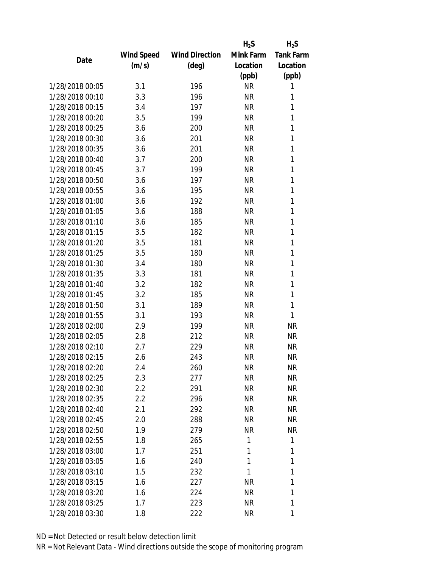|                 |                   |                       | $H_2S$    | $H_2S$           |
|-----------------|-------------------|-----------------------|-----------|------------------|
|                 | <b>Wind Speed</b> | <b>Wind Direction</b> | Mink Farm | <b>Tank Farm</b> |
| Date            | (m/s)             | $(\text{deg})$        | Location  | Location         |
|                 |                   |                       | (ppb)     | (ppb)            |
| 1/28/2018 00:05 | 3.1               | 196                   | <b>NR</b> | 1                |
| 1/28/2018 00:10 | 3.3               | 196                   | <b>NR</b> | 1                |
| 1/28/2018 00:15 | 3.4               | 197                   | <b>NR</b> | 1                |
| 1/28/2018 00:20 | 3.5               | 199                   | <b>NR</b> | 1                |
| 1/28/2018 00:25 | 3.6               | 200                   | <b>NR</b> | 1                |
| 1/28/2018 00:30 | 3.6               | 201                   | <b>NR</b> | 1                |
| 1/28/2018 00:35 | 3.6               | 201                   | <b>NR</b> | 1                |
| 1/28/2018 00:40 | 3.7               | 200                   | <b>NR</b> | 1                |
| 1/28/2018 00:45 | 3.7               | 199                   | <b>NR</b> | 1                |
| 1/28/2018 00:50 | 3.6               | 197                   | <b>NR</b> | 1                |
| 1/28/2018 00:55 | 3.6               | 195                   | <b>NR</b> | 1                |
| 1/28/2018 01:00 | 3.6               | 192                   | <b>NR</b> | 1                |
| 1/28/2018 01:05 | 3.6               | 188                   | <b>NR</b> | 1                |
| 1/28/2018 01:10 | 3.6               | 185                   | <b>NR</b> | 1                |
| 1/28/2018 01:15 | 3.5               | 182                   | <b>NR</b> | 1                |
| 1/28/2018 01:20 | 3.5               | 181                   | <b>NR</b> | 1                |
| 1/28/2018 01:25 | 3.5               | 180                   | <b>NR</b> | 1                |
| 1/28/2018 01:30 | 3.4               | 180                   | <b>NR</b> | 1                |
| 1/28/2018 01:35 | 3.3               | 181                   | <b>NR</b> | 1                |
| 1/28/2018 01:40 | 3.2               | 182                   | <b>NR</b> | 1                |
| 1/28/2018 01:45 | 3.2               | 185                   | <b>NR</b> | 1                |
| 1/28/2018 01:50 | 3.1               | 189                   | <b>NR</b> | 1                |
| 1/28/2018 01:55 | 3.1               | 193                   | <b>NR</b> | 1                |
| 1/28/2018 02:00 | 2.9               | 199                   | <b>NR</b> | <b>NR</b>        |
| 1/28/2018 02:05 | 2.8               | 212                   | <b>NR</b> | <b>NR</b>        |
| 1/28/2018 02:10 | 2.7               | 229                   | <b>NR</b> | <b>NR</b>        |
| 1/28/2018 02:15 | 2.6               | 243                   | <b>NR</b> | <b>NR</b>        |
| 1/28/2018 02:20 | 2.4               | 260                   | ΝR        | ΝR               |
| 1/28/2018 02:25 | 2.3               | 277                   | <b>NR</b> | <b>NR</b>        |
| 1/28/2018 02:30 | 2.2               | 291                   | ΝR        | <b>NR</b>        |
| 1/28/2018 02:35 | $2.2\,$           | 296                   | <b>NR</b> | <b>NR</b>        |
| 1/28/2018 02:40 | 2.1               | 292                   | <b>NR</b> | <b>NR</b>        |
| 1/28/2018 02:45 | 2.0               | 288                   | <b>NR</b> | <b>NR</b>        |
| 1/28/2018 02:50 | 1.9               | 279                   | <b>NR</b> | <b>NR</b>        |
| 1/28/2018 02:55 | 1.8               | 265                   | 1         | 1                |
| 1/28/2018 03:00 | 1.7               | 251                   | 1         | 1                |
| 1/28/2018 03:05 |                   | 240                   | 1         | 1                |
|                 | 1.6               |                       |           |                  |
| 1/28/2018 03:10 | 1.5               | 232                   | 1         | 1                |
| 1/28/2018 03:15 | 1.6               | 227                   | <b>NR</b> | 1                |
| 1/28/2018 03:20 | 1.6               | 224                   | <b>NR</b> | 1                |
| 1/28/2018 03:25 | 1.7               | 223                   | <b>NR</b> | 1                |
| 1/28/2018 03:30 | 1.8               | 222                   | ΝR        | 1                |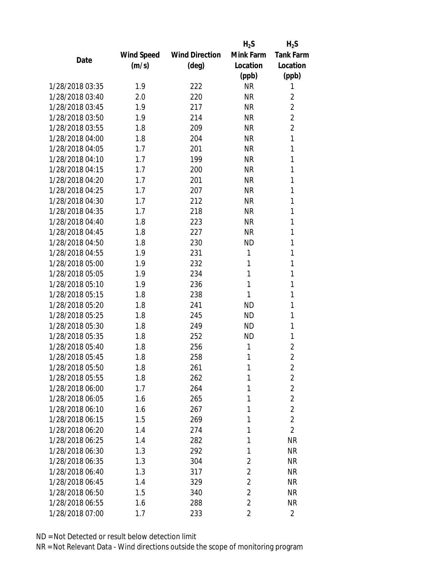|                 |            |                       | $H_2S$         | $H_2S$           |
|-----------------|------------|-----------------------|----------------|------------------|
|                 | Wind Speed | <b>Wind Direction</b> | Mink Farm      | <b>Tank Farm</b> |
| Date            | (m/s)      | $(\text{deg})$        | Location       | Location         |
|                 |            |                       | (ppb)          | (ppb)            |
| 1/28/2018 03:35 | 1.9        | 222                   | <b>NR</b>      | 1                |
| 1/28/2018 03:40 | 2.0        | 220                   | <b>NR</b>      | $\overline{2}$   |
| 1/28/2018 03:45 | 1.9        | 217                   | <b>NR</b>      | $\overline{2}$   |
| 1/28/2018 03:50 | 1.9        | 214                   | <b>NR</b>      | $\overline{2}$   |
| 1/28/2018 03:55 | 1.8        | 209                   | <b>NR</b>      | $\overline{2}$   |
| 1/28/2018 04:00 | 1.8        | 204                   | <b>NR</b>      | 1                |
| 1/28/2018 04:05 | 1.7        | 201                   | <b>NR</b>      | 1                |
| 1/28/2018 04:10 | 1.7        | 199                   | <b>NR</b>      | 1                |
| 1/28/2018 04:15 | 1.7        | 200                   | <b>NR</b>      | 1                |
| 1/28/2018 04:20 | 1.7        | 201                   | <b>NR</b>      | 1                |
| 1/28/2018 04:25 | 1.7        | 207                   | <b>NR</b>      | 1                |
| 1/28/2018 04:30 | 1.7        | 212                   | <b>NR</b>      | 1                |
| 1/28/2018 04:35 | 1.7        | 218                   | <b>NR</b>      | 1                |
| 1/28/2018 04:40 | 1.8        | 223                   | <b>NR</b>      | 1                |
| 1/28/2018 04:45 | 1.8        | 227                   | <b>NR</b>      | 1                |
| 1/28/2018 04:50 | 1.8        | 230                   | <b>ND</b>      | 1                |
| 1/28/2018 04:55 | 1.9        | 231                   | 1              | 1                |
| 1/28/2018 05:00 | 1.9        | 232                   | 1              | 1                |
| 1/28/2018 05:05 | 1.9        | 234                   | 1              | 1                |
| 1/28/2018 05:10 | 1.9        | 236                   | 1              | 1                |
| 1/28/2018 05:15 | 1.8        | 238                   | 1              | 1                |
| 1/28/2018 05:20 | 1.8        | 241                   | <b>ND</b>      | 1                |
| 1/28/2018 05:25 | 1.8        | 245                   | <b>ND</b>      | 1                |
| 1/28/2018 05:30 | 1.8        | 249                   | <b>ND</b>      | 1                |
| 1/28/2018 05:35 | 1.8        | 252                   | <b>ND</b>      | 1                |
| 1/28/2018 05:40 | 1.8        | 256                   | 1              | $\overline{2}$   |
| 1/28/2018 05:45 | 1.8        | 258                   | 1              | $\overline{2}$   |
| 1/28/2018 05:50 | 1.8        | 261                   | 1              | $\overline{c}$   |
| 1/28/2018 05:55 | 1.8        | 262                   | 1              | $\sqrt{2}$       |
| 1/28/2018 06:00 | 1.7        | 264                   | 1              | $\overline{2}$   |
| 1/28/2018 06:05 | 1.6        | 265                   | 1              | $\overline{2}$   |
| 1/28/2018 06:10 | 1.6        | 267                   | 1              | $\overline{2}$   |
| 1/28/2018 06:15 | 1.5        | 269                   | 1              | $\overline{2}$   |
| 1/28/2018 06:20 | 1.4        | 274                   | 1              | $\overline{2}$   |
| 1/28/2018 06:25 | 1.4        | 282                   | 1              | <b>NR</b>        |
| 1/28/2018 06:30 | 1.3        | 292                   | 1              | <b>NR</b>        |
| 1/28/2018 06:35 | 1.3        | 304                   | 2              | <b>NR</b>        |
| 1/28/2018 06:40 | 1.3        | 317                   | $\overline{2}$ | <b>NR</b>        |
| 1/28/2018 06:45 | 1.4        | 329                   | $\overline{2}$ | <b>NR</b>        |
| 1/28/2018 06:50 | 1.5        | 340                   | $\overline{2}$ | <b>NR</b>        |
| 1/28/2018 06:55 | 1.6        | 288                   | $\overline{2}$ | <b>NR</b>        |
| 1/28/2018 07:00 | 1.7        | 233                   | $\overline{2}$ | $\overline{2}$   |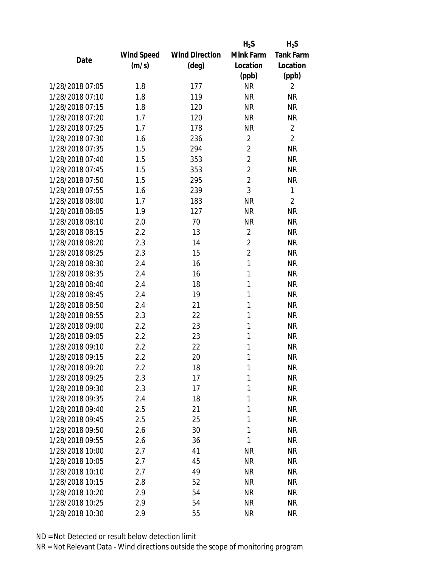|                 |                   |                       | $H_2S$         | $H_2S$           |
|-----------------|-------------------|-----------------------|----------------|------------------|
|                 | <b>Wind Speed</b> | <b>Wind Direction</b> | Mink Farm      | <b>Tank Farm</b> |
| Date            | (m/s)             | $(\text{deg})$        | Location       | Location         |
|                 |                   |                       | (ppb)          | (ppb)            |
| 1/28/2018 07:05 | 1.8               | 177                   | <b>NR</b>      | $\overline{2}$   |
| 1/28/2018 07:10 | 1.8               | 119                   | <b>NR</b>      | <b>NR</b>        |
| 1/28/2018 07:15 | 1.8               | 120                   | <b>NR</b>      | <b>NR</b>        |
| 1/28/2018 07:20 | 1.7               | 120                   | <b>NR</b>      | <b>NR</b>        |
| 1/28/2018 07:25 | 1.7               | 178                   | <b>NR</b>      | $\overline{2}$   |
| 1/28/2018 07:30 | 1.6               | 236                   | $\overline{2}$ | $\overline{2}$   |
| 1/28/2018 07:35 | 1.5               | 294                   | $\overline{2}$ | <b>NR</b>        |
| 1/28/2018 07:40 | 1.5               | 353                   | $\overline{2}$ | <b>NR</b>        |
| 1/28/2018 07:45 | 1.5               | 353                   | $\overline{2}$ | <b>NR</b>        |
| 1/28/2018 07:50 | 1.5               | 295                   | $\overline{2}$ | <b>NR</b>        |
| 1/28/2018 07:55 | 1.6               | 239                   | 3              | 1                |
| 1/28/2018 08:00 | 1.7               | 183                   | <b>NR</b>      | $\overline{2}$   |
| 1/28/2018 08:05 | 1.9               | 127                   | <b>NR</b>      | <b>NR</b>        |
| 1/28/2018 08:10 | 2.0               | 70                    | <b>NR</b>      | <b>NR</b>        |
| 1/28/2018 08:15 | 2.2               | 13                    | $\overline{2}$ | <b>NR</b>        |
| 1/28/2018 08:20 | 2.3               | 14                    | $\overline{2}$ | <b>NR</b>        |
| 1/28/2018 08:25 | 2.3               | 15                    | $\overline{2}$ | <b>NR</b>        |
| 1/28/2018 08:30 | 2.4               | 16                    | 1              | <b>NR</b>        |
| 1/28/2018 08:35 | 2.4               | 16                    | 1              | <b>NR</b>        |
| 1/28/2018 08:40 | 2.4               | 18                    | 1              | <b>NR</b>        |
| 1/28/2018 08:45 | 2.4               | 19                    | 1              | <b>NR</b>        |
| 1/28/2018 08:50 | 2.4               | 21                    | 1              | <b>NR</b>        |
| 1/28/2018 08:55 | 2.3               | 22                    | 1              | <b>NR</b>        |
| 1/28/2018 09:00 | 2.2               | 23                    | 1              | <b>NR</b>        |
| 1/28/2018 09:05 | 2.2               | 23                    | 1              | <b>NR</b>        |
| 1/28/2018 09:10 | 2.2               | 22                    | 1              | <b>NR</b>        |
| 1/28/2018 09:15 | 2.2               | 20                    | 1              | <b>NR</b>        |
| 1/28/2018 09:20 | 2.2               | 18                    | 1              | <b>NR</b>        |
| 1/28/2018 09:25 | 2.3               | 17                    | 1              | <b>NR</b>        |
| 1/28/2018 09:30 | 2.3               | 17                    | 1              | <b>NR</b>        |
| 1/28/2018 09:35 | 2.4               | 18                    | 1              | <b>NR</b>        |
| 1/28/2018 09:40 | 2.5               | 21                    | 1              | <b>NR</b>        |
| 1/28/2018 09:45 | 2.5               | 25                    | 1              | <b>NR</b>        |
| 1/28/2018 09:50 | 2.6               | 30                    | 1              | <b>NR</b>        |
| 1/28/2018 09:55 | 2.6               | 36                    | 1              | <b>NR</b>        |
| 1/28/2018 10:00 | 2.7               | 41                    | <b>NR</b>      | <b>NR</b>        |
| 1/28/2018 10:05 | 2.7               | 45                    | <b>NR</b>      | <b>NR</b>        |
| 1/28/2018 10:10 | 2.7               | 49                    | <b>NR</b>      | <b>NR</b>        |
| 1/28/2018 10:15 | 2.8               | 52                    | <b>NR</b>      | <b>NR</b>        |
| 1/28/2018 10:20 | 2.9               | 54                    | <b>NR</b>      | <b>NR</b>        |
| 1/28/2018 10:25 | 2.9               | 54                    | <b>NR</b>      | <b>NR</b>        |
| 1/28/2018 10:30 | 2.9               | 55                    | <b>NR</b>      | <b>NR</b>        |
|                 |                   |                       |                |                  |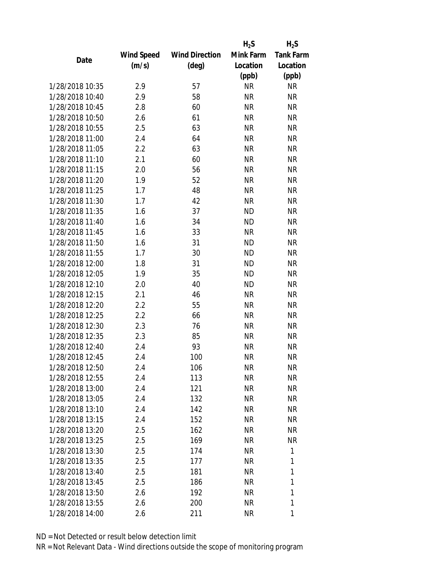|                 |                   |                       | $H_2S$    | $H_2S$           |
|-----------------|-------------------|-----------------------|-----------|------------------|
|                 | <b>Wind Speed</b> | <b>Wind Direction</b> | Mink Farm | <b>Tank Farm</b> |
| Date            | (m/s)             | $(\text{deg})$        | Location  | Location         |
|                 |                   |                       | (ppb)     | (ppb)            |
| 1/28/2018 10:35 | 2.9               | 57                    | <b>NR</b> | <b>NR</b>        |
| 1/28/2018 10:40 | 2.9               | 58                    | <b>NR</b> | <b>NR</b>        |
| 1/28/2018 10:45 | 2.8               | 60                    | <b>NR</b> | <b>NR</b>        |
| 1/28/2018 10:50 | 2.6               | 61                    | <b>NR</b> | <b>NR</b>        |
| 1/28/2018 10:55 | 2.5               | 63                    | <b>NR</b> | <b>NR</b>        |
| 1/28/2018 11:00 | 2.4               | 64                    | <b>NR</b> | <b>NR</b>        |
| 1/28/2018 11:05 | 2.2               | 63                    | <b>NR</b> | <b>NR</b>        |
| 1/28/2018 11:10 | 2.1               | 60                    | <b>NR</b> | <b>NR</b>        |
| 1/28/2018 11:15 | 2.0               | 56                    | <b>NR</b> | <b>NR</b>        |
| 1/28/2018 11:20 | 1.9               | 52                    | <b>NR</b> | <b>NR</b>        |
| 1/28/2018 11:25 | 1.7               | 48                    | <b>NR</b> | <b>NR</b>        |
| 1/28/2018 11:30 | 1.7               | 42                    | <b>NR</b> | <b>NR</b>        |
| 1/28/2018 11:35 | 1.6               | 37                    | <b>ND</b> | <b>NR</b>        |
| 1/28/2018 11:40 | 1.6               | 34                    | <b>ND</b> | <b>NR</b>        |
| 1/28/2018 11:45 | 1.6               | 33                    | <b>NR</b> | <b>NR</b>        |
| 1/28/2018 11:50 | 1.6               | 31                    | <b>ND</b> | <b>NR</b>        |
| 1/28/2018 11:55 | 1.7               | 30                    | <b>ND</b> | <b>NR</b>        |
| 1/28/2018 12:00 | 1.8               | 31                    | <b>ND</b> | <b>NR</b>        |
| 1/28/2018 12:05 | 1.9               | 35                    | <b>ND</b> | <b>NR</b>        |
| 1/28/2018 12:10 | 2.0               | 40                    | <b>ND</b> | <b>NR</b>        |
| 1/28/2018 12:15 | 2.1               | 46                    | <b>NR</b> | <b>NR</b>        |
| 1/28/2018 12:20 | 2.2               | 55                    | <b>NR</b> | <b>NR</b>        |
| 1/28/2018 12:25 | 2.2               | 66                    | <b>NR</b> | <b>NR</b>        |
| 1/28/2018 12:30 | 2.3               | 76                    | <b>NR</b> | <b>NR</b>        |
| 1/28/2018 12:35 | 2.3               | 85                    | <b>NR</b> | <b>NR</b>        |
| 1/28/2018 12:40 | 2.4               | 93                    | <b>NR</b> | <b>NR</b>        |
| 1/28/2018 12:45 | 2.4               | 100                   | <b>NR</b> | <b>NR</b>        |
| 1/28/2018 12:50 | 2.4               | 106                   | <b>NR</b> | <b>NR</b>        |
| 1/28/2018 12:55 | 2.4               | 113                   | <b>NR</b> | <b>NR</b>        |
| 1/28/2018 13:00 | 2.4               | 121                   | <b>NR</b> | <b>NR</b>        |
| 1/28/2018 13:05 | 2.4               | 132                   | <b>NR</b> | <b>NR</b>        |
| 1/28/2018 13:10 | 2.4               | 142                   | <b>NR</b> | <b>NR</b>        |
| 1/28/2018 13:15 | 2.4               | 152                   | <b>NR</b> | <b>NR</b>        |
| 1/28/2018 13:20 | 2.5               | 162                   | <b>NR</b> | <b>NR</b>        |
| 1/28/2018 13:25 | 2.5               | 169                   | <b>NR</b> | <b>NR</b>        |
| 1/28/2018 13:30 | 2.5               | 174                   | <b>NR</b> | 1                |
| 1/28/2018 13:35 | 2.5               | 177                   | <b>NR</b> | 1                |
| 1/28/2018 13:40 | 2.5               | 181                   | <b>NR</b> | 1                |
| 1/28/2018 13:45 | 2.5               | 186                   | <b>NR</b> | 1                |
| 1/28/2018 13:50 | 2.6               | 192                   | <b>NR</b> | 1                |
| 1/28/2018 13:55 | 2.6               | 200                   | <b>NR</b> | 1                |
| 1/28/2018 14:00 | 2.6               | 211                   | <b>NR</b> | 1                |
|                 |                   |                       |           |                  |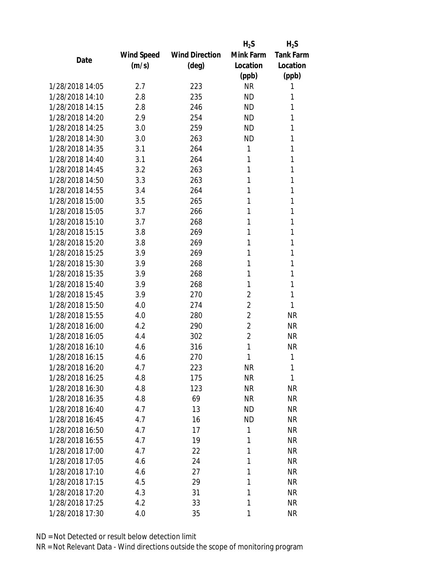|                 |            |                       | $H_2S$         | $H_2S$           |
|-----------------|------------|-----------------------|----------------|------------------|
|                 | Wind Speed | <b>Wind Direction</b> | Mink Farm      | <b>Tank Farm</b> |
| Date            | (m/s)      | $(\text{deg})$        | Location       | Location         |
|                 |            |                       | (ppb)          | (ppb)            |
| 1/28/2018 14:05 | 2.7        | 223                   | <b>NR</b>      | 1                |
| 1/28/2018 14:10 | 2.8        | 235                   | <b>ND</b>      | 1                |
| 1/28/2018 14:15 | 2.8        | 246                   | <b>ND</b>      | 1                |
| 1/28/2018 14:20 | 2.9        | 254                   | <b>ND</b>      | 1                |
| 1/28/2018 14:25 | 3.0        | 259                   | <b>ND</b>      | 1                |
| 1/28/2018 14:30 | 3.0        | 263                   | <b>ND</b>      | 1                |
| 1/28/2018 14:35 | 3.1        | 264                   | 1              | 1                |
| 1/28/2018 14:40 | 3.1        | 264                   | 1              | 1                |
| 1/28/2018 14:45 | 3.2        | 263                   | 1              | 1                |
| 1/28/2018 14:50 | 3.3        | 263                   | 1              | 1                |
| 1/28/2018 14:55 | 3.4        | 264                   | 1              | 1                |
| 1/28/2018 15:00 | 3.5        | 265                   | 1              | 1                |
| 1/28/2018 15:05 | 3.7        | 266                   | 1              | 1                |
| 1/28/2018 15:10 | 3.7        | 268                   | 1              | 1                |
| 1/28/2018 15:15 | 3.8        | 269                   | 1              | 1                |
| 1/28/2018 15:20 | 3.8        | 269                   | 1              | 1                |
| 1/28/2018 15:25 | 3.9        | 269                   | 1              | 1                |
| 1/28/2018 15:30 | 3.9        | 268                   | 1              | 1                |
| 1/28/2018 15:35 | 3.9        | 268                   | 1              | 1                |
| 1/28/2018 15:40 | 3.9        | 268                   | 1              | 1                |
| 1/28/2018 15:45 | 3.9        | 270                   | 2              | 1                |
| 1/28/2018 15:50 | 4.0        | 274                   | $\overline{2}$ | 1                |
| 1/28/2018 15:55 | 4.0        | 280                   | $\overline{2}$ | <b>NR</b>        |
| 1/28/2018 16:00 | 4.2        | 290                   | $\overline{2}$ | <b>NR</b>        |
| 1/28/2018 16:05 | 4.4        | 302                   | $\overline{2}$ | <b>NR</b>        |
| 1/28/2018 16:10 | 4.6        | 316                   | 1              | <b>NR</b>        |
| 1/28/2018 16:15 | 4.6        | 270                   | 1              | 1                |
| 1/28/2018 16:20 | 4.7        | 223                   | ΝR             | 1                |
| 1/28/2018 16:25 | 4.8        | 175                   | <b>NR</b>      | 1                |
| 1/28/2018 16:30 | 4.8        | 123                   | <b>NR</b>      | <b>NR</b>        |
| 1/28/2018 16:35 | 4.8        | 69                    | <b>NR</b>      | <b>NR</b>        |
| 1/28/2018 16:40 | 4.7        | 13                    | <b>ND</b>      | <b>NR</b>        |
| 1/28/2018 16:45 | 4.7        | 16                    | <b>ND</b>      | <b>NR</b>        |
| 1/28/2018 16:50 | 4.7        | 17                    | 1              | <b>NR</b>        |
| 1/28/2018 16:55 | 4.7        | 19                    | 1              | <b>NR</b>        |
| 1/28/2018 17:00 | 4.7        | 22                    | 1              | <b>NR</b>        |
| 1/28/2018 17:05 | 4.6        | 24                    | 1              | <b>NR</b>        |
| 1/28/2018 17:10 | 4.6        | 27                    | 1              | <b>NR</b>        |
| 1/28/2018 17:15 | 4.5        | 29                    | 1              | <b>NR</b>        |
| 1/28/2018 17:20 | 4.3        | 31                    | 1              | <b>NR</b>        |
| 1/28/2018 17:25 | 4.2        | 33                    | 1              | <b>NR</b>        |
| 1/28/2018 17:30 | 4.0        | 35                    | 1              | <b>NR</b>        |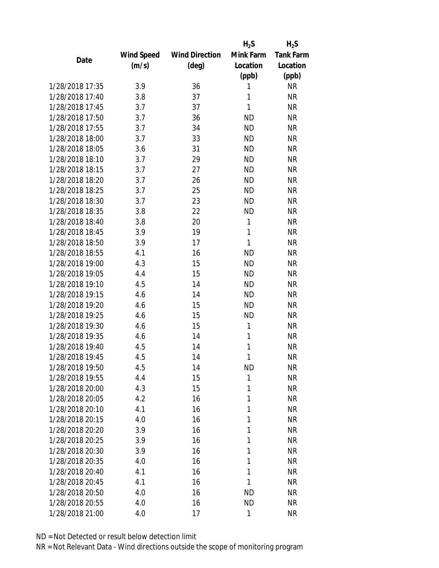|                 |      |            |                       | $H_2S$    | $H_2S$           |
|-----------------|------|------------|-----------------------|-----------|------------------|
|                 |      | Wind Speed | <b>Wind Direction</b> | Mink Farm | <b>Tank Farm</b> |
|                 | Date | (m/s)      | $(\text{deg})$        | Location  | Location         |
|                 |      |            |                       | (ppb)     | (ppb)            |
| 1/28/2018 17:35 |      | 3.9        | 36                    | 1         | <b>NR</b>        |
| 1/28/2018 17:40 |      | 3.8        | 37                    | 1         | <b>NR</b>        |
| 1/28/2018 17:45 |      | 3.7        | 37                    | 1         | <b>NR</b>        |
| 1/28/2018 17:50 |      | 3.7        | 36                    | ND        | <b>NR</b>        |
| 1/28/2018 17:55 |      | 3.7        | 34                    | <b>ND</b> | <b>NR</b>        |
| 1/28/2018 18:00 |      | 3.7        | 33                    | <b>ND</b> | <b>NR</b>        |
| 1/28/2018 18:05 |      | 3.6        | 31                    | <b>ND</b> | <b>NR</b>        |
| 1/28/2018 18:10 |      | 3.7        | 29                    | <b>ND</b> | <b>NR</b>        |
| 1/28/2018 18:15 |      | 3.7        | 27                    | <b>ND</b> | <b>NR</b>        |
| 1/28/2018 18:20 |      | 3.7        | 26                    | <b>ND</b> | <b>NR</b>        |
| 1/28/2018 18:25 |      | 3.7        | 25                    | <b>ND</b> | <b>NR</b>        |
| 1/28/2018 18:30 |      | 3.7        | 23                    | <b>ND</b> | <b>NR</b>        |
| 1/28/2018 18:35 |      | 3.8        | 22                    | <b>ND</b> | <b>NR</b>        |
| 1/28/2018 18:40 |      | 3.8        | 20                    | 1         | <b>NR</b>        |
| 1/28/2018 18:45 |      | 3.9        | 19                    | 1         | <b>NR</b>        |
| 1/28/2018 18:50 |      | 3.9        | 17                    | 1         | <b>NR</b>        |
| 1/28/2018 18:55 |      | 4.1        | 16                    | <b>ND</b> | <b>NR</b>        |
| 1/28/2018 19:00 |      | 4.3        | 15                    | <b>ND</b> | <b>NR</b>        |
| 1/28/2018 19:05 |      | 4.4        | 15                    | <b>ND</b> | <b>NR</b>        |
| 1/28/2018 19:10 |      | 4.5        | 14                    | <b>ND</b> | <b>NR</b>        |
| 1/28/2018 19:15 |      | 4.6        | 14                    | <b>ND</b> | <b>NR</b>        |
| 1/28/2018 19:20 |      | 4.6        | 15                    | <b>ND</b> | <b>NR</b>        |
| 1/28/2018 19:25 |      | 4.6        | 15                    | <b>ND</b> | <b>NR</b>        |
| 1/28/2018 19:30 |      | 4.6        | 15                    | 1         | <b>NR</b>        |
| 1/28/2018 19:35 |      | 4.6        | 14                    | 1         | <b>NR</b>        |
| 1/28/2018 19:40 |      | 4.5        | 14                    | 1         | <b>NR</b>        |
| 1/28/2018 19:45 |      | 4.5        | 14                    | 1         | <b>NR</b>        |
| 1/28/2018 19:50 |      | 4.5        | 14                    | ND        | <b>NR</b>        |
| 1/28/2018 19:55 |      | 4.4        | 15                    | 1         | <b>NR</b>        |
| 1/28/2018 20:00 |      | 4.3        | 15                    | 1         | <b>NR</b>        |
| 1/28/2018 20:05 |      | 4.2        | 16                    | 1         | <b>NR</b>        |
| 1/28/2018 20:10 |      | 4.1        | 16                    | 1         | <b>NR</b>        |
| 1/28/2018 20:15 |      | 4.0        | 16                    | 1         | <b>NR</b>        |
| 1/28/2018 20:20 |      | 3.9        | 16                    | 1         | <b>NR</b>        |
| 1/28/2018 20:25 |      | 3.9        | 16                    | 1         | <b>NR</b>        |
| 1/28/2018 20:30 |      | 3.9        | 16                    | 1         | <b>NR</b>        |
| 1/28/2018 20:35 |      | 4.0        | 16                    | 1         | <b>NR</b>        |
| 1/28/2018 20:40 |      | 4.1        | 16                    | 1         | <b>NR</b>        |
| 1/28/2018 20:45 |      | 4.1        | 16                    | 1         | <b>NR</b>        |
| 1/28/2018 20:50 |      | 4.0        | 16                    | <b>ND</b> | <b>NR</b>        |
| 1/28/2018 20:55 |      | 4.0        | 16                    | <b>ND</b> | <b>NR</b>        |
| 1/28/2018 21:00 |      | 4.0        | 17                    | 1         | <b>NR</b>        |
|                 |      |            |                       |           |                  |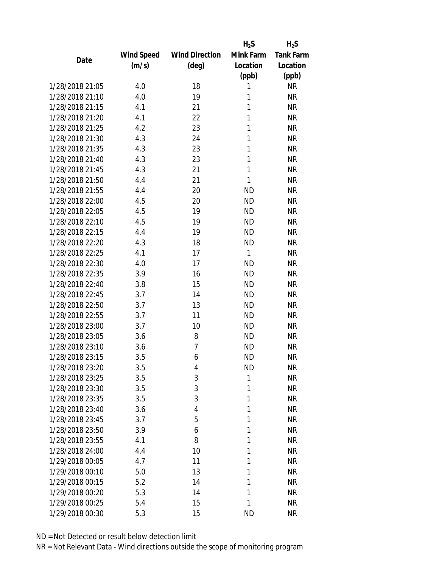|                 |                   |                       | $H_2S$    | $H_2S$           |
|-----------------|-------------------|-----------------------|-----------|------------------|
|                 | <b>Wind Speed</b> | <b>Wind Direction</b> | Mink Farm | <b>Tank Farm</b> |
| Date            | (m/s)             | $(\text{deg})$        | Location  | Location         |
|                 |                   |                       | (ppb)     | (ppb)            |
| 1/28/2018 21:05 | 4.0               | 18                    | 1         | <b>NR</b>        |
| 1/28/2018 21:10 | 4.0               | 19                    | 1         | <b>NR</b>        |
| 1/28/2018 21:15 | 4.1               | 21                    | 1         | <b>NR</b>        |
| 1/28/2018 21:20 | 4.1               | 22                    | 1         | <b>NR</b>        |
| 1/28/2018 21:25 | 4.2               | 23                    | 1         | <b>NR</b>        |
| 1/28/2018 21:30 | 4.3               | 24                    | 1         | <b>NR</b>        |
| 1/28/2018 21:35 | 4.3               | 23                    | 1         | <b>NR</b>        |
| 1/28/2018 21:40 | 4.3               | 23                    | 1         | <b>NR</b>        |
| 1/28/2018 21:45 | 4.3               | 21                    | 1         | <b>NR</b>        |
| 1/28/2018 21:50 | 4.4               | 21                    | 1         | <b>NR</b>        |
| 1/28/2018 21:55 | 4.4               | 20                    | <b>ND</b> | <b>NR</b>        |
| 1/28/2018 22:00 | 4.5               | 20                    | <b>ND</b> | <b>NR</b>        |
| 1/28/2018 22:05 | 4.5               | 19                    | <b>ND</b> | <b>NR</b>        |
| 1/28/2018 22:10 | 4.5               | 19                    | <b>ND</b> | <b>NR</b>        |
| 1/28/2018 22:15 | 4.4               | 19                    | <b>ND</b> | <b>NR</b>        |
| 1/28/2018 22:20 | 4.3               | 18                    | <b>ND</b> | <b>NR</b>        |
| 1/28/2018 22:25 | 4.1               | 17                    | 1         | <b>NR</b>        |
| 1/28/2018 22:30 | 4.0               | 17                    | <b>ND</b> | <b>NR</b>        |
| 1/28/2018 22:35 | 3.9               | 16                    | <b>ND</b> | <b>NR</b>        |
| 1/28/2018 22:40 | 3.8               | 15                    | <b>ND</b> | <b>NR</b>        |
| 1/28/2018 22:45 | 3.7               | 14                    | <b>ND</b> | <b>NR</b>        |
| 1/28/2018 22:50 | 3.7               | 13                    | <b>ND</b> | <b>NR</b>        |
| 1/28/2018 22:55 | 3.7               | 11                    | <b>ND</b> | <b>NR</b>        |
| 1/28/2018 23:00 | 3.7               | 10                    | <b>ND</b> | <b>NR</b>        |
| 1/28/2018 23:05 | 3.6               | 8                     | <b>ND</b> | <b>NR</b>        |
| 1/28/2018 23:10 | 3.6               | 7                     | <b>ND</b> | <b>NR</b>        |
| 1/28/2018 23:15 | 3.5               | 6                     | <b>ND</b> | <b>NR</b>        |
| 1/28/2018 23:20 | 3.5               | 4                     | <b>ND</b> | <b>NR</b>        |
| 1/28/2018 23:25 | 3.5               | 3                     | 1         | <b>NR</b>        |
| 1/28/2018 23:30 | 3.5               | 3                     | 1         | <b>NR</b>        |
| 1/28/2018 23:35 | 3.5               | 3                     | 1         | <b>NR</b>        |
| 1/28/2018 23:40 | 3.6               | $\overline{4}$        | 1         | <b>NR</b>        |
| 1/28/2018 23:45 | 3.7               | 5                     | 1         | <b>NR</b>        |
| 1/28/2018 23:50 | 3.9               | 6                     | 1         | <b>NR</b>        |
| 1/28/2018 23:55 |                   | 8                     | 1         | <b>NR</b>        |
| 1/28/2018 24:00 | 4.1               |                       | 1         | <b>NR</b>        |
|                 | 4.4               | 10                    |           |                  |
| 1/29/2018 00:05 | 4.7               | 11                    | 1         | <b>NR</b>        |
| 1/29/2018 00:10 | 5.0               | 13                    | 1         | <b>NR</b>        |
| 1/29/2018 00:15 | 5.2               | 14                    | 1         | <b>NR</b>        |
| 1/29/2018 00:20 | 5.3               | 14                    | 1         | <b>NR</b>        |
| 1/29/2018 00:25 | 5.4               | 15                    | 1         | <b>NR</b>        |
| 1/29/2018 00:30 | 5.3               | 15                    | <b>ND</b> | <b>NR</b>        |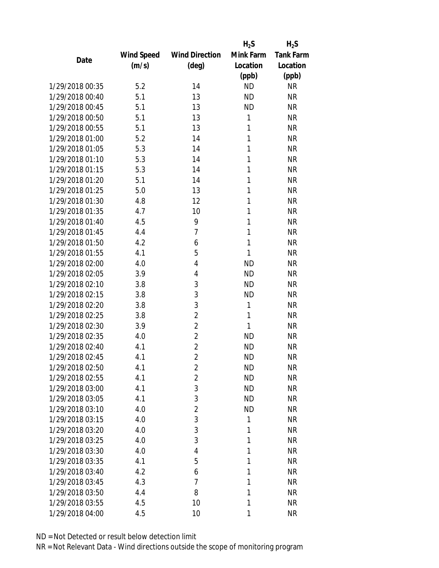|                 |                   |                       | $H_2S$    | $H_2S$           |
|-----------------|-------------------|-----------------------|-----------|------------------|
|                 | <b>Wind Speed</b> | <b>Wind Direction</b> | Mink Farm | <b>Tank Farm</b> |
| Date            | (m/s)             | $(\text{deg})$        | Location  | Location         |
|                 |                   |                       | (ppb)     | (ppb)            |
| 1/29/2018 00:35 | 5.2               | 14                    | <b>ND</b> | <b>NR</b>        |
| 1/29/2018 00:40 | 5.1               | 13                    | <b>ND</b> | <b>NR</b>        |
| 1/29/2018 00:45 | 5.1               | 13                    | <b>ND</b> | <b>NR</b>        |
| 1/29/2018 00:50 | 5.1               | 13                    | 1         | <b>NR</b>        |
| 1/29/2018 00:55 | 5.1               | 13                    | 1         | <b>NR</b>        |
| 1/29/2018 01:00 | 5.2               | 14                    | 1         | <b>NR</b>        |
| 1/29/2018 01:05 | 5.3               | 14                    | 1         | <b>NR</b>        |
| 1/29/2018 01:10 | 5.3               | 14                    | 1         | <b>NR</b>        |
| 1/29/2018 01:15 | 5.3               | 14                    | 1         | <b>NR</b>        |
| 1/29/2018 01:20 | 5.1               | 14                    | 1         | <b>NR</b>        |
| 1/29/2018 01:25 | 5.0               | 13                    | 1         | <b>NR</b>        |
| 1/29/2018 01:30 | 4.8               | 12                    | 1         | <b>NR</b>        |
| 1/29/2018 01:35 | 4.7               | 10                    | 1         | <b>NR</b>        |
| 1/29/2018 01:40 | 4.5               | 9                     | 1         | <b>NR</b>        |
| 1/29/2018 01:45 | 4.4               | $\overline{7}$        | 1         | <b>NR</b>        |
| 1/29/2018 01:50 | 4.2               | 6                     | 1         | <b>NR</b>        |
| 1/29/2018 01:55 | 4.1               | 5                     | 1         | <b>NR</b>        |
| 1/29/2018 02:00 | 4.0               | 4                     | <b>ND</b> | <b>NR</b>        |
| 1/29/2018 02:05 | 3.9               | 4                     | <b>ND</b> | <b>NR</b>        |
| 1/29/2018 02:10 | 3.8               | 3                     | <b>ND</b> | <b>NR</b>        |
| 1/29/2018 02:15 | 3.8               | 3                     | <b>ND</b> | <b>NR</b>        |
| 1/29/2018 02:20 | 3.8               | 3                     | 1         | <b>NR</b>        |
| 1/29/2018 02:25 | 3.8               | $\overline{c}$        | 1         | <b>NR</b>        |
| 1/29/2018 02:30 | 3.9               | $\overline{2}$        | 1         | <b>NR</b>        |
| 1/29/2018 02:35 | 4.0               | $\overline{2}$        | <b>ND</b> | <b>NR</b>        |
| 1/29/2018 02:40 | 4.1               | $\overline{2}$        | <b>ND</b> | <b>NR</b>        |
| 1/29/2018 02:45 | 4.1               | $\overline{2}$        | <b>ND</b> | <b>NR</b>        |
| 1/29/2018 02:50 | 4.1               | $\overline{2}$        | <b>ND</b> | <b>NR</b>        |
| 1/29/2018 02:55 | 4.1               | $\overline{2}$        | <b>ND</b> | <b>NR</b>        |
| 1/29/2018 03:00 | 4.1               | 3                     | <b>ND</b> | <b>NR</b>        |
| 1/29/2018 03:05 | 4.1               | 3                     | <b>ND</b> | <b>NR</b>        |
| 1/29/2018 03:10 | 4.0               | $\overline{2}$        | <b>ND</b> | <b>NR</b>        |
| 1/29/2018 03:15 | 4.0               | 3                     | 1         | <b>NR</b>        |
| 1/29/2018 03:20 | 4.0               | 3                     | 1         | <b>NR</b>        |
| 1/29/2018 03:25 | 4.0               | 3                     | 1         | <b>NR</b>        |
| 1/29/2018 03:30 | 4.0               | 4                     | 1         | <b>NR</b>        |
| 1/29/2018 03:35 | 4.1               | 5                     | 1         | <b>NR</b>        |
|                 |                   |                       |           |                  |
| 1/29/2018 03:40 | 4.2               | 6                     | 1         | <b>NR</b>        |
| 1/29/2018 03:45 | 4.3               | $\overline{7}$        | 1         | <b>NR</b>        |
| 1/29/2018 03:50 | 4.4               | 8                     | 1         | <b>NR</b>        |
| 1/29/2018 03:55 | 4.5               | 10                    | 1         | <b>NR</b>        |
| 1/29/2018 04:00 | 4.5               | 10                    | 1         | <b>NR</b>        |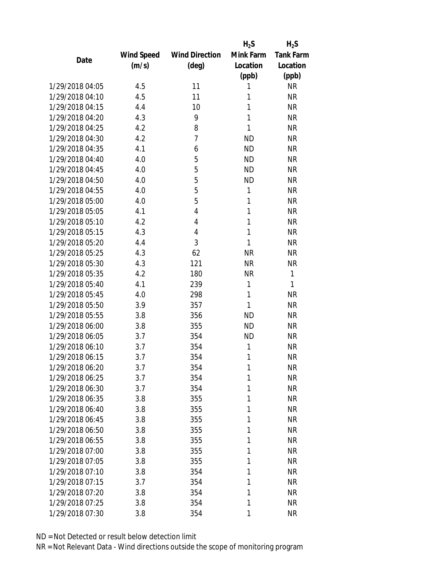|                 |            |                       | $H_2S$    | $H_2S$           |
|-----------------|------------|-----------------------|-----------|------------------|
|                 | Wind Speed | <b>Wind Direction</b> | Mink Farm | <b>Tank Farm</b> |
| Date            | (m/s)      | $(\text{deg})$        | Location  | Location         |
|                 |            |                       | (ppb)     | (ppb)            |
| 1/29/2018 04:05 | 4.5        | 11                    | 1         | <b>NR</b>        |
| 1/29/2018 04:10 | 4.5        | 11                    | 1         | <b>NR</b>        |
| 1/29/2018 04:15 | 4.4        | 10                    | 1         | <b>NR</b>        |
| 1/29/2018 04:20 | 4.3        | 9                     | 1         | <b>NR</b>        |
| 1/29/2018 04:25 | 4.2        | 8                     | 1         | <b>NR</b>        |
| 1/29/2018 04:30 | 4.2        | $\overline{7}$        | <b>ND</b> | <b>NR</b>        |
| 1/29/2018 04:35 | 4.1        | 6                     | <b>ND</b> | <b>NR</b>        |
| 1/29/2018 04:40 | 4.0        | 5                     | <b>ND</b> | <b>NR</b>        |
| 1/29/2018 04:45 | 4.0        | 5                     | <b>ND</b> | <b>NR</b>        |
| 1/29/2018 04:50 | 4.0        | 5                     | <b>ND</b> | <b>NR</b>        |
| 1/29/2018 04:55 | 4.0        | 5                     | 1         | <b>NR</b>        |
| 1/29/2018 05:00 | 4.0        | 5                     | 1         | <b>NR</b>        |
| 1/29/2018 05:05 | 4.1        | $\overline{4}$        | 1         | <b>NR</b>        |
| 1/29/2018 05:10 | 4.2        | $\overline{4}$        | 1         | <b>NR</b>        |
| 1/29/2018 05:15 | 4.3        | 4                     | 1         | <b>NR</b>        |
| 1/29/2018 05:20 | 4.4        | 3                     | 1         | <b>NR</b>        |
| 1/29/2018 05:25 | 4.3        | 62                    | <b>NR</b> | <b>NR</b>        |
| 1/29/2018 05:30 | 4.3        | 121                   | <b>NR</b> | <b>NR</b>        |
| 1/29/2018 05:35 | 4.2        | 180                   | <b>NR</b> | 1                |
| 1/29/2018 05:40 | 4.1        | 239                   | 1         | 1                |
| 1/29/2018 05:45 | 4.0        | 298                   | 1         | <b>NR</b>        |
| 1/29/2018 05:50 | 3.9        | 357                   | 1         | <b>NR</b>        |
| 1/29/2018 05:55 | 3.8        | 356                   | <b>ND</b> | <b>NR</b>        |
| 1/29/2018 06:00 | 3.8        | 355                   | <b>ND</b> | <b>NR</b>        |
| 1/29/2018 06:05 | 3.7        | 354                   | <b>ND</b> | <b>NR</b>        |
| 1/29/2018 06:10 | 3.7        | 354                   | 1         | <b>NR</b>        |
| 1/29/2018 06:15 | 3.7        | 354                   | 1         | <b>NR</b>        |
| 1/29/2018 06:20 | 3.7        | 354                   | 1         | <b>NR</b>        |
| 1/29/2018 06:25 | 3.7        | 354                   | 1         | <b>NR</b>        |
| 1/29/2018 06:30 | 3.7        | 354                   | 1         | <b>NR</b>        |
| 1/29/2018 06:35 | 3.8        | 355                   | 1         | <b>NR</b>        |
| 1/29/2018 06:40 | 3.8        | 355                   | 1         | <b>NR</b>        |
| 1/29/2018 06:45 | 3.8        | 355                   | 1         | <b>NR</b>        |
| 1/29/2018 06:50 | 3.8        | 355                   | 1         | <b>NR</b>        |
| 1/29/2018 06:55 | 3.8        | 355                   | 1         | <b>NR</b>        |
| 1/29/2018 07:00 | 3.8        | 355                   | 1         | <b>NR</b>        |
| 1/29/2018 07:05 | 3.8        | 355                   | 1         | <b>NR</b>        |
| 1/29/2018 07:10 | 3.8        | 354                   | 1         | <b>NR</b>        |
| 1/29/2018 07:15 | 3.7        | 354                   | 1         | <b>NR</b>        |
| 1/29/2018 07:20 | 3.8        | 354                   | 1         | <b>NR</b>        |
| 1/29/2018 07:25 | 3.8        | 354                   | 1         | <b>NR</b>        |
| 1/29/2018 07:30 | 3.8        | 354                   | 1         | <b>NR</b>        |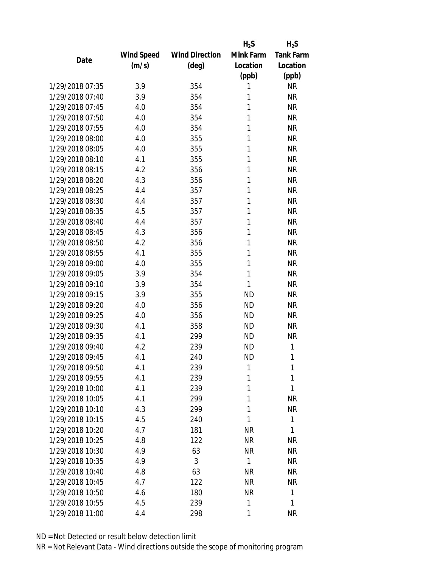|                 |            |                       | $H_2S$       | $H_2S$           |
|-----------------|------------|-----------------------|--------------|------------------|
|                 | Wind Speed | <b>Wind Direction</b> | Mink Farm    | <b>Tank Farm</b> |
| Date            | (m/s)      | $(\text{deg})$        | Location     | Location         |
|                 |            |                       | (ppb)        | (ppb)            |
| 1/29/2018 07:35 | 3.9        | 354                   | 1            | <b>NR</b>        |
| 1/29/2018 07:40 | 3.9        | 354                   | 1            | <b>NR</b>        |
| 1/29/2018 07:45 | 4.0        | 354                   | 1            | <b>NR</b>        |
| 1/29/2018 07:50 | 4.0        | 354                   | 1            | <b>NR</b>        |
| 1/29/2018 07:55 | 4.0        | 354                   | 1            | <b>NR</b>        |
| 1/29/2018 08:00 | 4.0        | 355                   | 1            | <b>NR</b>        |
| 1/29/2018 08:05 | 4.0        | 355                   | 1            | <b>NR</b>        |
| 1/29/2018 08:10 | 4.1        | 355                   | 1            | <b>NR</b>        |
| 1/29/2018 08:15 | 4.2        | 356                   | 1            | <b>NR</b>        |
| 1/29/2018 08:20 | 4.3        | 356                   | 1            | <b>NR</b>        |
| 1/29/2018 08:25 | 4.4        | 357                   | 1            | <b>NR</b>        |
| 1/29/2018 08:30 | 4.4        | 357                   | 1            | <b>NR</b>        |
| 1/29/2018 08:35 | 4.5        | 357                   | 1            | <b>NR</b>        |
| 1/29/2018 08:40 | 4.4        | 357                   | 1            | <b>NR</b>        |
| 1/29/2018 08:45 | 4.3        | 356                   | 1            | <b>NR</b>        |
| 1/29/2018 08:50 | 4.2        | 356                   | 1            | <b>NR</b>        |
| 1/29/2018 08:55 | 4.1        | 355                   | 1            | <b>NR</b>        |
| 1/29/2018 09:00 | 4.0        | 355                   | 1            | <b>NR</b>        |
| 1/29/2018 09:05 | 3.9        | 354                   | 1            | <b>NR</b>        |
| 1/29/2018 09:10 | 3.9        | 354                   | 1            | <b>NR</b>        |
| 1/29/2018 09:15 | 3.9        | 355                   | <b>ND</b>    | <b>NR</b>        |
| 1/29/2018 09:20 | 4.0        | 356                   | <b>ND</b>    | <b>NR</b>        |
| 1/29/2018 09:25 | 4.0        | 356                   | <b>ND</b>    | <b>NR</b>        |
| 1/29/2018 09:30 | 4.1        | 358                   | <b>ND</b>    | <b>NR</b>        |
| 1/29/2018 09:35 | 4.1        | 299                   | <b>ND</b>    | NR               |
| 1/29/2018 09:40 | 4.2        | 239                   | <b>ND</b>    | 1                |
| 1/29/2018 09:45 | 4.1        | 240                   | <b>ND</b>    | 1                |
| 1/29/2018 09:50 | 4.1        | 239                   | 1            | 1                |
| 1/29/2018 09:55 | 4.1        | 239                   | 1            | 1                |
| 1/29/2018 10:00 | 4.1        | 239                   | 1            | 1                |
| 1/29/2018 10:05 | 4.1        | 299                   | 1            | <b>NR</b>        |
| 1/29/2018 10:10 | 4.3        | 299                   | 1            | <b>NR</b>        |
| 1/29/2018 10:15 | 4.5        | 240                   | 1            | 1                |
| 1/29/2018 10:20 | 4.7        | 181                   | <b>NR</b>    | 1                |
| 1/29/2018 10:25 | 4.8        | 122                   | <b>NR</b>    | <b>NR</b>        |
| 1/29/2018 10:30 | 4.9        | 63                    | <b>NR</b>    | <b>NR</b>        |
| 1/29/2018 10:35 | 4.9        | 3                     | $\mathbf{1}$ | <b>NR</b>        |
|                 |            |                       |              |                  |
| 1/29/2018 10:40 | 4.8        | 63                    | <b>NR</b>    | <b>NR</b>        |
| 1/29/2018 10:45 | 4.7        | 122                   | <b>NR</b>    | <b>NR</b>        |
| 1/29/2018 10:50 | 4.6        | 180                   | <b>NR</b>    | 1                |
| 1/29/2018 10:55 | 4.5        | 239                   | 1            | 1                |
| 1/29/2018 11:00 | 4.4        | 298                   | 1            | <b>NR</b>        |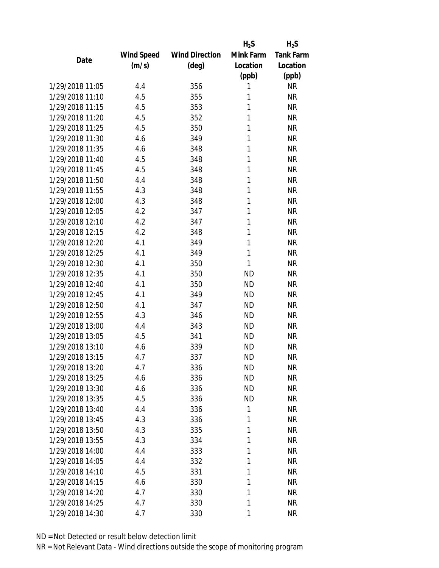|                 |                   |                       | $H_2S$    | $H_2S$           |
|-----------------|-------------------|-----------------------|-----------|------------------|
|                 | <b>Wind Speed</b> | <b>Wind Direction</b> | Mink Farm | <b>Tank Farm</b> |
| Date            | (m/s)             | $(\text{deg})$        | Location  | Location         |
|                 |                   |                       | (ppb)     | (ppb)            |
| 1/29/2018 11:05 | 4.4               | 356                   | 1         | <b>NR</b>        |
| 1/29/2018 11:10 | 4.5               | 355                   | 1         | <b>NR</b>        |
| 1/29/2018 11:15 | 4.5               | 353                   | 1         | <b>NR</b>        |
| 1/29/2018 11:20 | 4.5               | 352                   | 1         | <b>NR</b>        |
| 1/29/2018 11:25 | 4.5               | 350                   | 1         | <b>NR</b>        |
| 1/29/2018 11:30 | 4.6               | 349                   | 1         | <b>NR</b>        |
| 1/29/2018 11:35 | 4.6               | 348                   | 1         | <b>NR</b>        |
| 1/29/2018 11:40 | 4.5               | 348                   | 1         | <b>NR</b>        |
| 1/29/2018 11:45 | 4.5               | 348                   | 1         | <b>NR</b>        |
| 1/29/2018 11:50 | 4.4               | 348                   | 1         | <b>NR</b>        |
| 1/29/2018 11:55 | 4.3               | 348                   | 1         | <b>NR</b>        |
| 1/29/2018 12:00 | 4.3               | 348                   | 1         | <b>NR</b>        |
| 1/29/2018 12:05 | 4.2               | 347                   | 1         | <b>NR</b>        |
| 1/29/2018 12:10 | 4.2               | 347                   | 1         | <b>NR</b>        |
| 1/29/2018 12:15 | 4.2               | 348                   | 1         | <b>NR</b>        |
| 1/29/2018 12:20 | 4.1               | 349                   | 1         | <b>NR</b>        |
| 1/29/2018 12:25 | 4.1               | 349                   | 1         | <b>NR</b>        |
| 1/29/2018 12:30 | 4.1               | 350                   | 1         | <b>NR</b>        |
| 1/29/2018 12:35 | 4.1               | 350                   | <b>ND</b> | <b>NR</b>        |
| 1/29/2018 12:40 | 4.1               | 350                   | <b>ND</b> | <b>NR</b>        |
| 1/29/2018 12:45 | 4.1               | 349                   | <b>ND</b> | <b>NR</b>        |
| 1/29/2018 12:50 | 4.1               | 347                   | <b>ND</b> | <b>NR</b>        |
| 1/29/2018 12:55 | 4.3               | 346                   | <b>ND</b> | <b>NR</b>        |
| 1/29/2018 13:00 | 4.4               | 343                   | <b>ND</b> | <b>NR</b>        |
| 1/29/2018 13:05 | 4.5               | 341                   | <b>ND</b> | <b>NR</b>        |
| 1/29/2018 13:10 | 4.6               | 339                   | <b>ND</b> | <b>NR</b>        |
| 1/29/2018 13:15 | 4.7               | 337                   | <b>ND</b> | <b>NR</b>        |
| 1/29/2018 13:20 | 4.7               | 336                   | ND        | <b>NR</b>        |
| 1/29/2018 13:25 | 4.6               | 336                   | <b>ND</b> | <b>NR</b>        |
| 1/29/2018 13:30 | 4.6               | 336                   | <b>ND</b> | <b>NR</b>        |
| 1/29/2018 13:35 | 4.5               | 336                   | <b>ND</b> | <b>NR</b>        |
| 1/29/2018 13:40 | 4.4               | 336                   | 1         | <b>NR</b>        |
| 1/29/2018 13:45 | 4.3               | 336                   | 1         | <b>NR</b>        |
| 1/29/2018 13:50 | 4.3               | 335                   | 1         | <b>NR</b>        |
| 1/29/2018 13:55 | 4.3               | 334                   | 1         | <b>NR</b>        |
| 1/29/2018 14:00 | 4.4               | 333                   | 1         | <b>NR</b>        |
| 1/29/2018 14:05 | 4.4               | 332                   | 1         | <b>NR</b>        |
| 1/29/2018 14:10 | 4.5               | 331                   | 1         | <b>NR</b>        |
| 1/29/2018 14:15 |                   |                       | 1         | <b>NR</b>        |
|                 | 4.6               | 330                   |           |                  |
| 1/29/2018 14:20 | 4.7               | 330                   | 1         | <b>NR</b>        |
| 1/29/2018 14:25 | 4.7               | 330                   | 1         | <b>NR</b>        |
| 1/29/2018 14:30 | 4.7               | 330                   | 1         | <b>NR</b>        |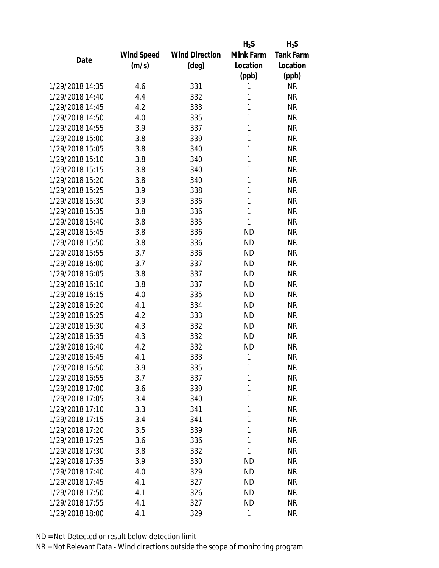|                 |                   |                       | $H_2S$    | $H_2S$           |
|-----------------|-------------------|-----------------------|-----------|------------------|
|                 | <b>Wind Speed</b> | <b>Wind Direction</b> | Mink Farm | <b>Tank Farm</b> |
| Date            | (m/s)             | $(\text{deg})$        | Location  | Location         |
|                 |                   |                       | (ppb)     | (ppb)            |
| 1/29/2018 14:35 | 4.6               | 331                   | 1         | <b>NR</b>        |
| 1/29/2018 14:40 | 4.4               | 332                   | 1         | <b>NR</b>        |
| 1/29/2018 14:45 | 4.2               | 333                   | 1         | <b>NR</b>        |
| 1/29/2018 14:50 | 4.0               | 335                   | 1         | <b>NR</b>        |
| 1/29/2018 14:55 | 3.9               | 337                   | 1         | <b>NR</b>        |
| 1/29/2018 15:00 | 3.8               | 339                   | 1         | <b>NR</b>        |
| 1/29/2018 15:05 | 3.8               | 340                   | 1         | <b>NR</b>        |
| 1/29/2018 15:10 | 3.8               | 340                   | 1         | <b>NR</b>        |
| 1/29/2018 15:15 | 3.8               | 340                   | 1         | <b>NR</b>        |
| 1/29/2018 15:20 | 3.8               | 340                   | 1         | <b>NR</b>        |
| 1/29/2018 15:25 | 3.9               | 338                   | 1         | <b>NR</b>        |
| 1/29/2018 15:30 | 3.9               | 336                   | 1         | <b>NR</b>        |
| 1/29/2018 15:35 | 3.8               | 336                   | 1         | <b>NR</b>        |
| 1/29/2018 15:40 | 3.8               | 335                   | 1         | <b>NR</b>        |
| 1/29/2018 15:45 | 3.8               | 336                   | <b>ND</b> | <b>NR</b>        |
| 1/29/2018 15:50 | 3.8               | 336                   | <b>ND</b> | <b>NR</b>        |
| 1/29/2018 15:55 | 3.7               | 336                   | <b>ND</b> | <b>NR</b>        |
| 1/29/2018 16:00 | 3.7               | 337                   | <b>ND</b> | <b>NR</b>        |
| 1/29/2018 16:05 | 3.8               | 337                   | <b>ND</b> | <b>NR</b>        |
| 1/29/2018 16:10 | 3.8               | 337                   | <b>ND</b> | <b>NR</b>        |
| 1/29/2018 16:15 | 4.0               | 335                   | <b>ND</b> | <b>NR</b>        |
| 1/29/2018 16:20 | 4.1               | 334                   | <b>ND</b> | <b>NR</b>        |
| 1/29/2018 16:25 | 4.2               | 333                   | <b>ND</b> | <b>NR</b>        |
| 1/29/2018 16:30 | 4.3               | 332                   | <b>ND</b> | <b>NR</b>        |
| 1/29/2018 16:35 | 4.3               | 332                   | <b>ND</b> | <b>NR</b>        |
| 1/29/2018 16:40 | 4.2               | 332                   | <b>ND</b> | <b>NR</b>        |
| 1/29/2018 16:45 | 4.1               | 333                   | 1         | <b>NR</b>        |
| 1/29/2018 16:50 | 3.9               | 335                   | 1         | <b>NR</b>        |
| 1/29/2018 16:55 | 3.7               | 337                   | 1         | <b>NR</b>        |
| 1/29/2018 17:00 | 3.6               | 339                   | 1         | <b>NR</b>        |
| 1/29/2018 17:05 | 3.4               | 340                   | 1         | <b>NR</b>        |
| 1/29/2018 17:10 | 3.3               | 341                   | 1         | <b>NR</b>        |
| 1/29/2018 17:15 |                   |                       | 1         | <b>NR</b>        |
|                 | 3.4               | 341                   | 1         |                  |
| 1/29/2018 17:20 | 3.5               | 339                   |           | <b>NR</b>        |
| 1/29/2018 17:25 | 3.6               | 336                   | 1         | <b>NR</b>        |
| 1/29/2018 17:30 | 3.8               | 332                   | 1         | <b>NR</b>        |
| 1/29/2018 17:35 | 3.9               | 330                   | <b>ND</b> | <b>NR</b>        |
| 1/29/2018 17:40 | 4.0               | 329                   | <b>ND</b> | <b>NR</b>        |
| 1/29/2018 17:45 | 4.1               | 327                   | <b>ND</b> | <b>NR</b>        |
| 1/29/2018 17:50 | 4.1               | 326                   | <b>ND</b> | <b>NR</b>        |
| 1/29/2018 17:55 | 4.1               | 327                   | <b>ND</b> | <b>NR</b>        |
| 1/29/2018 18:00 | 4.1               | 329                   | 1         | <b>NR</b>        |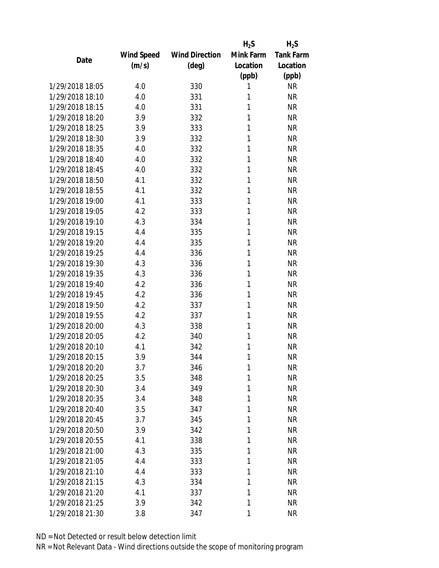|                 |            |                       | $H_2S$    | $H_2S$           |
|-----------------|------------|-----------------------|-----------|------------------|
|                 | Wind Speed | <b>Wind Direction</b> | Mink Farm | <b>Tank Farm</b> |
| Date            | (m/s)      | $(\text{deg})$        | Location  | Location         |
|                 |            |                       | (ppb)     | (ppb)            |
| 1/29/2018 18:05 | 4.0        | 330                   | 1         | <b>NR</b>        |
| 1/29/2018 18:10 | 4.0        | 331                   | 1         | <b>NR</b>        |
| 1/29/2018 18:15 | 4.0        | 331                   | 1         | <b>NR</b>        |
| 1/29/2018 18:20 | 3.9        | 332                   | 1         | <b>NR</b>        |
| 1/29/2018 18:25 | 3.9        | 333                   | 1         | <b>NR</b>        |
| 1/29/2018 18:30 | 3.9        | 332                   | 1         | <b>NR</b>        |
| 1/29/2018 18:35 | 4.0        | 332                   | 1         | <b>NR</b>        |
| 1/29/2018 18:40 | 4.0        | 332                   | 1         | <b>NR</b>        |
| 1/29/2018 18:45 | 4.0        | 332                   | 1         | <b>NR</b>        |
| 1/29/2018 18:50 | 4.1        | 332                   | 1         | <b>NR</b>        |
| 1/29/2018 18:55 | 4.1        | 332                   | 1         | <b>NR</b>        |
| 1/29/2018 19:00 | 4.1        | 333                   | 1         | <b>NR</b>        |
| 1/29/2018 19:05 | 4.2        | 333                   | 1         | <b>NR</b>        |
| 1/29/2018 19:10 | 4.3        | 334                   | 1         | <b>NR</b>        |
| 1/29/2018 19:15 | 4.4        | 335                   | 1         | <b>NR</b>        |
| 1/29/2018 19:20 | 4.4        | 335                   | 1         | <b>NR</b>        |
| 1/29/2018 19:25 | 4.4        | 336                   | 1         | <b>NR</b>        |
| 1/29/2018 19:30 | 4.3        | 336                   | 1         | <b>NR</b>        |
| 1/29/2018 19:35 | 4.3        | 336                   | 1         | <b>NR</b>        |
| 1/29/2018 19:40 | 4.2        | 336                   | 1         | <b>NR</b>        |
| 1/29/2018 19:45 | 4.2        | 336                   | 1         | <b>NR</b>        |
| 1/29/2018 19:50 | 4.2        | 337                   | 1         | <b>NR</b>        |
| 1/29/2018 19:55 | 4.2        | 337                   | 1         | <b>NR</b>        |
| 1/29/2018 20:00 | 4.3        | 338                   | 1         | <b>NR</b>        |
| 1/29/2018 20:05 | 4.2        | 340                   | 1         | <b>NR</b>        |
| 1/29/2018 20:10 | 4.1        | 342                   | 1         | <b>NR</b>        |
| 1/29/2018 20:15 | 3.9        | 344                   | 1         | <b>NR</b>        |
| 1/29/2018 20:20 | 3.7        | 346                   | 1         | <b>NR</b>        |
| 1/29/2018 20:25 | 3.5        | 348                   | 1         | <b>NR</b>        |
| 1/29/2018 20:30 | 3.4        | 349                   | 1         | <b>NR</b>        |
| 1/29/2018 20:35 | 3.4        | 348                   | 1         | <b>NR</b>        |
| 1/29/2018 20:40 | 3.5        | 347                   | 1         | <b>NR</b>        |
| 1/29/2018 20:45 | 3.7        | 345                   | 1         | <b>NR</b>        |
| 1/29/2018 20:50 | 3.9        | 342                   | 1         | <b>NR</b>        |
| 1/29/2018 20:55 | 4.1        | 338                   | 1         | <b>NR</b>        |
| 1/29/2018 21:00 | 4.3        | 335                   | 1         | <b>NR</b>        |
| 1/29/2018 21:05 | 4.4        | 333                   | 1         | <b>NR</b>        |
| 1/29/2018 21:10 | 4.4        | 333                   | 1         | <b>NR</b>        |
| 1/29/2018 21:15 | 4.3        | 334                   | 1         | <b>NR</b>        |
| 1/29/2018 21:20 | 4.1        | 337                   | 1         | <b>NR</b>        |
| 1/29/2018 21:25 | 3.9        | 342                   | 1         | <b>NR</b>        |
| 1/29/2018 21:30 | 3.8        | 347                   | 1         | <b>NR</b>        |
|                 |            |                       |           |                  |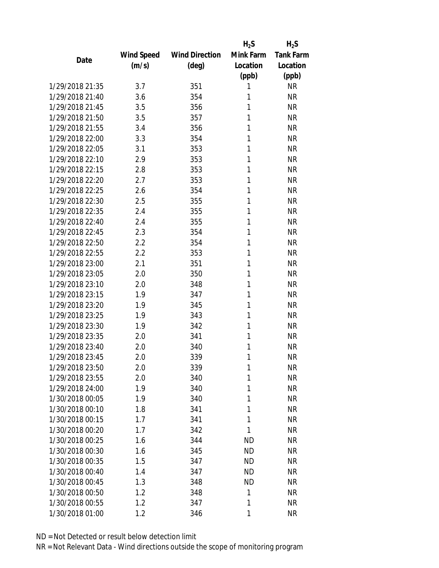|                 |                   |                       | $H_2S$    | $H_2S$           |
|-----------------|-------------------|-----------------------|-----------|------------------|
|                 | <b>Wind Speed</b> | <b>Wind Direction</b> | Mink Farm | <b>Tank Farm</b> |
| Date            | (m/s)             | $(\text{deg})$        | Location  | Location         |
|                 |                   |                       | (ppb)     | (ppb)            |
| 1/29/2018 21:35 | 3.7               | 351                   | 1         | <b>NR</b>        |
| 1/29/2018 21:40 | 3.6               | 354                   | 1         | <b>NR</b>        |
| 1/29/2018 21:45 | 3.5               | 356                   | 1         | <b>NR</b>        |
| 1/29/2018 21:50 | 3.5               | 357                   | 1         | <b>NR</b>        |
| 1/29/2018 21:55 | 3.4               | 356                   | 1         | <b>NR</b>        |
| 1/29/2018 22:00 | 3.3               | 354                   | 1         | <b>NR</b>        |
| 1/29/2018 22:05 | 3.1               | 353                   | 1         | <b>NR</b>        |
| 1/29/2018 22:10 | 2.9               | 353                   | 1         | <b>NR</b>        |
| 1/29/2018 22:15 | 2.8               | 353                   | 1         | <b>NR</b>        |
| 1/29/2018 22:20 | 2.7               | 353                   | 1         | <b>NR</b>        |
| 1/29/2018 22:25 | 2.6               | 354                   | 1         | <b>NR</b>        |
| 1/29/2018 22:30 | 2.5               | 355                   | 1         | <b>NR</b>        |
| 1/29/2018 22:35 | 2.4               | 355                   | 1         | <b>NR</b>        |
| 1/29/2018 22:40 | 2.4               | 355                   | 1         | <b>NR</b>        |
| 1/29/2018 22:45 | 2.3               | 354                   | 1         | <b>NR</b>        |
| 1/29/2018 22:50 | 2.2               | 354                   | 1         | <b>NR</b>        |
| 1/29/2018 22:55 | 2.2               | 353                   | 1         | <b>NR</b>        |
| 1/29/2018 23:00 | 2.1               | 351                   | 1         | <b>NR</b>        |
| 1/29/2018 23:05 | 2.0               | 350                   | 1         | <b>NR</b>        |
| 1/29/2018 23:10 | 2.0               | 348                   | 1         | <b>NR</b>        |
| 1/29/2018 23:15 | 1.9               | 347                   | 1         | <b>NR</b>        |
| 1/29/2018 23:20 | 1.9               | 345                   | 1         | <b>NR</b>        |
| 1/29/2018 23:25 | 1.9               | 343                   | 1         | <b>NR</b>        |
| 1/29/2018 23:30 | 1.9               | 342                   | 1         | <b>NR</b>        |
| 1/29/2018 23:35 | 2.0               | 341                   | 1         | <b>NR</b>        |
| 1/29/2018 23:40 | 2.0               | 340                   | 1         | <b>NR</b>        |
| 1/29/2018 23:45 | 2.0               | 339                   | 1         | <b>NR</b>        |
| 1/29/2018 23:50 | 2.0               | 339                   | 1         | <b>NR</b>        |
| 1/29/2018 23:55 | 2.0               | 340                   | 1         | <b>NR</b>        |
| 1/29/2018 24:00 | 1.9               | 340                   | 1         | <b>NR</b>        |
| 1/30/2018 00:05 | 1.9               | 340                   | 1         | <b>NR</b>        |
| 1/30/2018 00:10 | 1.8               | 341                   | 1         | <b>NR</b>        |
| 1/30/2018 00:15 | 1.7               | 341                   | 1         | <b>NR</b>        |
| 1/30/2018 00:20 | 1.7               | 342                   | 1         | <b>NR</b>        |
| 1/30/2018 00:25 | 1.6               | 344                   | <b>ND</b> | <b>NR</b>        |
| 1/30/2018 00:30 | 1.6               | 345                   | <b>ND</b> | <b>NR</b>        |
| 1/30/2018 00:35 | 1.5               | 347                   | <b>ND</b> | <b>NR</b>        |
| 1/30/2018 00:40 | 1.4               | 347                   | <b>ND</b> | <b>NR</b>        |
| 1/30/2018 00:45 |                   |                       | <b>ND</b> | <b>NR</b>        |
| 1/30/2018 00:50 | 1.3<br>1.2        | 348                   | 1         | <b>NR</b>        |
|                 |                   | 348                   |           |                  |
| 1/30/2018 00:55 | 1.2               | 347                   | 1         | <b>NR</b>        |
| 1/30/2018 01:00 | 1.2               | 346                   | 1         | <b>NR</b>        |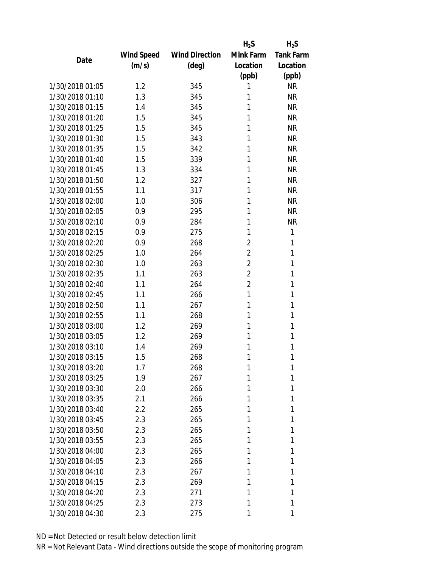|                 |            |                       | $H_2S$         | $H_2S$           |
|-----------------|------------|-----------------------|----------------|------------------|
|                 | Wind Speed | <b>Wind Direction</b> | Mink Farm      | <b>Tank Farm</b> |
| Date            | (m/s)      | $(\text{deg})$        | Location       | Location         |
|                 |            |                       | (ppb)          | (ppb)            |
| 1/30/2018 01:05 | 1.2        | 345                   | 1              | <b>NR</b>        |
| 1/30/2018 01:10 | 1.3        | 345                   | 1              | <b>NR</b>        |
| 1/30/2018 01:15 | 1.4        | 345                   | 1              | <b>NR</b>        |
| 1/30/2018 01:20 | 1.5        | 345                   | 1              | <b>NR</b>        |
| 1/30/2018 01:25 | 1.5        | 345                   | 1              | <b>NR</b>        |
| 1/30/2018 01:30 | 1.5        | 343                   | 1              | <b>NR</b>        |
| 1/30/2018 01:35 | 1.5        | 342                   | 1              | <b>NR</b>        |
| 1/30/2018 01:40 | 1.5        | 339                   | 1              | <b>NR</b>        |
| 1/30/2018 01:45 | 1.3        | 334                   | 1              | <b>NR</b>        |
| 1/30/2018 01:50 | 1.2        | 327                   | 1              | <b>NR</b>        |
| 1/30/2018 01:55 | 1.1        | 317                   | 1              | <b>NR</b>        |
| 1/30/2018 02:00 | 1.0        | 306                   | 1              | <b>NR</b>        |
| 1/30/2018 02:05 | 0.9        | 295                   | 1              | <b>NR</b>        |
| 1/30/2018 02:10 | 0.9        | 284                   | 1              | <b>NR</b>        |
| 1/30/2018 02:15 | 0.9        | 275                   | 1              | 1                |
| 1/30/2018 02:20 | 0.9        | 268                   | $\overline{2}$ | 1                |
| 1/30/2018 02:25 | 1.0        | 264                   | $\overline{2}$ | 1                |
| 1/30/2018 02:30 | 1.0        | 263                   | $\overline{2}$ | 1                |
| 1/30/2018 02:35 | 1.1        | 263                   | $\overline{2}$ | 1                |
| 1/30/2018 02:40 | 1.1        | 264                   | $\overline{2}$ | 1                |
| 1/30/2018 02:45 | 1.1        | 266                   | 1              | 1                |
| 1/30/2018 02:50 | 1.1        | 267                   | 1              | 1                |
| 1/30/2018 02:55 | 1.1        | 268                   | 1              | 1                |
| 1/30/2018 03:00 | 1.2        | 269                   | 1              | 1                |
| 1/30/2018 03:05 | 1.2        | 269                   | 1              | 1                |
| 1/30/2018 03:10 | 1.4        | 269                   | 1              | 1                |
| 1/30/2018 03:15 | 1.5        | 268                   | 1              | 1                |
| 1/30/2018 03:20 | 1.7        | 268                   | 1              | 1                |
| 1/30/2018 03:25 | 1.9        | 267                   | 1              | 1                |
| 1/30/2018 03:30 | 2.0        | 266                   | 1              | 1                |
| 1/30/2018 03:35 | 2.1        | 266                   | 1              | 1                |
| 1/30/2018 03:40 | $2.2\,$    | 265                   | 1              | 1                |
| 1/30/2018 03:45 | 2.3        | 265                   | 1              | 1                |
| 1/30/2018 03:50 | 2.3        | 265                   | 1              | 1                |
| 1/30/2018 03:55 | 2.3        | 265                   | 1              | 1                |
| 1/30/2018 04:00 | 2.3        | 265                   | 1              | 1                |
| 1/30/2018 04:05 | 2.3        | 266                   | 1              | 1                |
| 1/30/2018 04:10 | 2.3        | 267                   | 1              | 1                |
| 1/30/2018 04:15 | 2.3        | 269                   | 1              | 1                |
| 1/30/2018 04:20 | 2.3        | 271                   | 1              | 1                |
| 1/30/2018 04:25 | 2.3        | 273                   | 1              | 1                |
| 1/30/2018 04:30 | 2.3        | 275                   | 1              | 1                |
|                 |            |                       |                |                  |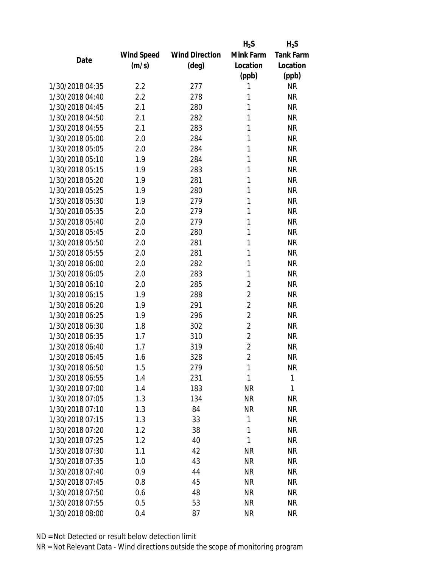|                 |                   |                       | $H_2S$         | $H_2S$           |
|-----------------|-------------------|-----------------------|----------------|------------------|
|                 | <b>Wind Speed</b> | <b>Wind Direction</b> | Mink Farm      | <b>Tank Farm</b> |
| Date            | (m/s)             | $(\text{deg})$        | Location       | Location         |
|                 |                   |                       | (ppb)          | (ppb)            |
| 1/30/2018 04:35 | 2.2               | 277                   | 1              | <b>NR</b>        |
| 1/30/2018 04:40 | 2.2               | 278                   | 1              | <b>NR</b>        |
| 1/30/2018 04:45 | 2.1               | 280                   | 1              | <b>NR</b>        |
| 1/30/2018 04:50 | 2.1               | 282                   | 1              | <b>NR</b>        |
| 1/30/2018 04:55 | 2.1               | 283                   | 1              | <b>NR</b>        |
| 1/30/2018 05:00 | 2.0               | 284                   | 1              | <b>NR</b>        |
| 1/30/2018 05:05 | 2.0               | 284                   | 1              | <b>NR</b>        |
| 1/30/2018 05:10 | 1.9               | 284                   | 1              | <b>NR</b>        |
| 1/30/2018 05:15 | 1.9               | 283                   | 1              | <b>NR</b>        |
| 1/30/2018 05:20 | 1.9               | 281                   | 1              | <b>NR</b>        |
| 1/30/2018 05:25 | 1.9               | 280                   | 1              | <b>NR</b>        |
| 1/30/2018 05:30 | 1.9               | 279                   | 1              | <b>NR</b>        |
| 1/30/2018 05:35 | 2.0               | 279                   | 1              | <b>NR</b>        |
| 1/30/2018 05:40 | 2.0               | 279                   | 1              | <b>NR</b>        |
| 1/30/2018 05:45 | 2.0               | 280                   | 1              | <b>NR</b>        |
| 1/30/2018 05:50 | 2.0               | 281                   | 1              | <b>NR</b>        |
| 1/30/2018 05:55 | 2.0               | 281                   | 1              | <b>NR</b>        |
| 1/30/2018 06:00 | 2.0               | 282                   | 1              | <b>NR</b>        |
| 1/30/2018 06:05 | 2.0               | 283                   | 1              | <b>NR</b>        |
| 1/30/2018 06:10 | 2.0               | 285                   | $\overline{2}$ | <b>NR</b>        |
| 1/30/2018 06:15 | 1.9               | 288                   | $\overline{2}$ | <b>NR</b>        |
| 1/30/2018 06:20 | 1.9               | 291                   | $\overline{2}$ | <b>NR</b>        |
| 1/30/2018 06:25 | 1.9               | 296                   | $\overline{2}$ | <b>NR</b>        |
| 1/30/2018 06:30 | 1.8               | 302                   | $\overline{2}$ | <b>NR</b>        |
| 1/30/2018 06:35 | 1.7               | 310                   | $\overline{2}$ | <b>NR</b>        |
| 1/30/2018 06:40 | 1.7               | 319                   | $\overline{2}$ | <b>NR</b>        |
| 1/30/2018 06:45 | 1.6               | 328                   | $\overline{2}$ | <b>NR</b>        |
| 1/30/2018 06:50 | 1.5               | 279                   | 1              | <b>NR</b>        |
| 1/30/2018 06:55 | 1.4               | 231                   | 1              | 1                |
| 1/30/2018 07:00 | 1.4               | 183                   | <b>NR</b>      | 1                |
| 1/30/2018 07:05 | 1.3               | 134                   | <b>NR</b>      | <b>NR</b>        |
| 1/30/2018 07:10 | 1.3               | 84                    | <b>NR</b>      | <b>NR</b>        |
| 1/30/2018 07:15 | 1.3               | 33                    | 1              | <b>NR</b>        |
| 1/30/2018 07:20 | 1.2               | 38                    | 1              | <b>NR</b>        |
| 1/30/2018 07:25 | 1.2               | 40                    | 1              | <b>NR</b>        |
| 1/30/2018 07:30 | 1.1               | 42                    | <b>NR</b>      | <b>NR</b>        |
| 1/30/2018 07:35 | 1.0               | 43                    | <b>NR</b>      | <b>NR</b>        |
| 1/30/2018 07:40 | 0.9               | 44                    | <b>NR</b>      | <b>NR</b>        |
| 1/30/2018 07:45 | 0.8               | 45                    | <b>NR</b>      | <b>NR</b>        |
| 1/30/2018 07:50 |                   | 48                    | <b>NR</b>      | <b>NR</b>        |
|                 | 0.6               |                       |                |                  |
| 1/30/2018 07:55 | 0.5               | 53                    | <b>NR</b>      | <b>NR</b>        |
| 1/30/2018 08:00 | 0.4               | 87                    | <b>NR</b>      | <b>NR</b>        |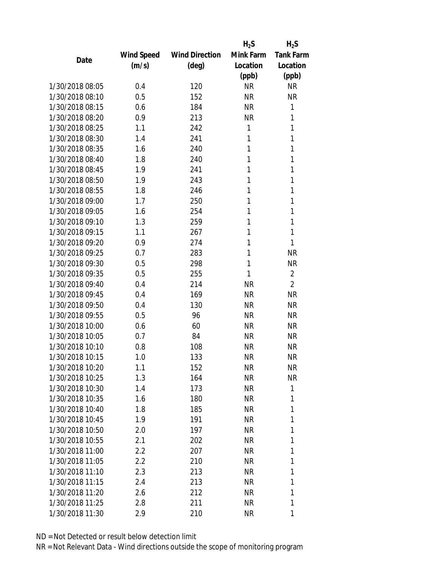|                 |            |                       | $H_2S$    | $H_2S$           |
|-----------------|------------|-----------------------|-----------|------------------|
|                 | Wind Speed | <b>Wind Direction</b> | Mink Farm | <b>Tank Farm</b> |
| Date            | (m/s)      | $(\text{deg})$        | Location  | Location         |
|                 |            |                       | (ppb)     | (ppb)            |
| 1/30/2018 08:05 | 0.4        | 120                   | <b>NR</b> | <b>NR</b>        |
| 1/30/2018 08:10 | 0.5        | 152                   | <b>NR</b> | <b>NR</b>        |
| 1/30/2018 08:15 | 0.6        | 184                   | <b>NR</b> | 1                |
| 1/30/2018 08:20 | 0.9        | 213                   | <b>NR</b> | 1                |
| 1/30/2018 08:25 | 1.1        | 242                   | 1         | 1                |
| 1/30/2018 08:30 | 1.4        | 241                   | 1         | 1                |
| 1/30/2018 08:35 | 1.6        | 240                   | 1         | 1                |
| 1/30/2018 08:40 | 1.8        | 240                   | 1         | 1                |
| 1/30/2018 08:45 | 1.9        | 241                   | 1         | 1                |
| 1/30/2018 08:50 | 1.9        | 243                   | 1         | 1                |
| 1/30/2018 08:55 | 1.8        | 246                   | 1         | 1                |
| 1/30/2018 09:00 | 1.7        | 250                   | 1         | 1                |
| 1/30/2018 09:05 | 1.6        | 254                   | 1         | 1                |
| 1/30/2018 09:10 | 1.3        | 259                   | 1         | 1                |
| 1/30/2018 09:15 | 1.1        | 267                   | 1         | 1                |
| 1/30/2018 09:20 | 0.9        | 274                   | 1         | 1                |
| 1/30/2018 09:25 | 0.7        | 283                   | 1         | <b>NR</b>        |
| 1/30/2018 09:30 | 0.5        | 298                   | 1         | <b>NR</b>        |
| 1/30/2018 09:35 | 0.5        | 255                   | 1         | $\overline{2}$   |
| 1/30/2018 09:40 | 0.4        | 214                   | <b>NR</b> | $\overline{2}$   |
| 1/30/2018 09:45 | 0.4        | 169                   | <b>NR</b> | <b>NR</b>        |
| 1/30/2018 09:50 | 0.4        | 130                   | <b>NR</b> | <b>NR</b>        |
| 1/30/2018 09:55 | 0.5        | 96                    | <b>NR</b> | <b>NR</b>        |
| 1/30/2018 10:00 | 0.6        | 60                    | <b>NR</b> | <b>NR</b>        |
| 1/30/2018 10:05 | 0.7        | 84                    | <b>NR</b> | <b>NR</b>        |
| 1/30/2018 10:10 | 0.8        | 108                   | <b>NR</b> | <b>NR</b>        |
| 1/30/2018 10:15 | 1.0        | 133                   | <b>NR</b> | <b>NR</b>        |
| 1/30/2018 10:20 | 1.1        | 152                   | <b>NR</b> | <b>NR</b>        |
| 1/30/2018 10:25 | 1.3        | 164                   | <b>NR</b> | <b>NR</b>        |
| 1/30/2018 10:30 | 1.4        | 173                   | <b>NR</b> | 1                |
| 1/30/2018 10:35 | 1.6        | 180                   | <b>NR</b> | 1                |
| 1/30/2018 10:40 | 1.8        | 185                   | <b>NR</b> | 1                |
| 1/30/2018 10:45 | 1.9        | 191                   | <b>NR</b> | 1                |
| 1/30/2018 10:50 | 2.0        | 197                   | <b>NR</b> | 1                |
| 1/30/2018 10:55 | 2.1        | 202                   | <b>NR</b> | 1                |
| 1/30/2018 11:00 | 2.2        | 207                   | <b>NR</b> | 1                |
| 1/30/2018 11:05 | 2.2        | 210                   | <b>NR</b> | 1                |
| 1/30/2018 11:10 | 2.3        | 213                   | <b>NR</b> | 1                |
| 1/30/2018 11:15 | 2.4        | 213                   | <b>NR</b> | 1                |
| 1/30/2018 11:20 | 2.6        | 212                   | <b>NR</b> | 1                |
| 1/30/2018 11:25 | 2.8        | 211                   | <b>NR</b> | 1                |
| 1/30/2018 11:30 | 2.9        | 210                   | <b>NR</b> | 1                |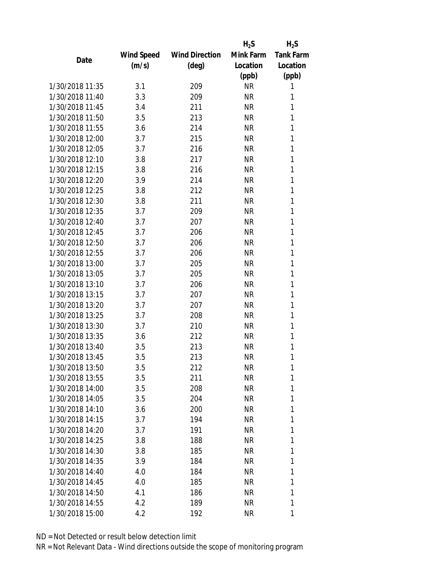|                 |                   |                       | $H_2S$    | $H_2S$           |
|-----------------|-------------------|-----------------------|-----------|------------------|
|                 | <b>Wind Speed</b> | <b>Wind Direction</b> | Mink Farm | <b>Tank Farm</b> |
| Date            | (m/s)             | $(\text{deg})$        | Location  | Location         |
|                 |                   |                       | (ppb)     | (ppb)            |
| 1/30/2018 11:35 | 3.1               | 209                   | <b>NR</b> | 1                |
| 1/30/2018 11:40 | 3.3               | 209                   | <b>NR</b> | 1                |
| 1/30/2018 11:45 | 3.4               | 211                   | <b>NR</b> | 1                |
| 1/30/2018 11:50 | 3.5               | 213                   | <b>NR</b> | 1                |
| 1/30/2018 11:55 | 3.6               | 214                   | <b>NR</b> | 1                |
| 1/30/2018 12:00 | 3.7               | 215                   | <b>NR</b> | 1                |
| 1/30/2018 12:05 | 3.7               | 216                   | <b>NR</b> | 1                |
| 1/30/2018 12:10 | 3.8               | 217                   | <b>NR</b> | 1                |
| 1/30/2018 12:15 | 3.8               | 216                   | <b>NR</b> | 1                |
| 1/30/2018 12:20 | 3.9               | 214                   | <b>NR</b> | 1                |
| 1/30/2018 12:25 | 3.8               | 212                   | <b>NR</b> | 1                |
| 1/30/2018 12:30 | 3.8               | 211                   | <b>NR</b> | 1                |
| 1/30/2018 12:35 | 3.7               | 209                   | <b>NR</b> | 1                |
| 1/30/2018 12:40 | 3.7               | 207                   | <b>NR</b> | 1                |
| 1/30/2018 12:45 | 3.7               | 206                   | <b>NR</b> | 1                |
| 1/30/2018 12:50 | 3.7               | 206                   | <b>NR</b> | 1                |
| 1/30/2018 12:55 | 3.7               | 206                   | <b>NR</b> | 1                |
| 1/30/2018 13:00 | 3.7               | 205                   | <b>NR</b> | 1                |
| 1/30/2018 13:05 | 3.7               | 205                   | <b>NR</b> | 1                |
| 1/30/2018 13:10 | 3.7               | 206                   | <b>NR</b> | 1                |
| 1/30/2018 13:15 | 3.7               | 207                   | <b>NR</b> | 1                |
| 1/30/2018 13:20 | 3.7               | 207                   | <b>NR</b> | 1                |
| 1/30/2018 13:25 | 3.7               | 208                   | <b>NR</b> | 1                |
| 1/30/2018 13:30 | 3.7               | 210                   | <b>NR</b> | 1                |
| 1/30/2018 13:35 | 3.6               | 212                   | <b>NR</b> | 1                |
| 1/30/2018 13:40 | 3.5               | 213                   | <b>NR</b> | 1                |
| 1/30/2018 13:45 | 3.5               | 213                   | <b>NR</b> | 1                |
| 1/30/2018 13:50 | 3.5               | 212                   | <b>NR</b> | 1                |
| 1/30/2018 13:55 | 3.5               | 211                   | <b>NR</b> | 1                |
| 1/30/2018 14:00 | 3.5               | 208                   | ΝR        | 1                |
| 1/30/2018 14:05 | 3.5               | 204                   | <b>NR</b> | 1                |
| 1/30/2018 14:10 | 3.6               | 200                   | <b>NR</b> | 1                |
| 1/30/2018 14:15 | 3.7               | 194                   | <b>NR</b> | 1                |
| 1/30/2018 14:20 | 3.7               | 191                   | <b>NR</b> | 1                |
| 1/30/2018 14:25 | 3.8               | 188                   | <b>NR</b> | 1                |
| 1/30/2018 14:30 | 3.8               | 185                   | <b>NR</b> | 1                |
| 1/30/2018 14:35 | 3.9               | 184                   | <b>NR</b> | 1                |
| 1/30/2018 14:40 | 4.0               | 184                   | <b>NR</b> | 1                |
| 1/30/2018 14:45 | 4.0               | 185                   | <b>NR</b> | 1                |
| 1/30/2018 14:50 | 4.1               | 186                   | <b>NR</b> | 1                |
| 1/30/2018 14:55 | 4.2               | 189                   | <b>NR</b> | 1                |
| 1/30/2018 15:00 | 4.2               | 192                   | ΝR        | 1                |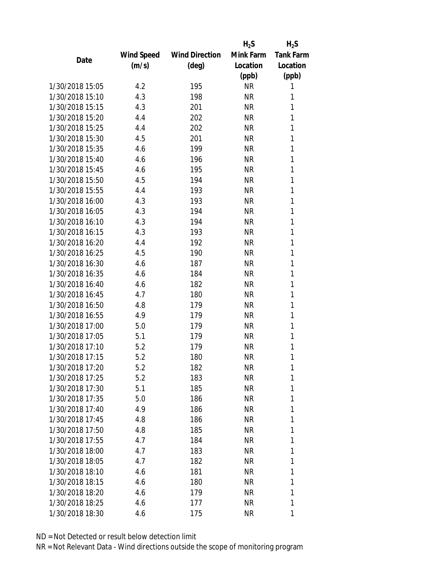|                 |                   |                       | $H_2S$    | $H_2S$           |
|-----------------|-------------------|-----------------------|-----------|------------------|
|                 | <b>Wind Speed</b> | <b>Wind Direction</b> | Mink Farm | <b>Tank Farm</b> |
| Date            | (m/s)             | $(\text{deg})$        | Location  | Location         |
|                 |                   |                       | (ppb)     | (ppb)            |
| 1/30/2018 15:05 | 4.2               | 195                   | <b>NR</b> | 1                |
| 1/30/2018 15:10 | 4.3               | 198                   | <b>NR</b> | 1                |
| 1/30/2018 15:15 | 4.3               | 201                   | <b>NR</b> | 1                |
| 1/30/2018 15:20 | 4.4               | 202                   | <b>NR</b> | 1                |
| 1/30/2018 15:25 | 4.4               | 202                   | <b>NR</b> | 1                |
| 1/30/2018 15:30 | 4.5               | 201                   | <b>NR</b> | 1                |
| 1/30/2018 15:35 | 4.6               | 199                   | <b>NR</b> | 1                |
| 1/30/2018 15:40 | 4.6               | 196                   | <b>NR</b> | 1                |
| 1/30/2018 15:45 | 4.6               | 195                   | <b>NR</b> | 1                |
| 1/30/2018 15:50 | 4.5               | 194                   | <b>NR</b> | 1                |
| 1/30/2018 15:55 | 4.4               | 193                   | <b>NR</b> | 1                |
| 1/30/2018 16:00 | 4.3               | 193                   | <b>NR</b> | 1                |
| 1/30/2018 16:05 | 4.3               | 194                   | <b>NR</b> | 1                |
| 1/30/2018 16:10 | 4.3               | 194                   | <b>NR</b> | 1                |
| 1/30/2018 16:15 | 4.3               | 193                   | <b>NR</b> | 1                |
| 1/30/2018 16:20 | 4.4               | 192                   | <b>NR</b> | 1                |
| 1/30/2018 16:25 | 4.5               | 190                   | <b>NR</b> | 1                |
| 1/30/2018 16:30 | 4.6               | 187                   | <b>NR</b> | 1                |
| 1/30/2018 16:35 | 4.6               | 184                   | <b>NR</b> | 1                |
| 1/30/2018 16:40 | 4.6               | 182                   | <b>NR</b> | 1                |
| 1/30/2018 16:45 | 4.7               | 180                   | <b>NR</b> | 1                |
| 1/30/2018 16:50 | 4.8               | 179                   | <b>NR</b> | 1                |
| 1/30/2018 16:55 | 4.9               | 179                   | <b>NR</b> | 1                |
| 1/30/2018 17:00 | 5.0               | 179                   | <b>NR</b> | 1                |
| 1/30/2018 17:05 | 5.1               | 179                   | <b>NR</b> | 1                |
| 1/30/2018 17:10 | 5.2               | 179                   | <b>NR</b> | 1                |
| 1/30/2018 17:15 | 5.2               | 180                   | <b>NR</b> | 1                |
| 1/30/2018 17:20 | 5.2               | 182                   | <b>NR</b> | 1                |
| 1/30/2018 17:25 | 5.2               | 183                   | NR        | 1                |
| 1/30/2018 17:30 | 5.1               | 185                   | <b>NR</b> | 1                |
| 1/30/2018 17:35 | 5.0               | 186                   | <b>NR</b> | 1                |
| 1/30/2018 17:40 | 4.9               | 186                   | <b>NR</b> | 1                |
| 1/30/2018 17:45 | 4.8               | 186                   | <b>NR</b> | 1                |
| 1/30/2018 17:50 | 4.8               | 185                   | <b>NR</b> | 1                |
| 1/30/2018 17:55 |                   |                       |           |                  |
|                 | 4.7               | 184                   | <b>NR</b> | 1                |
| 1/30/2018 18:00 | 4.7               | 183                   | <b>NR</b> | 1                |
| 1/30/2018 18:05 | 4.7               | 182                   | <b>NR</b> | 1                |
| 1/30/2018 18:10 | 4.6               | 181                   | <b>NR</b> | 1                |
| 1/30/2018 18:15 | 4.6               | 180                   | <b>NR</b> | 1                |
| 1/30/2018 18:20 | 4.6               | 179                   | <b>NR</b> | 1                |
| 1/30/2018 18:25 | 4.6               | 177                   | <b>NR</b> | 1                |
| 1/30/2018 18:30 | 4.6               | 175                   | ΝR        | 1                |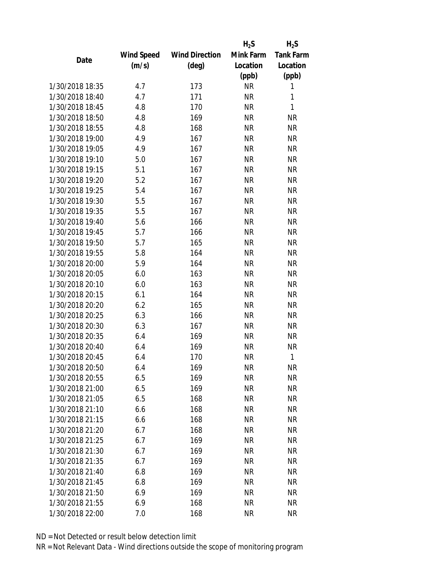|                 |            |                       | $H_2S$    | $H_2S$           |
|-----------------|------------|-----------------------|-----------|------------------|
|                 | Wind Speed | <b>Wind Direction</b> | Mink Farm | <b>Tank Farm</b> |
| Date            | (m/s)      | $(\text{deg})$        | Location  | Location         |
|                 |            |                       | (ppb)     | (ppb)            |
| 1/30/2018 18:35 | 4.7        | 173                   | <b>NR</b> | 1                |
| 1/30/2018 18:40 | 4.7        | 171                   | <b>NR</b> | 1                |
| 1/30/2018 18:45 | 4.8        | 170                   | <b>NR</b> | 1                |
| 1/30/2018 18:50 | 4.8        | 169                   | <b>NR</b> | <b>NR</b>        |
| 1/30/2018 18:55 | 4.8        | 168                   | <b>NR</b> | <b>NR</b>        |
| 1/30/2018 19:00 | 4.9        | 167                   | <b>NR</b> | <b>NR</b>        |
| 1/30/2018 19:05 | 4.9        | 167                   | <b>NR</b> | <b>NR</b>        |
| 1/30/2018 19:10 | 5.0        | 167                   | <b>NR</b> | <b>NR</b>        |
| 1/30/2018 19:15 | 5.1        | 167                   | <b>NR</b> | <b>NR</b>        |
| 1/30/2018 19:20 | 5.2        | 167                   | <b>NR</b> | <b>NR</b>        |
| 1/30/2018 19:25 | 5.4        | 167                   | <b>NR</b> | <b>NR</b>        |
| 1/30/2018 19:30 | 5.5        | 167                   | <b>NR</b> | <b>NR</b>        |
| 1/30/2018 19:35 | 5.5        | 167                   | <b>NR</b> | <b>NR</b>        |
| 1/30/2018 19:40 | 5.6        | 166                   | <b>NR</b> | <b>NR</b>        |
| 1/30/2018 19:45 | 5.7        | 166                   | <b>NR</b> | <b>NR</b>        |
| 1/30/2018 19:50 | 5.7        | 165                   | <b>NR</b> | <b>NR</b>        |
| 1/30/2018 19:55 | 5.8        | 164                   | <b>NR</b> | <b>NR</b>        |
| 1/30/2018 20:00 | 5.9        | 164                   | <b>NR</b> | <b>NR</b>        |
| 1/30/2018 20:05 | 6.0        | 163                   | <b>NR</b> | <b>NR</b>        |
| 1/30/2018 20:10 | 6.0        | 163                   | <b>NR</b> | <b>NR</b>        |
| 1/30/2018 20:15 | 6.1        | 164                   | <b>NR</b> | <b>NR</b>        |
| 1/30/2018 20:20 | 6.2        | 165                   | <b>NR</b> | <b>NR</b>        |
| 1/30/2018 20:25 | 6.3        | 166                   | <b>NR</b> | <b>NR</b>        |
| 1/30/2018 20:30 | 6.3        | 167                   | <b>NR</b> | <b>NR</b>        |
| 1/30/2018 20:35 | 6.4        | 169                   | <b>NR</b> | <b>NR</b>        |
| 1/30/2018 20:40 | 6.4        | 169                   | <b>NR</b> | <b>NR</b>        |
| 1/30/2018 20:45 | 6.4        | 170                   | <b>NR</b> | 1                |
| 1/30/2018 20:50 | 6.4        | 169                   | ΝR        | <b>NR</b>        |
| 1/30/2018 20:55 | 6.5        | 169                   | <b>NR</b> | <b>NR</b>        |
| 1/30/2018 21:00 | 6.5        | 169                   | <b>NR</b> | <b>NR</b>        |
| 1/30/2018 21:05 | 6.5        | 168                   | <b>NR</b> | <b>NR</b>        |
| 1/30/2018 21:10 | 6.6        | 168                   | <b>NR</b> | <b>NR</b>        |
| 1/30/2018 21:15 | 6.6        | 168                   | <b>NR</b> | <b>NR</b>        |
| 1/30/2018 21:20 | 6.7        | 168                   | <b>NR</b> | <b>NR</b>        |
| 1/30/2018 21:25 | 6.7        | 169                   | <b>NR</b> | <b>NR</b>        |
| 1/30/2018 21:30 | 6.7        | 169                   | <b>NR</b> | <b>NR</b>        |
| 1/30/2018 21:35 | 6.7        | 169                   | <b>NR</b> | <b>NR</b>        |
| 1/30/2018 21:40 | 6.8        | 169                   | <b>NR</b> | <b>NR</b>        |
| 1/30/2018 21:45 | 6.8        | 169                   | <b>NR</b> | <b>NR</b>        |
| 1/30/2018 21:50 | 6.9        | 169                   | <b>NR</b> | <b>NR</b>        |
| 1/30/2018 21:55 | 6.9        | 168                   | <b>NR</b> | NR               |
| 1/30/2018 22:00 | 7.0        | 168                   | <b>NR</b> | <b>NR</b>        |
|                 |            |                       |           |                  |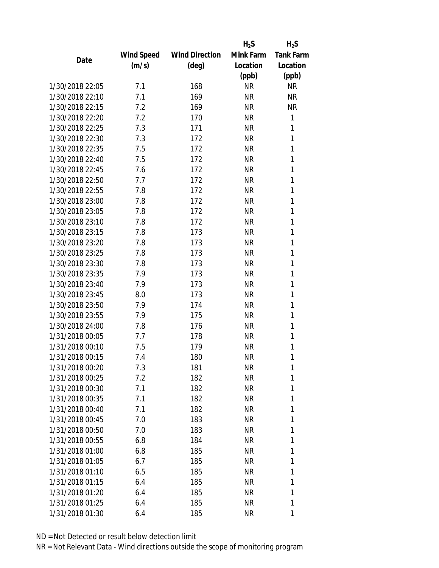|                 |            |                       | $H_2S$    | $H_2S$           |
|-----------------|------------|-----------------------|-----------|------------------|
|                 | Wind Speed | <b>Wind Direction</b> | Mink Farm | <b>Tank Farm</b> |
| Date            | (m/s)      | $(\text{deg})$        | Location  | Location         |
|                 |            |                       | (ppb)     | (ppb)            |
| 1/30/2018 22:05 | 7.1        | 168                   | <b>NR</b> | <b>NR</b>        |
| 1/30/2018 22:10 | 7.1        | 169                   | <b>NR</b> | <b>NR</b>        |
| 1/30/2018 22:15 | 7.2        | 169                   | <b>NR</b> | <b>NR</b>        |
| 1/30/2018 22:20 | 7.2        | 170                   | <b>NR</b> | 1                |
| 1/30/2018 22:25 | 7.3        | 171                   | <b>NR</b> | 1                |
| 1/30/2018 22:30 | 7.3        | 172                   | <b>NR</b> | 1                |
| 1/30/2018 22:35 | 7.5        | 172                   | <b>NR</b> | 1                |
| 1/30/2018 22:40 | 7.5        | 172                   | <b>NR</b> | 1                |
| 1/30/2018 22:45 | 7.6        | 172                   | <b>NR</b> | 1                |
| 1/30/2018 22:50 | 7.7        | 172                   | <b>NR</b> | 1                |
| 1/30/2018 22:55 | 7.8        | 172                   | <b>NR</b> | 1                |
| 1/30/2018 23:00 | 7.8        | 172                   | <b>NR</b> | 1                |
| 1/30/2018 23:05 | 7.8        | 172                   | <b>NR</b> | 1                |
| 1/30/2018 23:10 | 7.8        | 172                   | <b>NR</b> | 1                |
| 1/30/2018 23:15 | 7.8        | 173                   | <b>NR</b> | 1                |
| 1/30/2018 23:20 | 7.8        | 173                   | <b>NR</b> | 1                |
| 1/30/2018 23:25 | 7.8        | 173                   | <b>NR</b> | 1                |
| 1/30/2018 23:30 | 7.8        | 173                   | <b>NR</b> | 1                |
| 1/30/2018 23:35 | 7.9        | 173                   | <b>NR</b> | 1                |
| 1/30/2018 23:40 | 7.9        | 173                   | <b>NR</b> | 1                |
| 1/30/2018 23:45 | 8.0        | 173                   | <b>NR</b> | 1                |
| 1/30/2018 23:50 | 7.9        | 174                   | <b>NR</b> | 1                |
| 1/30/2018 23:55 | 7.9        | 175                   | <b>NR</b> | 1                |
| 1/30/2018 24:00 | 7.8        | 176                   | <b>NR</b> | 1                |
| 1/31/2018 00:05 | 7.7        | 178                   | <b>NR</b> | 1                |
| 1/31/2018 00:10 | 7.5        | 179                   | <b>NR</b> | 1                |
| 1/31/2018 00:15 | 7.4        | 180                   | <b>NR</b> | 1                |
| 1/31/2018 00:20 | 7.3        | 181                   | ΝR        | 1                |
| 1/31/2018 00:25 | 7.2        | 182                   | <b>NR</b> | 1                |
| 1/31/2018 00:30 | 7.1        | 182                   | <b>NR</b> | 1                |
| 1/31/2018 00:35 | 7.1        | 182                   | <b>NR</b> | 1                |
| 1/31/2018 00:40 | 7.1        | 182                   | <b>NR</b> | 1                |
| 1/31/2018 00:45 | 7.0        | 183                   | <b>NR</b> | 1                |
| 1/31/2018 00:50 | 7.0        | 183                   | <b>NR</b> | 1                |
| 1/31/2018 00:55 | 6.8        | 184                   | <b>NR</b> | 1                |
| 1/31/2018 01:00 | 6.8        | 185                   | <b>NR</b> | 1                |
| 1/31/2018 01:05 | 6.7        | 185                   | <b>NR</b> | 1                |
| 1/31/2018 01:10 | 6.5        | 185                   | <b>NR</b> | 1                |
| 1/31/2018 01:15 | 6.4        | 185                   | <b>NR</b> | 1                |
| 1/31/2018 01:20 | 6.4        | 185                   | <b>NR</b> | 1                |
| 1/31/2018 01:25 | 6.4        | 185                   | <b>NR</b> | 1                |
| 1/31/2018 01:30 | 6.4        | 185                   | ΝR        | 1                |
|                 |            |                       |           |                  |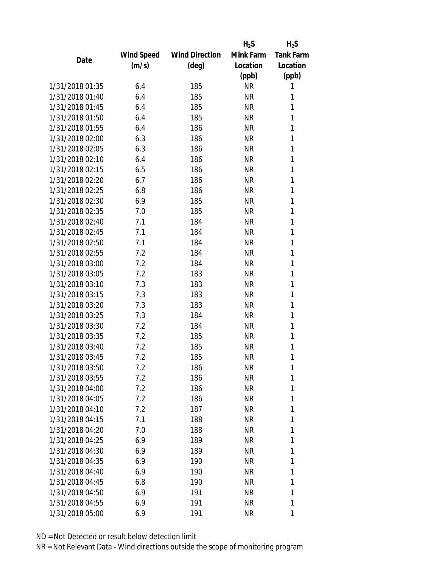|                 |                   |                       | $H_2S$    | $H_2S$           |
|-----------------|-------------------|-----------------------|-----------|------------------|
|                 | <b>Wind Speed</b> | <b>Wind Direction</b> | Mink Farm | <b>Tank Farm</b> |
| Date            | (m/s)             | $(\text{deg})$        | Location  | Location         |
|                 |                   |                       | (ppb)     | (ppb)            |
| 1/31/2018 01:35 | 6.4               | 185                   | <b>NR</b> | 1                |
| 1/31/2018 01:40 | 6.4               | 185                   | <b>NR</b> | 1                |
| 1/31/2018 01:45 | 6.4               | 185                   | <b>NR</b> | 1                |
| 1/31/2018 01:50 | 6.4               | 185                   | <b>NR</b> | 1                |
| 1/31/2018 01:55 | 6.4               | 186                   | <b>NR</b> | 1                |
| 1/31/2018 02:00 | 6.3               | 186                   | <b>NR</b> | 1                |
| 1/31/2018 02:05 | 6.3               | 186                   | <b>NR</b> | 1                |
| 1/31/2018 02:10 | 6.4               | 186                   | <b>NR</b> | 1                |
| 1/31/2018 02:15 | 6.5               | 186                   | <b>NR</b> | 1                |
| 1/31/2018 02:20 | 6.7               | 186                   | <b>NR</b> | 1                |
| 1/31/2018 02:25 | 6.8               | 186                   | <b>NR</b> | 1                |
| 1/31/2018 02:30 | 6.9               | 185                   | <b>NR</b> | 1                |
| 1/31/2018 02:35 | 7.0               | 185                   | <b>NR</b> | 1                |
| 1/31/2018 02:40 | 7.1               | 184                   | <b>NR</b> | 1                |
| 1/31/2018 02:45 | 7.1               | 184                   | <b>NR</b> | 1                |
| 1/31/2018 02:50 | 7.1               | 184                   | <b>NR</b> | 1                |
| 1/31/2018 02:55 | 7.2               | 184                   | <b>NR</b> | 1                |
| 1/31/2018 03:00 | 7.2               | 184                   | <b>NR</b> | 1                |
| 1/31/2018 03:05 | 7.2               | 183                   | <b>NR</b> | 1                |
| 1/31/2018 03:10 | 7.3               | 183                   | <b>NR</b> | 1                |
| 1/31/2018 03:15 | 7.3               | 183                   | <b>NR</b> | 1                |
| 1/31/2018 03:20 | 7.3               | 183                   | <b>NR</b> | 1                |
| 1/31/2018 03:25 | 7.3               | 184                   | <b>NR</b> | 1                |
| 1/31/2018 03:30 | 7.2               | 184                   | <b>NR</b> | 1                |
| 1/31/2018 03:35 | 7.2               | 185                   | <b>NR</b> | 1                |
| 1/31/2018 03:40 | 7.2               | 185                   | <b>NR</b> | 1                |
| 1/31/2018 03:45 | 7.2               | 185                   | <b>NR</b> | 1                |
| 1/31/2018 03:50 | 7.2               | 186                   | <b>NR</b> | 1                |
| 1/31/2018 03:55 | 7.2               | 186                   | <b>NR</b> | 1                |
| 1/31/2018 04:00 | 7.2               | 186                   | <b>NR</b> | 1                |
| 1/31/2018 04:05 | 7.2               | 186                   | <b>NR</b> | 1                |
| 1/31/2018 04:10 | 7.2               | 187                   | <b>NR</b> | 1                |
| 1/31/2018 04:15 | 7.1               | 188                   | <b>NR</b> | 1                |
| 1/31/2018 04:20 | 7.0               | 188                   | <b>NR</b> | 1                |
| 1/31/2018 04:25 | 6.9               | 189                   | <b>NR</b> | 1                |
| 1/31/2018 04:30 | 6.9               | 189                   | <b>NR</b> | 1                |
|                 |                   |                       |           | 1                |
| 1/31/2018 04:35 | 6.9               | 190                   | <b>NR</b> | 1                |
| 1/31/2018 04:40 | 6.9               | 190                   | <b>NR</b> |                  |
| 1/31/2018 04:45 | 6.8               | 190                   | <b>NR</b> | 1                |
| 1/31/2018 04:50 | 6.9               | 191                   | <b>NR</b> | 1                |
| 1/31/2018 04:55 | 6.9               | 191                   | <b>NR</b> | 1                |
| 1/31/2018 05:00 | 6.9               | 191                   | <b>NR</b> | 1                |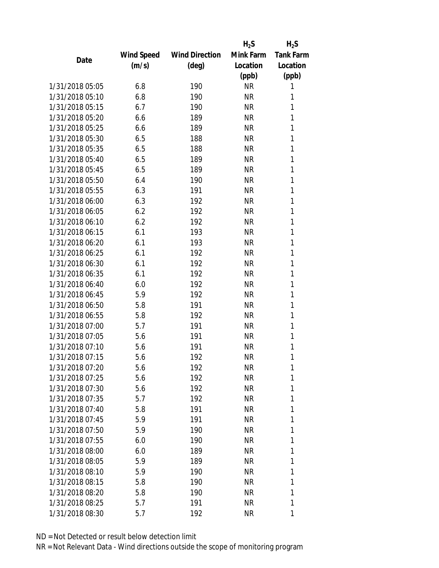|                 |            |                       | $H_2S$    | $H_2S$           |
|-----------------|------------|-----------------------|-----------|------------------|
|                 | Wind Speed | <b>Wind Direction</b> | Mink Farm | <b>Tank Farm</b> |
| Date            | (m/s)      | $(\text{deg})$        | Location  | Location         |
|                 |            |                       | (ppb)     | (ppb)            |
| 1/31/2018 05:05 | 6.8        | 190                   | <b>NR</b> | 1                |
| 1/31/2018 05:10 | 6.8        | 190                   | <b>NR</b> | 1                |
| 1/31/2018 05:15 | 6.7        | 190                   | <b>NR</b> | 1                |
| 1/31/2018 05:20 | 6.6        | 189                   | <b>NR</b> | 1                |
| 1/31/2018 05:25 | 6.6        | 189                   | <b>NR</b> | 1                |
| 1/31/2018 05:30 | 6.5        | 188                   | <b>NR</b> | 1                |
| 1/31/2018 05:35 | 6.5        | 188                   | <b>NR</b> | 1                |
| 1/31/2018 05:40 | 6.5        | 189                   | <b>NR</b> | 1                |
| 1/31/2018 05:45 | 6.5        | 189                   | <b>NR</b> | 1                |
| 1/31/2018 05:50 | 6.4        | 190                   | <b>NR</b> | 1                |
| 1/31/2018 05:55 | 6.3        | 191                   | <b>NR</b> | 1                |
| 1/31/2018 06:00 | 6.3        | 192                   | <b>NR</b> | 1                |
| 1/31/2018 06:05 | 6.2        | 192                   | <b>NR</b> | 1                |
| 1/31/2018 06:10 | 6.2        | 192                   | <b>NR</b> | 1                |
| 1/31/2018 06:15 | 6.1        | 193                   | <b>NR</b> | 1                |
| 1/31/2018 06:20 | 6.1        | 193                   | <b>NR</b> | 1                |
| 1/31/2018 06:25 | 6.1        | 192                   | <b>NR</b> | 1                |
| 1/31/2018 06:30 | 6.1        | 192                   | <b>NR</b> | 1                |
| 1/31/2018 06:35 | 6.1        | 192                   | <b>NR</b> | 1                |
| 1/31/2018 06:40 | 6.0        | 192                   | <b>NR</b> | 1                |
| 1/31/2018 06:45 | 5.9        | 192                   | <b>NR</b> | 1                |
| 1/31/2018 06:50 | 5.8        | 191                   | <b>NR</b> | 1                |
| 1/31/2018 06:55 | 5.8        | 192                   | <b>NR</b> | 1                |
| 1/31/2018 07:00 | 5.7        | 191                   | <b>NR</b> | 1                |
| 1/31/2018 07:05 | 5.6        | 191                   | <b>NR</b> | 1                |
| 1/31/2018 07:10 | 5.6        | 191                   | <b>NR</b> | 1                |
| 1/31/2018 07:15 | 5.6        | 192                   | <b>NR</b> | 1                |
| 1/31/2018 07:20 | 5.6        | 192                   | <b>NR</b> | 1                |
| 1/31/2018 07:25 | 5.6        | 192                   | <b>NR</b> | 1                |
| 1/31/2018 07:30 | 5.6        | 192                   | <b>NR</b> | 1                |
| 1/31/2018 07:35 | 5.7        | 192                   | <b>NR</b> | 1                |
| 1/31/2018 07:40 | 5.8        | 191                   | <b>NR</b> | 1                |
| 1/31/2018 07:45 | 5.9        | 191                   | <b>NR</b> | 1                |
| 1/31/2018 07:50 | 5.9        | 190                   | <b>NR</b> | 1                |
| 1/31/2018 07:55 | 6.0        | 190                   | <b>NR</b> | 1                |
| 1/31/2018 08:00 | 6.0        | 189                   | <b>NR</b> | 1                |
| 1/31/2018 08:05 | 5.9        | 189                   | <b>NR</b> | 1                |
| 1/31/2018 08:10 | 5.9        | 190                   | <b>NR</b> | 1                |
| 1/31/2018 08:15 | 5.8        | 190                   | <b>NR</b> | 1                |
| 1/31/2018 08:20 | 5.8        | 190                   | <b>NR</b> | 1                |
| 1/31/2018 08:25 | 5.7        | 191                   | <b>NR</b> | 1                |
| 1/31/2018 08:30 | 5.7        | 192                   | <b>NR</b> | 1                |
|                 |            |                       |           |                  |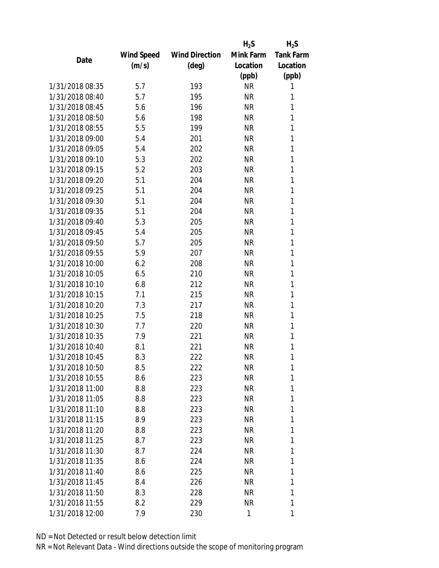|                 |                   |                       | $H_2S$    | $H_2S$           |
|-----------------|-------------------|-----------------------|-----------|------------------|
|                 | <b>Wind Speed</b> | <b>Wind Direction</b> | Mink Farm | <b>Tank Farm</b> |
| Date            | (m/s)             | $(\text{deg})$        | Location  | Location         |
|                 |                   |                       | (ppb)     | (ppb)            |
| 1/31/2018 08:35 | 5.7               | 193                   | <b>NR</b> | 1                |
| 1/31/2018 08:40 | 5.7               | 195                   | <b>NR</b> | 1                |
| 1/31/2018 08:45 | 5.6               | 196                   | <b>NR</b> | 1                |
| 1/31/2018 08:50 | 5.6               | 198                   | <b>NR</b> | 1                |
| 1/31/2018 08:55 | 5.5               | 199                   | <b>NR</b> | 1                |
| 1/31/2018 09:00 | 5.4               | 201                   | <b>NR</b> | 1                |
| 1/31/2018 09:05 | 5.4               | 202                   | <b>NR</b> | 1                |
| 1/31/2018 09:10 | 5.3               | 202                   | <b>NR</b> | 1                |
| 1/31/2018 09:15 | 5.2               | 203                   | <b>NR</b> | 1                |
| 1/31/2018 09:20 | 5.1               | 204                   | <b>NR</b> | 1                |
| 1/31/2018 09:25 | 5.1               | 204                   | <b>NR</b> | 1                |
| 1/31/2018 09:30 | 5.1               | 204                   | <b>NR</b> | 1                |
| 1/31/2018 09:35 | 5.1               | 204                   | <b>NR</b> | 1                |
| 1/31/2018 09:40 | 5.3               | 205                   | <b>NR</b> | 1                |
| 1/31/2018 09:45 | 5.4               | 205                   | <b>NR</b> | 1                |
| 1/31/2018 09:50 | 5.7               | 205                   | <b>NR</b> | 1                |
| 1/31/2018 09:55 | 5.9               | 207                   | <b>NR</b> | 1                |
| 1/31/2018 10:00 | 6.2               | 208                   | <b>NR</b> | 1                |
| 1/31/2018 10:05 | 6.5               | 210                   | <b>NR</b> | 1                |
| 1/31/2018 10:10 | 6.8               | 212                   | <b>NR</b> | 1                |
| 1/31/2018 10:15 | 7.1               | 215                   | <b>NR</b> | 1                |
| 1/31/2018 10:20 | 7.3               | 217                   | <b>NR</b> | 1                |
| 1/31/2018 10:25 | 7.5               | 218                   | <b>NR</b> | 1                |
| 1/31/2018 10:30 | 7.7               | 220                   | <b>NR</b> | 1                |
| 1/31/2018 10:35 | 7.9               | 221                   | <b>NR</b> | 1                |
| 1/31/2018 10:40 | 8.1               | 221                   | <b>NR</b> | 1                |
| 1/31/2018 10:45 | 8.3               | 222                   | <b>NR</b> | 1                |
| 1/31/2018 10:50 | 8.5               | 222                   | <b>NR</b> | 1                |
| 1/31/2018 10:55 | 8.6               | 223                   | <b>NR</b> | 1                |
| 1/31/2018 11:00 | 8.8               | 223                   | <b>NR</b> | 1                |
| 1/31/2018 11:05 | 8.8               | 223                   | <b>NR</b> | 1                |
| 1/31/2018 11:10 | 8.8               | 223                   | <b>NR</b> | 1                |
| 1/31/2018 11:15 | 8.9               | 223                   | <b>NR</b> | 1                |
| 1/31/2018 11:20 | 8.8               | 223                   | <b>NR</b> | 1                |
| 1/31/2018 11:25 | 8.7               |                       | <b>NR</b> | 1                |
| 1/31/2018 11:30 | 8.7               | 223<br>224            | <b>NR</b> | 1                |
| 1/31/2018 11:35 |                   |                       |           | 1                |
|                 | 8.6               | 224                   | <b>NR</b> |                  |
| 1/31/2018 11:40 | 8.6               | 225                   | <b>NR</b> | 1                |
| 1/31/2018 11:45 | 8.4               | 226                   | <b>NR</b> | 1                |
| 1/31/2018 11:50 | 8.3               | 228                   | <b>NR</b> | 1                |
| 1/31/2018 11:55 | 8.2               | 229                   | <b>NR</b> | 1                |
| 1/31/2018 12:00 | 7.9               | 230                   | 1         | 1                |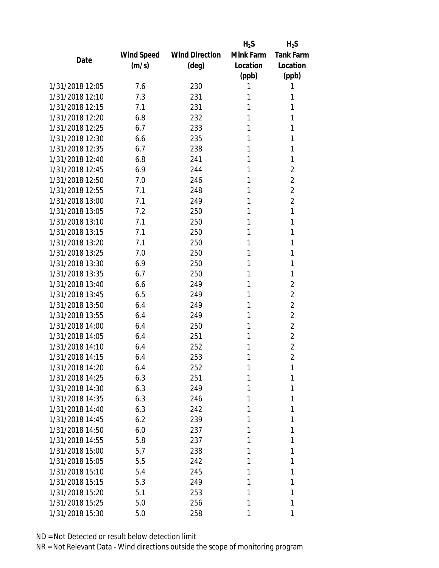|                 |            |                       | $H_2S$    | $H_2S$           |
|-----------------|------------|-----------------------|-----------|------------------|
|                 | Wind Speed | <b>Wind Direction</b> | Mink Farm | <b>Tank Farm</b> |
| Date            | (m/s)      | $(\text{deg})$        | Location  | Location         |
|                 |            |                       | (ppb)     | (ppb)            |
| 1/31/2018 12:05 | 7.6        | 230                   | 1         | 1                |
| 1/31/2018 12:10 | 7.3        | 231                   | 1         | 1                |
| 1/31/2018 12:15 | 7.1        | 231                   | 1         | 1                |
| 1/31/2018 12:20 | 6.8        | 232                   | 1         | 1                |
| 1/31/2018 12:25 | 6.7        | 233                   | 1         | 1                |
| 1/31/2018 12:30 | 6.6        | 235                   | 1         | 1                |
| 1/31/2018 12:35 | 6.7        | 238                   | 1         | 1                |
| 1/31/2018 12:40 | 6.8        | 241                   | 1         | 1                |
| 1/31/2018 12:45 | 6.9        | 244                   | 1         | $\overline{2}$   |
| 1/31/2018 12:50 | 7.0        | 246                   | 1         | $\sqrt{2}$       |
| 1/31/2018 12:55 | 7.1        | 248                   | 1         | $\overline{2}$   |
| 1/31/2018 13:00 | 7.1        | 249                   | 1         | $\overline{2}$   |
| 1/31/2018 13:05 | 7.2        | 250                   | 1         | 1                |
| 1/31/2018 13:10 | 7.1        | 250                   | 1         | 1                |
| 1/31/2018 13:15 | 7.1        | 250                   | 1         | 1                |
| 1/31/2018 13:20 | 7.1        | 250                   | 1         | 1                |
| 1/31/2018 13:25 | 7.0        | 250                   | 1         | 1                |
| 1/31/2018 13:30 | 6.9        | 250                   | 1         | 1                |
| 1/31/2018 13:35 | 6.7        | 250                   | 1         | 1                |
| 1/31/2018 13:40 | 6.6        | 249                   | 1         | $\overline{2}$   |
| 1/31/2018 13:45 | 6.5        | 249                   | 1         | $\overline{2}$   |
| 1/31/2018 13:50 | 6.4        | 249                   | 1         | $\sqrt{2}$       |
| 1/31/2018 13:55 | 6.4        | 249                   | 1         | $\overline{2}$   |
| 1/31/2018 14:00 | 6.4        | 250                   | 1         | $\overline{2}$   |
| 1/31/2018 14:05 | 6.4        | 251                   | 1         | $\overline{2}$   |
| 1/31/2018 14:10 | 6.4        | 252                   | 1         | $\overline{2}$   |
| 1/31/2018 14:15 | 6.4        | 253                   | 1         | $\overline{2}$   |
| 1/31/2018 14:20 | 6.4        | 252                   | 1         | 1                |
| 1/31/2018 14:25 | 6.3        | 251                   | 1         | 1                |
| 1/31/2018 14:30 | 6.3        | 249                   | 1         | 1                |
| 1/31/2018 14:35 | 6.3        | 246                   | 1         | 1                |
| 1/31/2018 14:40 | 6.3        | 242                   | 1         | 1                |
| 1/31/2018 14:45 | 6.2        | 239                   | 1         | 1                |
| 1/31/2018 14:50 | 6.0        | 237                   | 1         | 1                |
| 1/31/2018 14:55 | 5.8        | 237                   | 1         | 1                |
| 1/31/2018 15:00 | 5.7        | 238                   | 1         | 1                |
| 1/31/2018 15:05 | 5.5        | 242                   | 1         | 1                |
| 1/31/2018 15:10 | 5.4        | 245                   | 1         | 1                |
| 1/31/2018 15:15 | 5.3        | 249                   | 1         | 1                |
| 1/31/2018 15:20 | 5.1        | 253                   | 1         | 1                |
| 1/31/2018 15:25 | 5.0        | 256                   | 1         | 1                |
| 1/31/2018 15:30 | 5.0        | 258                   | 1         | 1                |
|                 |            |                       |           |                  |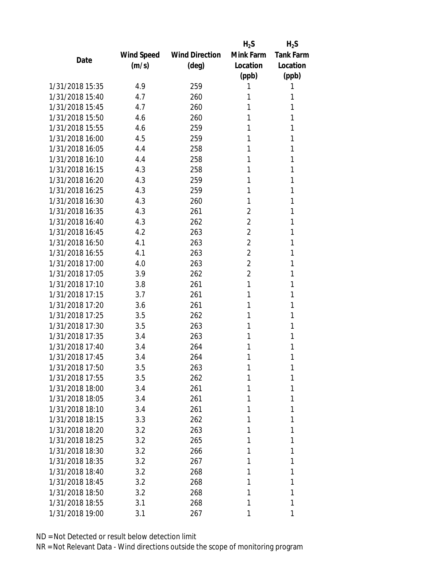|                 |            |                       | $H_2S$         | $H_2S$           |
|-----------------|------------|-----------------------|----------------|------------------|
|                 | Wind Speed | <b>Wind Direction</b> | Mink Farm      | <b>Tank Farm</b> |
| Date            | (m/s)      | $(\text{deg})$        | Location       | Location         |
|                 |            |                       | (ppb)          | (ppb)            |
| 1/31/2018 15:35 | 4.9        | 259                   | 1              | 1                |
| 1/31/2018 15:40 | 4.7        | 260                   | 1              | 1                |
| 1/31/2018 15:45 | 4.7        | 260                   | 1              | 1                |
| 1/31/2018 15:50 | 4.6        | 260                   | 1              | 1                |
| 1/31/2018 15:55 | 4.6        | 259                   | 1              | 1                |
| 1/31/2018 16:00 | 4.5        | 259                   | 1              | 1                |
| 1/31/2018 16:05 | 4.4        | 258                   | 1              | 1                |
| 1/31/2018 16:10 | 4.4        | 258                   | 1              | 1                |
| 1/31/2018 16:15 | 4.3        | 258                   | 1              | 1                |
| 1/31/2018 16:20 | 4.3        | 259                   | 1              | 1                |
| 1/31/2018 16:25 | 4.3        | 259                   | 1              | 1                |
| 1/31/2018 16:30 | 4.3        | 260                   | 1              | 1                |
| 1/31/2018 16:35 | 4.3        | 261                   | $\overline{2}$ | 1                |
| 1/31/2018 16:40 | 4.3        | 262                   | $\overline{2}$ | 1                |
| 1/31/2018 16:45 | 4.2        | 263                   | $\overline{2}$ | 1                |
| 1/31/2018 16:50 | 4.1        | 263                   | $\overline{2}$ | 1                |
| 1/31/2018 16:55 | 4.1        | 263                   | $\overline{2}$ | 1                |
| 1/31/2018 17:00 | 4.0        | 263                   | $\overline{2}$ | 1                |
| 1/31/2018 17:05 | 3.9        | 262                   | $\overline{2}$ | 1                |
| 1/31/2018 17:10 | 3.8        | 261                   | 1              | 1                |
| 1/31/2018 17:15 | 3.7        | 261                   | 1              | 1                |
| 1/31/2018 17:20 | 3.6        | 261                   | 1              | 1                |
| 1/31/2018 17:25 | 3.5        | 262                   | 1              | 1                |
| 1/31/2018 17:30 | 3.5        | 263                   | 1              | 1                |
| 1/31/2018 17:35 | 3.4        | 263                   | 1              | 1                |
| 1/31/2018 17:40 | 3.4        | 264                   | 1              | 1                |
| 1/31/2018 17:45 | 3.4        | 264                   | 1              | 1                |
| 1/31/2018 17:50 | 3.5        | 263                   | 1              | 1                |
| 1/31/2018 17:55 | 3.5        | 262                   | 1              | 1                |
| 1/31/2018 18:00 | 3.4        | 261                   | 1              | 1                |
| 1/31/2018 18:05 | 3.4        | 261                   | 1              | 1                |
| 1/31/2018 18:10 | 3.4        | 261                   | 1              | 1                |
| 1/31/2018 18:15 | 3.3        | 262                   | 1              | 1                |
| 1/31/2018 18:20 | 3.2        | 263                   | 1              | 1                |
| 1/31/2018 18:25 | 3.2        | 265                   | 1              | 1                |
| 1/31/2018 18:30 | 3.2        | 266                   | 1              | 1                |
| 1/31/2018 18:35 | 3.2        | 267                   | 1              | 1                |
| 1/31/2018 18:40 | 3.2        | 268                   | 1              | 1                |
| 1/31/2018 18:45 | 3.2        | 268                   | 1              | 1                |
| 1/31/2018 18:50 | 3.2        | 268                   | 1              | 1                |
| 1/31/2018 18:55 | 3.1        | 268                   | 1              | 1                |
| 1/31/2018 19:00 | 3.1        | 267                   | 1              | 1                |
|                 |            |                       |                |                  |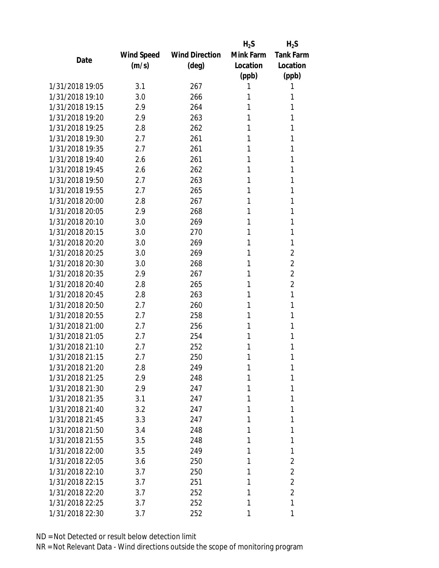|                 |            |                       | $H_2S$    | $H_2S$           |
|-----------------|------------|-----------------------|-----------|------------------|
|                 | Wind Speed | <b>Wind Direction</b> | Mink Farm | <b>Tank Farm</b> |
| Date            | (m/s)      | $(\text{deg})$        | Location  | Location         |
|                 |            |                       | (ppb)     | (ppb)            |
| 1/31/2018 19:05 | 3.1        | 267                   | 1         | 1                |
| 1/31/2018 19:10 | 3.0        | 266                   | 1         | 1                |
| 1/31/2018 19:15 | 2.9        | 264                   | 1         | 1                |
| 1/31/2018 19:20 | 2.9        | 263                   | 1         | 1                |
| 1/31/2018 19:25 | 2.8        | 262                   | 1         | 1                |
| 1/31/2018 19:30 | 2.7        | 261                   | 1         | 1                |
| 1/31/2018 19:35 | 2.7        | 261                   | 1         | 1                |
| 1/31/2018 19:40 | 2.6        | 261                   | 1         | 1                |
| 1/31/2018 19:45 | 2.6        | 262                   | 1         | 1                |
| 1/31/2018 19:50 | 2.7        | 263                   | 1         | 1                |
| 1/31/2018 19:55 | 2.7        | 265                   | 1         | 1                |
| 1/31/2018 20:00 | 2.8        | 267                   | 1         | 1                |
| 1/31/2018 20:05 | 2.9        | 268                   | 1         | 1                |
| 1/31/2018 20:10 | 3.0        | 269                   | 1         | 1                |
| 1/31/2018 20:15 | 3.0        | 270                   | 1         | 1                |
| 1/31/2018 20:20 | 3.0        | 269                   | 1         | 1                |
| 1/31/2018 20:25 | 3.0        | 269                   | 1         | $\overline{2}$   |
| 1/31/2018 20:30 | 3.0        | 268                   | 1         | $\overline{2}$   |
| 1/31/2018 20:35 | 2.9        | 267                   | 1         | $\overline{2}$   |
| 1/31/2018 20:40 | 2.8        | 265                   | 1         | $\overline{2}$   |
| 1/31/2018 20:45 | 2.8        | 263                   | 1         | 1                |
| 1/31/2018 20:50 | 2.7        | 260                   | 1         | 1                |
| 1/31/2018 20:55 | 2.7        | 258                   | 1         | 1                |
| 1/31/2018 21:00 | 2.7        | 256                   | 1         | 1                |
| 1/31/2018 21:05 | 2.7        | 254                   | 1         | 1                |
| 1/31/2018 21:10 | 2.7        | 252                   | 1         | 1                |
| 1/31/2018 21:15 | 2.7        | 250                   | 1         | 1                |
| 1/31/2018 21:20 | 2.8        | 249                   | 1         | 1                |
| 1/31/2018 21:25 | 2.9        | 248                   | 1         | 1                |
| 1/31/2018 21:30 | 2.9        | 247                   | 1         | 1                |
| 1/31/2018 21:35 | 3.1        | 247                   | 1         | 1                |
| 1/31/2018 21:40 | 3.2        | 247                   | 1         | 1                |
| 1/31/2018 21:45 | 3.3        | 247                   | 1         | 1                |
| 1/31/2018 21:50 | 3.4        | 248                   | 1         | 1                |
| 1/31/2018 21:55 | 3.5        | 248                   | 1         | 1                |
| 1/31/2018 22:00 | 3.5        | 249                   | 1         | 1                |
| 1/31/2018 22:05 | 3.6        | 250                   | 1         | $\overline{2}$   |
| 1/31/2018 22:10 | 3.7        | 250                   | 1         | $\overline{2}$   |
| 1/31/2018 22:15 | 3.7        | 251                   | 1         | $\overline{2}$   |
| 1/31/2018 22:20 | 3.7        | 252                   | 1         | $\overline{2}$   |
| 1/31/2018 22:25 |            | 252                   | 1         | 1                |
|                 | 3.7        |                       |           |                  |
| 1/31/2018 22:30 | 3.7        | 252                   | 1         | 1                |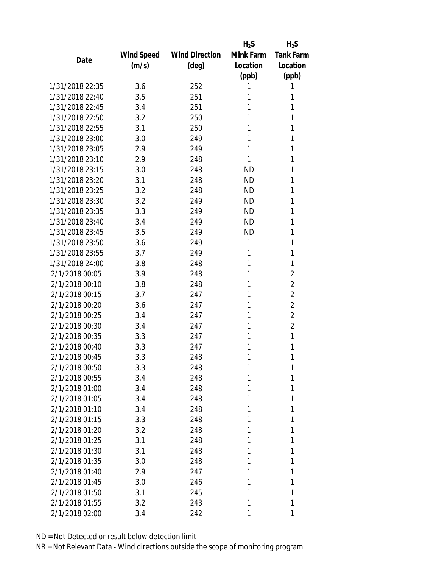|                 |            |                       | $H_2S$    | $H_2S$           |
|-----------------|------------|-----------------------|-----------|------------------|
|                 | Wind Speed | <b>Wind Direction</b> | Mink Farm | <b>Tank Farm</b> |
| Date            | (m/s)      | $(\text{deg})$        | Location  | Location         |
|                 |            |                       | (ppb)     | (ppb)            |
| 1/31/2018 22:35 | 3.6        | 252                   | 1         | 1                |
| 1/31/2018 22:40 | 3.5        | 251                   | 1         | 1                |
| 1/31/2018 22:45 | 3.4        | 251                   | 1         | 1                |
| 1/31/2018 22:50 | 3.2        | 250                   | 1         | 1                |
| 1/31/2018 22:55 | 3.1        | 250                   | 1         | 1                |
| 1/31/2018 23:00 | 3.0        | 249                   | 1         | 1                |
| 1/31/2018 23:05 | 2.9        | 249                   | 1         | 1                |
| 1/31/2018 23:10 | 2.9        | 248                   | 1         | 1                |
| 1/31/2018 23:15 | 3.0        | 248                   | <b>ND</b> | 1                |
| 1/31/2018 23:20 | 3.1        | 248                   | <b>ND</b> | 1                |
| 1/31/2018 23:25 | 3.2        | 248                   | ND        | 1                |
| 1/31/2018 23:30 | 3.2        | 249                   | <b>ND</b> | 1                |
| 1/31/2018 23:35 | 3.3        | 249                   | <b>ND</b> | 1                |
| 1/31/2018 23:40 | 3.4        | 249                   | <b>ND</b> | 1                |
| 1/31/2018 23:45 | 3.5        | 249                   | <b>ND</b> | 1                |
| 1/31/2018 23:50 | 3.6        | 249                   | 1         | 1                |
| 1/31/2018 23:55 | 3.7        | 249                   | 1         | 1                |
| 1/31/2018 24:00 | 3.8        | 248                   | 1         | 1                |
| 2/1/2018 00:05  | 3.9        | 248                   | 1         | $\overline{2}$   |
| 2/1/2018 00:10  | 3.8        | 248                   | 1         | $\overline{2}$   |
| 2/1/2018 00:15  | 3.7        | 247                   | 1         | $\overline{2}$   |
| 2/1/2018 00:20  | 3.6        | 247                   | 1         | $\overline{2}$   |
| 2/1/2018 00:25  | 3.4        | 247                   | 1         | $\overline{2}$   |
| 2/1/2018 00:30  | 3.4        | 247                   | 1         | $\overline{2}$   |
| 2/1/2018 00:35  | 3.3        | 247                   | 1         | $\mathbf{1}$     |
| 2/1/2018 00:40  | 3.3        | 247                   | 1         | 1                |
| 2/1/2018 00:45  | 3.3        | 248                   | 1         | 1                |
| 2/1/2018 00:50  | 3.3        | 248                   | 1         | 1                |
| 2/1/2018 00:55  | 3.4        | 248                   | 1         | 1                |
| 2/1/2018 01:00  | 3.4        | 248                   | 1         | 1                |
| 2/1/2018 01:05  | 3.4        | 248                   | 1         | 1                |
| 2/1/2018 01:10  | 3.4        | 248                   | 1         | 1                |
| 2/1/2018 01:15  | 3.3        | 248                   | 1         | 1                |
| 2/1/2018 01:20  | 3.2        | 248                   | 1         | 1                |
| 2/1/2018 01:25  | 3.1        | 248                   | 1         | 1                |
| 2/1/2018 01:30  | 3.1        | 248                   | 1         | 1                |
| 2/1/2018 01:35  | 3.0        | 248                   | 1         | 1                |
| 2/1/2018 01:40  | 2.9        | 247                   | 1         | 1                |
| 2/1/2018 01:45  | 3.0        | 246                   | 1         | 1                |
| 2/1/2018 01:50  | 3.1        | 245                   | 1         | 1                |
| 2/1/2018 01:55  | 3.2        | 243                   | 1         | 1                |
| 2/1/2018 02:00  | 3.4        | 242                   | 1         | 1                |
|                 |            |                       |           |                  |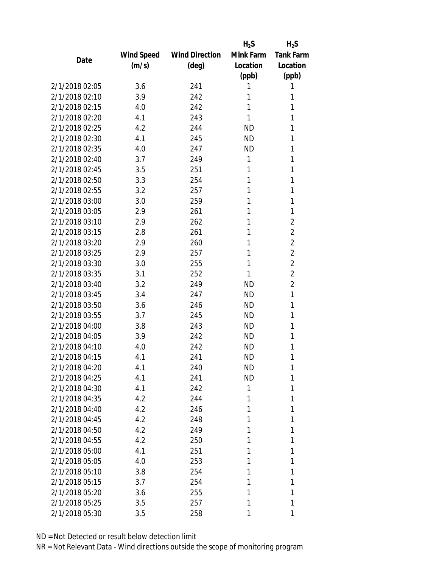|                |            |                       | $H_2S$    | $H_2S$           |
|----------------|------------|-----------------------|-----------|------------------|
|                | Wind Speed | <b>Wind Direction</b> | Mink Farm | <b>Tank Farm</b> |
| Date           | (m/s)      | $(\text{deg})$        | Location  | Location         |
|                |            |                       | (ppb)     | (ppb)            |
| 2/1/2018 02:05 | 3.6        | 241                   | 1         | 1                |
| 2/1/2018 02:10 | 3.9        | 242                   | 1         | 1                |
| 2/1/2018 02:15 | 4.0        | 242                   | 1         | 1                |
| 2/1/2018 02:20 | 4.1        | 243                   | 1         | 1                |
| 2/1/2018 02:25 | 4.2        | 244                   | <b>ND</b> | 1                |
| 2/1/2018 02:30 | 4.1        | 245                   | <b>ND</b> | 1                |
| 2/1/2018 02:35 | 4.0        | 247                   | <b>ND</b> | 1                |
| 2/1/2018 02:40 | 3.7        | 249                   | 1         | 1                |
| 2/1/2018 02:45 | 3.5        | 251                   | 1         | 1                |
| 2/1/2018 02:50 | 3.3        | 254                   | 1         | 1                |
| 2/1/2018 02:55 | 3.2        | 257                   | 1         | 1                |
| 2/1/2018 03:00 | 3.0        | 259                   | 1         | 1                |
| 2/1/2018 03:05 | 2.9        | 261                   | 1         | 1                |
| 2/1/2018 03:10 | 2.9        | 262                   | 1         | $\overline{2}$   |
| 2/1/2018 03:15 | 2.8        | 261                   | 1         | $\overline{2}$   |
| 2/1/2018 03:20 | 2.9        | 260                   | 1         | $\overline{2}$   |
| 2/1/2018 03:25 | 2.9        | 257                   | 1         | $\overline{2}$   |
| 2/1/2018 03:30 | 3.0        | 255                   | 1         | $\overline{2}$   |
| 2/1/2018 03:35 | 3.1        | 252                   | 1         | $\overline{2}$   |
| 2/1/2018 03:40 | 3.2        | 249                   | <b>ND</b> | $\overline{2}$   |
| 2/1/2018 03:45 | 3.4        | 247                   | <b>ND</b> | 1                |
| 2/1/2018 03:50 | 3.6        | 246                   | <b>ND</b> | 1                |
| 2/1/2018 03:55 | 3.7        | 245                   | ND        | 1                |
| 2/1/2018 04:00 | 3.8        | 243                   | <b>ND</b> | 1                |
| 2/1/2018 04:05 | 3.9        | 242                   | ND        | 1                |
| 2/1/2018 04:10 | 4.0        | 242                   | <b>ND</b> | 1                |
| 2/1/2018 04:15 | 4.1        | 241                   | <b>ND</b> | 1                |
| 2/1/2018 04:20 | 4.1        | 240                   | ND        | 1                |
| 2/1/2018 04:25 | 4.1        | 241                   | <b>ND</b> | 1                |
| 2/1/2018 04:30 | 4.1        | 242                   | 1         | 1                |
| 2/1/2018 04:35 | 4.2        | 244                   | 1         | 1                |
| 2/1/2018 04:40 | 4.2        | 246                   | 1         | 1                |
| 2/1/2018 04:45 | 4.2        | 248                   | 1         | 1                |
| 2/1/2018 04:50 | 4.2        | 249                   | 1         | 1                |
| 2/1/2018 04:55 | 4.2        | 250                   | 1         | 1                |
| 2/1/2018 05:00 | 4.1        | 251                   | 1         | 1                |
| 2/1/2018 05:05 | 4.0        | 253                   | 1         | 1                |
| 2/1/2018 05:10 | 3.8        | 254                   | 1         | 1                |
| 2/1/2018 05:15 | 3.7        | 254                   | 1         | 1                |
| 2/1/2018 05:20 | 3.6        | 255                   | 1         | 1                |
| 2/1/2018 05:25 | 3.5        | 257                   | 1         | 1                |
| 2/1/2018 05:30 | 3.5        | 258                   | 1         | 1                |
|                |            |                       |           |                  |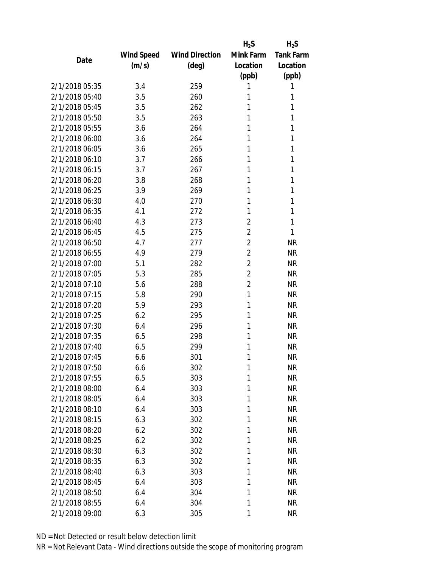|                |            |                       | $H_2S$         | $H_2S$           |
|----------------|------------|-----------------------|----------------|------------------|
|                | Wind Speed | <b>Wind Direction</b> | Mink Farm      | <b>Tank Farm</b> |
| Date           | (m/s)      | $(\text{deg})$        | Location       | Location         |
|                |            |                       | (ppb)          | (ppb)            |
| 2/1/2018 05:35 | 3.4        | 259                   | 1              | 1                |
| 2/1/2018 05:40 | 3.5        | 260                   | 1              | 1                |
| 2/1/2018 05:45 | 3.5        | 262                   | 1              | 1                |
| 2/1/2018 05:50 | 3.5        | 263                   | 1              | 1                |
| 2/1/2018 05:55 | 3.6        | 264                   | 1              | 1                |
| 2/1/2018 06:00 | 3.6        | 264                   | 1              | 1                |
| 2/1/2018 06:05 | 3.6        | 265                   | 1              | 1                |
| 2/1/2018 06:10 | 3.7        | 266                   | 1              | 1                |
| 2/1/2018 06:15 | 3.7        | 267                   | 1              | 1                |
| 2/1/2018 06:20 | 3.8        | 268                   | 1              | 1                |
| 2/1/2018 06:25 | 3.9        | 269                   | 1              | 1                |
| 2/1/2018 06:30 | 4.0        | 270                   | 1              | 1                |
| 2/1/2018 06:35 | 4.1        | 272                   | 1              | 1                |
| 2/1/2018 06:40 | 4.3        | 273                   | $\overline{2}$ | 1                |
| 2/1/2018 06:45 | 4.5        | 275                   | $\overline{2}$ | 1                |
| 2/1/2018 06:50 | 4.7        | 277                   | $\overline{2}$ | <b>NR</b>        |
| 2/1/2018 06:55 | 4.9        | 279                   | $\overline{2}$ | <b>NR</b>        |
| 2/1/2018 07:00 | 5.1        | 282                   | $\overline{2}$ | <b>NR</b>        |
| 2/1/2018 07:05 | 5.3        | 285                   | $\overline{2}$ | <b>NR</b>        |
| 2/1/2018 07:10 | 5.6        | 288                   | $\overline{2}$ | <b>NR</b>        |
| 2/1/2018 07:15 | 5.8        | 290                   | 1              | <b>NR</b>        |
| 2/1/2018 07:20 | 5.9        | 293                   | 1              | <b>NR</b>        |
| 2/1/2018 07:25 | 6.2        | 295                   | 1              | <b>NR</b>        |
| 2/1/2018 07:30 | 6.4        | 296                   | 1              | <b>NR</b>        |
| 2/1/2018 07:35 | 6.5        | 298                   | 1              | <b>NR</b>        |
| 2/1/2018 07:40 | 6.5        | 299                   | 1              | <b>NR</b>        |
| 2/1/2018 07:45 | 6.6        | 301                   | 1              | <b>NR</b>        |
| 2/1/2018 07:50 | 6.6        | 302                   | 1              | <b>NR</b>        |
| 2/1/2018 07:55 | 6.5        | 303                   | 1              | <b>NR</b>        |
| 2/1/2018 08:00 | 6.4        | 303                   | 1              | <b>NR</b>        |
| 2/1/2018 08:05 | 6.4        | 303                   | 1              | <b>NR</b>        |
| 2/1/2018 08:10 | 6.4        | 303                   | 1              | <b>NR</b>        |
| 2/1/2018 08:15 | 6.3        | 302                   | 1              | <b>NR</b>        |
| 2/1/2018 08:20 | 6.2        | 302                   | 1              | <b>NR</b>        |
| 2/1/2018 08:25 | 6.2        | 302                   | 1              | <b>NR</b>        |
| 2/1/2018 08:30 | 6.3        | 302                   | 1              | <b>NR</b>        |
| 2/1/2018 08:35 | 6.3        | 302                   | 1              | <b>NR</b>        |
| 2/1/2018 08:40 | 6.3        | 303                   | 1              | <b>NR</b>        |
| 2/1/2018 08:45 | 6.4        | 303                   | 1              | <b>NR</b>        |
| 2/1/2018 08:50 | 6.4        | 304                   | 1              | <b>NR</b>        |
| 2/1/2018 08:55 | 6.4        | 304                   | 1              | NR               |
| 2/1/2018 09:00 | 6.3        | 305                   | 1              | <b>NR</b>        |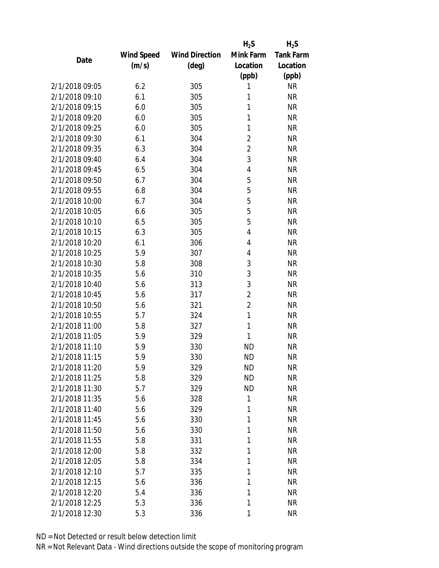|                |                   |                       | $H_2S$         | $H_2S$           |
|----------------|-------------------|-----------------------|----------------|------------------|
|                | <b>Wind Speed</b> | <b>Wind Direction</b> | Mink Farm      | <b>Tank Farm</b> |
| Date           | (m/s)             | $(\text{deg})$        | Location       | Location         |
|                |                   |                       | (ppb)          | (ppb)            |
| 2/1/2018 09:05 | 6.2               | 305                   | 1              | <b>NR</b>        |
| 2/1/2018 09:10 | 6.1               | 305                   | 1              | <b>NR</b>        |
| 2/1/2018 09:15 | 6.0               | 305                   | 1              | <b>NR</b>        |
| 2/1/2018 09:20 | 6.0               | 305                   | 1              | <b>NR</b>        |
| 2/1/2018 09:25 | 6.0               | 305                   | 1              | <b>NR</b>        |
| 2/1/2018 09:30 | 6.1               | 304                   | $\overline{2}$ | <b>NR</b>        |
| 2/1/2018 09:35 | 6.3               | 304                   | $\overline{2}$ | <b>NR</b>        |
| 2/1/2018 09:40 | 6.4               | 304                   | 3              | <b>NR</b>        |
| 2/1/2018 09:45 | 6.5               | 304                   | 4              | <b>NR</b>        |
| 2/1/2018 09:50 | 6.7               | 304                   | 5              | <b>NR</b>        |
| 2/1/2018 09:55 | 6.8               | 304                   | 5              | <b>NR</b>        |
| 2/1/2018 10:00 | 6.7               | 304                   | 5              | <b>NR</b>        |
| 2/1/2018 10:05 | 6.6               | 305                   | 5              | <b>NR</b>        |
| 2/1/2018 10:10 | 6.5               | 305                   | 5              | <b>NR</b>        |
| 2/1/2018 10:15 | 6.3               | 305                   | 4              | <b>NR</b>        |
| 2/1/2018 10:20 | 6.1               | 306                   | 4              | <b>NR</b>        |
| 2/1/2018 10:25 | 5.9               | 307                   | 4              | <b>NR</b>        |
| 2/1/2018 10:30 | 5.8               | 308                   | 3              | <b>NR</b>        |
| 2/1/2018 10:35 | 5.6               | 310                   | 3              | <b>NR</b>        |
| 2/1/2018 10:40 | 5.6               | 313                   | 3              | <b>NR</b>        |
| 2/1/2018 10:45 | 5.6               | 317                   | $\overline{2}$ | <b>NR</b>        |
| 2/1/2018 10:50 | 5.6               | 321                   | $\overline{2}$ | <b>NR</b>        |
| 2/1/2018 10:55 | 5.7               | 324                   | 1              | <b>NR</b>        |
| 2/1/2018 11:00 | 5.8               | 327                   | 1              | <b>NR</b>        |
| 2/1/2018 11:05 | 5.9               | 329                   | 1              | <b>NR</b>        |
| 2/1/2018 11:10 | 5.9               | 330                   | <b>ND</b>      | <b>NR</b>        |
| 2/1/2018 11:15 | 5.9               | 330                   | <b>ND</b>      | <b>NR</b>        |
| 2/1/2018 11:20 | 5.9               | 329                   | ND             | <b>NR</b>        |
| 2/1/2018 11:25 | 5.8               | 329                   | <b>ND</b>      | <b>NR</b>        |
| 2/1/2018 11:30 | 5.7               | 329                   | <b>ND</b>      | <b>NR</b>        |
| 2/1/2018 11:35 | 5.6               | 328                   | 1              | <b>NR</b>        |
| 2/1/2018 11:40 | 5.6               | 329                   | 1              | <b>NR</b>        |
| 2/1/2018 11:45 | 5.6               | 330                   | 1              | <b>NR</b>        |
| 2/1/2018 11:50 | 5.6               | 330                   | 1              | <b>NR</b>        |
| 2/1/2018 11:55 | 5.8               | 331                   | 1              | <b>NR</b>        |
| 2/1/2018 12:00 | 5.8               | 332                   | 1              | <b>NR</b>        |
| 2/1/2018 12:05 | 5.8               | 334                   | 1              | <b>NR</b>        |
| 2/1/2018 12:10 | 5.7               | 335                   | 1              | <b>NR</b>        |
| 2/1/2018 12:15 | 5.6               | 336                   | 1              | <b>NR</b>        |
| 2/1/2018 12:20 | 5.4               | 336                   | 1              | <b>NR</b>        |
| 2/1/2018 12:25 | 5.3               | 336                   | 1              | <b>NR</b>        |
| 2/1/2018 12:30 | 5.3               | 336                   | 1              | <b>NR</b>        |
|                |                   |                       |                |                  |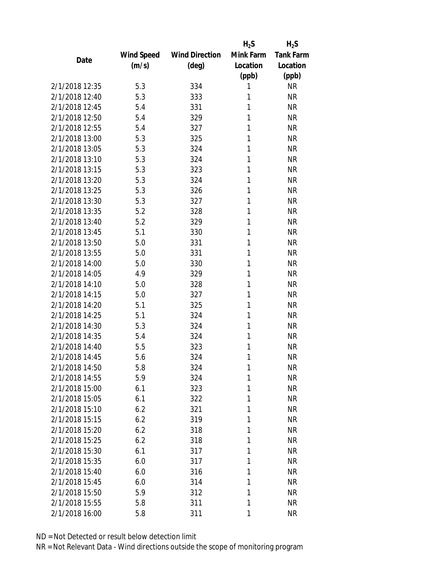|                |            |                       | $H_2S$    | $H_2S$           |
|----------------|------------|-----------------------|-----------|------------------|
|                | Wind Speed | <b>Wind Direction</b> | Mink Farm | <b>Tank Farm</b> |
| Date           | (m/s)      | (deg)                 | Location  | Location         |
|                |            |                       | (ppb)     | (ppb)            |
| 2/1/2018 12:35 | 5.3        | 334                   | 1         | <b>NR</b>        |
| 2/1/2018 12:40 | 5.3        | 333                   | 1         | <b>NR</b>        |
| 2/1/2018 12:45 | 5.4        | 331                   | 1         | <b>NR</b>        |
| 2/1/2018 12:50 | 5.4        | 329                   | 1         | <b>NR</b>        |
| 2/1/2018 12:55 | 5.4        | 327                   | 1         | <b>NR</b>        |
| 2/1/2018 13:00 | 5.3        | 325                   | 1         | <b>NR</b>        |
| 2/1/2018 13:05 | 5.3        | 324                   | 1         | <b>NR</b>        |
| 2/1/2018 13:10 | 5.3        | 324                   | 1         | <b>NR</b>        |
| 2/1/2018 13:15 | 5.3        | 323                   | 1         | <b>NR</b>        |
| 2/1/2018 13:20 | 5.3        | 324                   | 1         | <b>NR</b>        |
| 2/1/2018 13:25 | 5.3        | 326                   | 1         | <b>NR</b>        |
| 2/1/2018 13:30 | 5.3        | 327                   | 1         | <b>NR</b>        |
| 2/1/2018 13:35 | 5.2        | 328                   | 1         | <b>NR</b>        |
| 2/1/2018 13:40 | 5.2        | 329                   | 1         | <b>NR</b>        |
| 2/1/2018 13:45 | 5.1        | 330                   | 1         | <b>NR</b>        |
| 2/1/2018 13:50 | 5.0        | 331                   | 1         | <b>NR</b>        |
| 2/1/2018 13:55 | 5.0        | 331                   | 1         | <b>NR</b>        |
| 2/1/2018 14:00 | 5.0        | 330                   | 1         | <b>NR</b>        |
| 2/1/2018 14:05 | 4.9        | 329                   | 1         | <b>NR</b>        |
| 2/1/2018 14:10 | 5.0        | 328                   | 1         | <b>NR</b>        |
| 2/1/2018 14:15 | 5.0        | 327                   | 1         | <b>NR</b>        |
| 2/1/2018 14:20 | 5.1        | 325                   | 1         | <b>NR</b>        |
| 2/1/2018 14:25 | 5.1        | 324                   | 1         | <b>NR</b>        |
| 2/1/2018 14:30 | 5.3        | 324                   | 1         | <b>NR</b>        |
| 2/1/2018 14:35 | 5.4        | 324                   | 1         | <b>NR</b>        |
| 2/1/2018 14:40 | 5.5        | 323                   | 1         | <b>NR</b>        |
| 2/1/2018 14:45 | 5.6        | 324                   | 1         | <b>NR</b>        |
| 2/1/2018 14:50 | 5.8        | 324                   | 1         | <b>NR</b>        |
| 2/1/2018 14:55 | 5.9        | 324                   | 1         | <b>NR</b>        |
| 2/1/2018 15:00 | 6.1        | 323                   | 1         | <b>NR</b>        |
| 2/1/2018 15:05 | 6.1        | 322                   | 1         | <b>NR</b>        |
| 2/1/2018 15:10 | 6.2        | 321                   | 1         | <b>NR</b>        |
| 2/1/2018 15:15 | 6.2        | 319                   | 1         | <b>NR</b>        |
| 2/1/2018 15:20 | 6.2        | 318                   | 1         | <b>NR</b>        |
| 2/1/2018 15:25 | 6.2        | 318                   | 1         | <b>NR</b>        |
| 2/1/2018 15:30 | 6.1        | 317                   | 1         | <b>NR</b>        |
| 2/1/2018 15:35 | 6.0        | 317                   | 1         | <b>NR</b>        |
| 2/1/2018 15:40 | 6.0        | 316                   | 1         | <b>NR</b>        |
| 2/1/2018 15:45 | 6.0        | 314                   | 1         | <b>NR</b>        |
| 2/1/2018 15:50 | 5.9        | 312                   | 1         | <b>NR</b>        |
| 2/1/2018 15:55 | 5.8        | 311                   | 1         | <b>NR</b>        |
| 2/1/2018 16:00 | 5.8        | 311                   | 1         | <b>NR</b>        |
|                |            |                       |           |                  |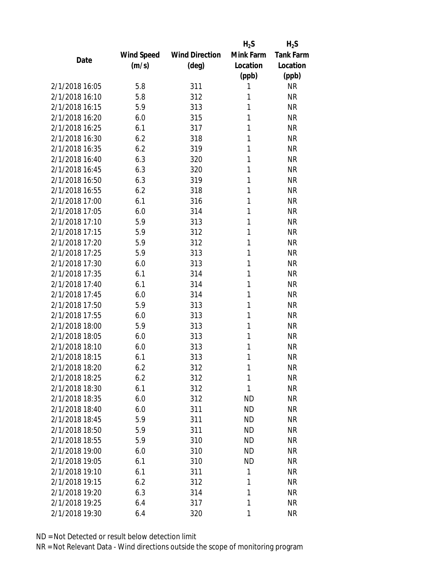|                |            |                       | $H_2S$    | $H_2S$           |
|----------------|------------|-----------------------|-----------|------------------|
|                | Wind Speed | <b>Wind Direction</b> | Mink Farm | <b>Tank Farm</b> |
| Date           | (m/s)      | (deg)                 | Location  | Location         |
|                |            |                       | (ppb)     | (ppb)            |
| 2/1/2018 16:05 | 5.8        | 311                   | 1         | <b>NR</b>        |
| 2/1/2018 16:10 | 5.8        | 312                   | 1         | <b>NR</b>        |
| 2/1/2018 16:15 | 5.9        | 313                   | 1         | <b>NR</b>        |
| 2/1/2018 16:20 | 6.0        | 315                   | 1         | <b>NR</b>        |
| 2/1/2018 16:25 | 6.1        | 317                   | 1         | <b>NR</b>        |
| 2/1/2018 16:30 | 6.2        | 318                   | 1         | <b>NR</b>        |
| 2/1/2018 16:35 | 6.2        | 319                   | 1         | <b>NR</b>        |
| 2/1/2018 16:40 | 6.3        | 320                   | 1         | <b>NR</b>        |
| 2/1/2018 16:45 | 6.3        | 320                   | 1         | <b>NR</b>        |
| 2/1/2018 16:50 | 6.3        | 319                   | 1         | <b>NR</b>        |
| 2/1/2018 16:55 | 6.2        | 318                   | 1         | <b>NR</b>        |
| 2/1/2018 17:00 | 6.1        | 316                   | 1         | <b>NR</b>        |
| 2/1/2018 17:05 | 6.0        | 314                   | 1         | <b>NR</b>        |
| 2/1/2018 17:10 | 5.9        | 313                   | 1         | <b>NR</b>        |
| 2/1/2018 17:15 | 5.9        | 312                   | 1         | <b>NR</b>        |
| 2/1/2018 17:20 | 5.9        | 312                   | 1         | <b>NR</b>        |
| 2/1/2018 17:25 | 5.9        | 313                   | 1         | <b>NR</b>        |
| 2/1/2018 17:30 | 6.0        | 313                   | 1         | <b>NR</b>        |
| 2/1/2018 17:35 | 6.1        | 314                   | 1         | <b>NR</b>        |
| 2/1/2018 17:40 | 6.1        | 314                   | 1         | <b>NR</b>        |
| 2/1/2018 17:45 | 6.0        | 314                   | 1         | <b>NR</b>        |
| 2/1/2018 17:50 | 5.9        | 313                   | 1         | <b>NR</b>        |
| 2/1/2018 17:55 | 6.0        | 313                   | 1         | <b>NR</b>        |
| 2/1/2018 18:00 | 5.9        | 313                   | 1         | <b>NR</b>        |
| 2/1/2018 18:05 | 6.0        | 313                   | 1         | <b>NR</b>        |
| 2/1/2018 18:10 | 6.0        | 313                   | 1         | <b>NR</b>        |
| 2/1/2018 18:15 | 6.1        | 313                   | 1         | <b>NR</b>        |
| 2/1/2018 18:20 | 6.2        | 312                   | 1         | <b>NR</b>        |
| 2/1/2018 18:25 | 6.2        | 312                   | 1         | <b>NR</b>        |
| 2/1/2018 18:30 | 6.1        | 312                   | 1         | <b>NR</b>        |
| 2/1/2018 18:35 | 6.0        | 312                   | <b>ND</b> | <b>NR</b>        |
| 2/1/2018 18:40 | 6.0        | 311                   | <b>ND</b> | <b>NR</b>        |
| 2/1/2018 18:45 | 5.9        | 311                   | <b>ND</b> | <b>NR</b>        |
| 2/1/2018 18:50 | 5.9        | 311                   | <b>ND</b> | <b>NR</b>        |
| 2/1/2018 18:55 | 5.9        | 310                   | <b>ND</b> | <b>NR</b>        |
| 2/1/2018 19:00 | 6.0        | 310                   | <b>ND</b> | <b>NR</b>        |
| 2/1/2018 19:05 | 6.1        | 310                   | <b>ND</b> | <b>NR</b>        |
| 2/1/2018 19:10 | 6.1        | 311                   | 1         | <b>NR</b>        |
| 2/1/2018 19:15 | 6.2        | 312                   | 1         | <b>NR</b>        |
| 2/1/2018 19:20 | 6.3        | 314                   | 1         | <b>NR</b>        |
| 2/1/2018 19:25 | 6.4        | 317                   | 1         | <b>NR</b>        |
| 2/1/2018 19:30 | 6.4        | 320                   | 1         | <b>NR</b>        |
|                |            |                       |           |                  |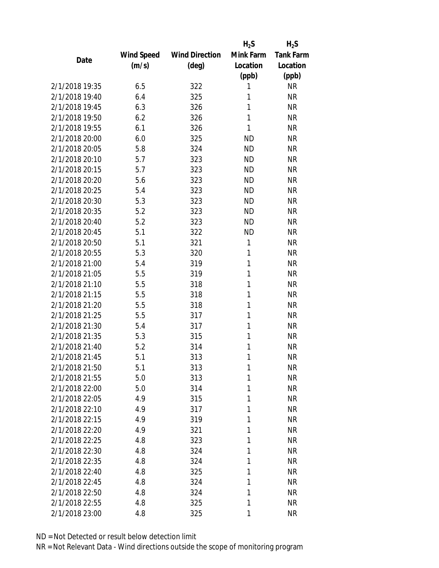|                |            |                       | $H_2S$    | $H_2S$           |
|----------------|------------|-----------------------|-----------|------------------|
|                | Wind Speed | <b>Wind Direction</b> | Mink Farm | <b>Tank Farm</b> |
| Date           | (m/s)      | $(\text{deg})$        | Location  | Location         |
|                |            |                       | (ppb)     | (ppb)            |
| 2/1/2018 19:35 | 6.5        | 322                   | 1         | <b>NR</b>        |
| 2/1/2018 19:40 | 6.4        | 325                   | 1         | <b>NR</b>        |
| 2/1/2018 19:45 | 6.3        | 326                   | 1         | <b>NR</b>        |
| 2/1/2018 19:50 | 6.2        | 326                   | 1         | <b>NR</b>        |
| 2/1/2018 19:55 | 6.1        | 326                   | 1         | <b>NR</b>        |
| 2/1/2018 20:00 | 6.0        | 325                   | <b>ND</b> | <b>NR</b>        |
| 2/1/2018 20:05 | 5.8        | 324                   | <b>ND</b> | <b>NR</b>        |
| 2/1/2018 20:10 | 5.7        | 323                   | <b>ND</b> | <b>NR</b>        |
| 2/1/2018 20:15 | 5.7        | 323                   | <b>ND</b> | <b>NR</b>        |
| 2/1/2018 20:20 | 5.6        | 323                   | <b>ND</b> | <b>NR</b>        |
| 2/1/2018 20:25 | 5.4        | 323                   | <b>ND</b> | <b>NR</b>        |
| 2/1/2018 20:30 | 5.3        | 323                   | <b>ND</b> | <b>NR</b>        |
| 2/1/2018 20:35 | 5.2        | 323                   | <b>ND</b> | <b>NR</b>        |
| 2/1/2018 20:40 | 5.2        | 323                   | <b>ND</b> | <b>NR</b>        |
| 2/1/2018 20:45 | 5.1        | 322                   | <b>ND</b> | <b>NR</b>        |
| 2/1/2018 20:50 | 5.1        | 321                   | 1         | <b>NR</b>        |
| 2/1/2018 20:55 | 5.3        | 320                   | 1         | <b>NR</b>        |
| 2/1/2018 21:00 | 5.4        | 319                   | 1         | <b>NR</b>        |
| 2/1/2018 21:05 | 5.5        | 319                   | 1         | <b>NR</b>        |
| 2/1/2018 21:10 | 5.5        | 318                   | 1         | <b>NR</b>        |
| 2/1/2018 21:15 | 5.5        | 318                   | 1         | <b>NR</b>        |
| 2/1/2018 21:20 | 5.5        | 318                   | 1         | <b>NR</b>        |
| 2/1/2018 21:25 | 5.5        | 317                   | 1         | <b>NR</b>        |
| 2/1/2018 21:30 | 5.4        | 317                   | 1         | <b>NR</b>        |
| 2/1/2018 21:35 | 5.3        | 315                   | 1         | <b>NR</b>        |
| 2/1/2018 21:40 | 5.2        | 314                   | 1         | <b>NR</b>        |
| 2/1/2018 21:45 | 5.1        | 313                   | 1         | <b>NR</b>        |
| 2/1/2018 21:50 | 5.1        | 313                   | 1         | <b>NR</b>        |
| 2/1/2018 21:55 | 5.0        | 313                   | 1         | <b>NR</b>        |
| 2/1/2018 22:00 | 5.0        | 314                   | 1         | <b>NR</b>        |
| 2/1/2018 22:05 | 4.9        | 315                   | 1         | <b>NR</b>        |
| 2/1/2018 22:10 | 4.9        | 317                   | 1         | <b>NR</b>        |
| 2/1/2018 22:15 | 4.9        | 319                   | 1         | <b>NR</b>        |
| 2/1/2018 22:20 | 4.9        | 321                   | 1         | <b>NR</b>        |
| 2/1/2018 22:25 | 4.8        | 323                   | 1         | <b>NR</b>        |
| 2/1/2018 22:30 | 4.8        | 324                   | 1         | <b>NR</b>        |
| 2/1/2018 22:35 | 4.8        | 324                   | 1         | <b>NR</b>        |
| 2/1/2018 22:40 | 4.8        | 325                   | 1         | <b>NR</b>        |
| 2/1/2018 22:45 | 4.8        | 324                   | 1         | <b>NR</b>        |
| 2/1/2018 22:50 | 4.8        | 324                   | 1         | <b>NR</b>        |
| 2/1/2018 22:55 | 4.8        | 325                   | 1         | <b>NR</b>        |
| 2/1/2018 23:00 | 4.8        | 325                   | 1         | <b>NR</b>        |
|                |            |                       |           |                  |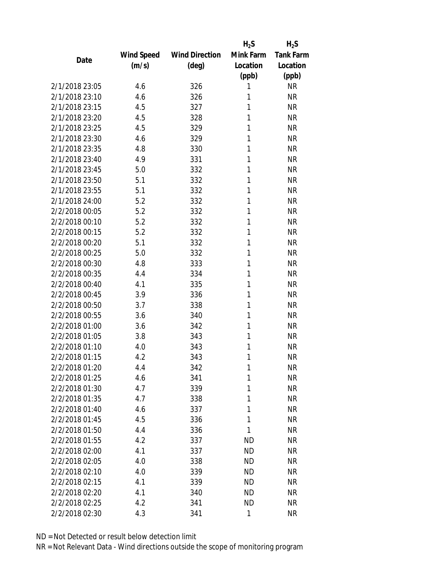|                |            |                       | $H_2S$    | $H_2S$           |
|----------------|------------|-----------------------|-----------|------------------|
|                | Wind Speed | <b>Wind Direction</b> | Mink Farm | <b>Tank Farm</b> |
| Date           | (m/s)      | (deg)                 | Location  | Location         |
|                |            |                       | (ppb)     | (ppb)            |
| 2/1/2018 23:05 | 4.6        | 326                   | 1         | <b>NR</b>        |
| 2/1/2018 23:10 | 4.6        | 326                   | 1         | <b>NR</b>        |
| 2/1/2018 23:15 | 4.5        | 327                   | 1         | <b>NR</b>        |
| 2/1/2018 23:20 | 4.5        | 328                   | 1         | <b>NR</b>        |
| 2/1/2018 23:25 | 4.5        | 329                   | 1         | <b>NR</b>        |
| 2/1/2018 23:30 | 4.6        | 329                   | 1         | <b>NR</b>        |
| 2/1/2018 23:35 | 4.8        | 330                   | 1         | <b>NR</b>        |
| 2/1/2018 23:40 | 4.9        | 331                   | 1         | <b>NR</b>        |
| 2/1/2018 23:45 | 5.0        | 332                   | 1         | <b>NR</b>        |
| 2/1/2018 23:50 | 5.1        | 332                   | 1         | <b>NR</b>        |
| 2/1/2018 23:55 | 5.1        | 332                   | 1         | <b>NR</b>        |
| 2/1/2018 24:00 | 5.2        | 332                   | 1         | <b>NR</b>        |
| 2/2/2018 00:05 | 5.2        | 332                   | 1         | <b>NR</b>        |
| 2/2/2018 00:10 | 5.2        | 332                   | 1         | <b>NR</b>        |
| 2/2/2018 00:15 | 5.2        | 332                   | 1         | <b>NR</b>        |
| 2/2/2018 00:20 | 5.1        | 332                   | 1         | <b>NR</b>        |
| 2/2/2018 00:25 | 5.0        | 332                   | 1         | <b>NR</b>        |
| 2/2/2018 00:30 | 4.8        | 333                   | 1         | <b>NR</b>        |
| 2/2/2018 00:35 | 4.4        | 334                   | 1         | <b>NR</b>        |
| 2/2/2018 00:40 | 4.1        | 335                   | 1         | <b>NR</b>        |
| 2/2/2018 00:45 | 3.9        | 336                   | 1         | <b>NR</b>        |
| 2/2/2018 00:50 | 3.7        | 338                   | 1         | <b>NR</b>        |
| 2/2/2018 00:55 | 3.6        | 340                   | 1         | <b>NR</b>        |
| 2/2/2018 01:00 | 3.6        | 342                   | 1         | <b>NR</b>        |
| 2/2/2018 01:05 | 3.8        | 343                   | 1         | <b>NR</b>        |
| 2/2/2018 01:10 | 4.0        | 343                   | 1         | <b>NR</b>        |
| 2/2/2018 01:15 | 4.2        | 343                   | 1         | <b>NR</b>        |
| 2/2/2018 01:20 | 4.4        | 342                   | 1         | <b>NR</b>        |
| 2/2/2018 01:25 | 4.6        | 341                   | 1         | <b>NR</b>        |
| 2/2/2018 01:30 | 4.7        | 339                   | 1         | <b>NR</b>        |
| 2/2/2018 01:35 | 4.7        | 338                   | 1         | <b>NR</b>        |
| 2/2/2018 01:40 | 4.6        | 337                   | 1         | <b>NR</b>        |
| 2/2/2018 01:45 | 4.5        | 336                   | 1         | <b>NR</b>        |
| 2/2/2018 01:50 | 4.4        | 336                   | 1         | <b>NR</b>        |
| 2/2/2018 01:55 | 4.2        | 337                   | ND        | <b>NR</b>        |
| 2/2/2018 02:00 | 4.1        | 337                   | <b>ND</b> | <b>NR</b>        |
| 2/2/2018 02:05 | 4.0        | 338                   | ND        | <b>NR</b>        |
| 2/2/2018 02:10 | 4.0        | 339                   | <b>ND</b> | <b>NR</b>        |
| 2/2/2018 02:15 | 4.1        | 339                   | <b>ND</b> | <b>NR</b>        |
| 2/2/2018 02:20 | 4.1        | 340                   | <b>ND</b> | <b>NR</b>        |
| 2/2/2018 02:25 | 4.2        | 341                   | <b>ND</b> | <b>NR</b>        |
| 2/2/2018 02:30 | 4.3        | 341                   | 1         | <b>NR</b>        |
|                |            |                       |           |                  |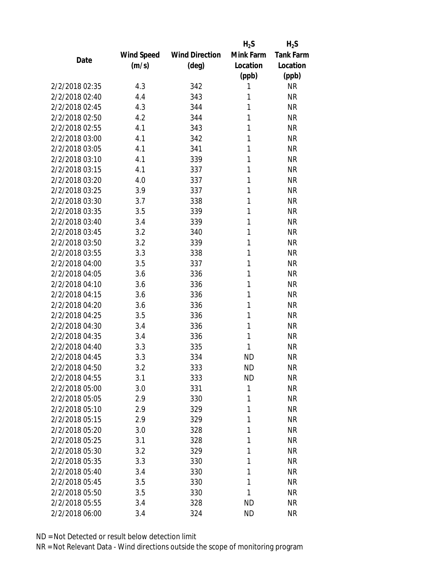|                |            |                       | $H_2S$    | $H_2S$           |
|----------------|------------|-----------------------|-----------|------------------|
|                | Wind Speed | <b>Wind Direction</b> | Mink Farm | <b>Tank Farm</b> |
| Date           | (m/s)      | (deg)                 | Location  | Location         |
|                |            |                       | (ppb)     | (ppb)            |
| 2/2/2018 02:35 | 4.3        | 342                   | 1         | <b>NR</b>        |
| 2/2/2018 02:40 | 4.4        | 343                   | 1         | <b>NR</b>        |
| 2/2/2018 02:45 | 4.3        | 344                   | 1         | <b>NR</b>        |
| 2/2/2018 02:50 | 4.2        | 344                   | 1         | <b>NR</b>        |
| 2/2/2018 02:55 | 4.1        | 343                   | 1         | <b>NR</b>        |
| 2/2/2018 03:00 | 4.1        | 342                   | 1         | <b>NR</b>        |
| 2/2/2018 03:05 | 4.1        | 341                   | 1         | <b>NR</b>        |
| 2/2/2018 03:10 | 4.1        | 339                   | 1         | <b>NR</b>        |
| 2/2/2018 03:15 | 4.1        | 337                   | 1         | <b>NR</b>        |
| 2/2/2018 03:20 | 4.0        | 337                   | 1         | <b>NR</b>        |
| 2/2/2018 03:25 | 3.9        | 337                   | 1         | <b>NR</b>        |
| 2/2/2018 03:30 | 3.7        | 338                   | 1         | <b>NR</b>        |
| 2/2/2018 03:35 | 3.5        | 339                   | 1         | <b>NR</b>        |
| 2/2/2018 03:40 | 3.4        | 339                   | 1         | <b>NR</b>        |
| 2/2/2018 03:45 | 3.2        | 340                   | 1         | <b>NR</b>        |
| 2/2/2018 03:50 | 3.2        | 339                   | 1         | <b>NR</b>        |
| 2/2/2018 03:55 | 3.3        | 338                   | 1         | <b>NR</b>        |
| 2/2/2018 04:00 | 3.5        | 337                   | 1         | <b>NR</b>        |
| 2/2/2018 04:05 | 3.6        | 336                   | 1         | <b>NR</b>        |
| 2/2/2018 04:10 | 3.6        | 336                   | 1         | <b>NR</b>        |
| 2/2/2018 04:15 | 3.6        | 336                   | 1         | <b>NR</b>        |
| 2/2/2018 04:20 | 3.6        | 336                   | 1         | <b>NR</b>        |
| 2/2/2018 04:25 | 3.5        | 336                   | 1         | <b>NR</b>        |
| 2/2/2018 04:30 | 3.4        | 336                   | 1         | <b>NR</b>        |
| 2/2/2018 04:35 | 3.4        | 336                   | 1         | <b>NR</b>        |
| 2/2/2018 04:40 | 3.3        | 335                   | 1         | <b>NR</b>        |
| 2/2/2018 04:45 | 3.3        | 334                   | <b>ND</b> | <b>NR</b>        |
| 2/2/2018 04:50 | 3.2        | 333                   | ND        | <b>NR</b>        |
| 2/2/2018 04:55 | 3.1        | 333                   | <b>ND</b> | <b>NR</b>        |
| 2/2/2018 05:00 | 3.0        | 331                   | 1         | <b>NR</b>        |
| 2/2/2018 05:05 | 2.9        | 330                   | 1         | <b>NR</b>        |
| 2/2/2018 05:10 | 2.9        | 329                   | 1         | <b>NR</b>        |
| 2/2/2018 05:15 | 2.9        | 329                   | 1         | <b>NR</b>        |
| 2/2/2018 05:20 | 3.0        | 328                   | 1         | <b>NR</b>        |
| 2/2/2018 05:25 | 3.1        | 328                   | 1         | <b>NR</b>        |
| 2/2/2018 05:30 | 3.2        | 329                   | 1         | <b>NR</b>        |
| 2/2/2018 05:35 | 3.3        | 330                   | 1         | <b>NR</b>        |
| 2/2/2018 05:40 | 3.4        | 330                   | 1         | <b>NR</b>        |
| 2/2/2018 05:45 | 3.5        | 330                   | 1         | <b>NR</b>        |
| 2/2/2018 05:50 | 3.5        | 330                   | 1         | <b>NR</b>        |
| 2/2/2018 05:55 | 3.4        | 328                   | <b>ND</b> | <b>NR</b>        |
| 2/2/2018 06:00 | 3.4        | 324                   | <b>ND</b> | <b>NR</b>        |
|                |            |                       |           |                  |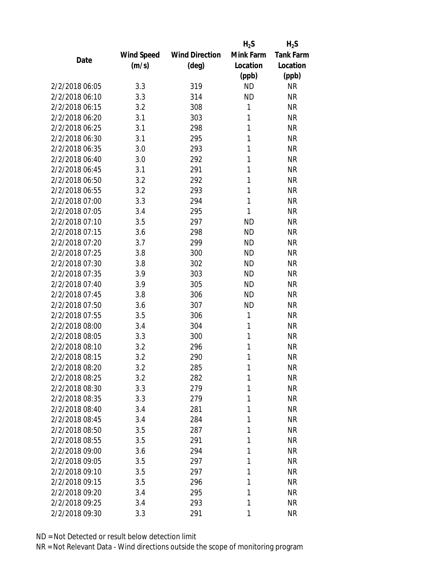|                |            |                       | $H_2S$    | $H_2S$           |
|----------------|------------|-----------------------|-----------|------------------|
|                | Wind Speed | <b>Wind Direction</b> | Mink Farm | <b>Tank Farm</b> |
| Date           | (m/s)      | $(\text{deg})$        | Location  | Location         |
|                |            |                       | (ppb)     | (ppb)            |
| 2/2/2018 06:05 | 3.3        | 319                   | <b>ND</b> | <b>NR</b>        |
| 2/2/2018 06:10 | 3.3        | 314                   | <b>ND</b> | <b>NR</b>        |
| 2/2/2018 06:15 | 3.2        | 308                   | 1         | <b>NR</b>        |
| 2/2/2018 06:20 | 3.1        | 303                   | 1         | <b>NR</b>        |
| 2/2/2018 06:25 | 3.1        | 298                   | 1         | <b>NR</b>        |
| 2/2/2018 06:30 | 3.1        | 295                   | 1         | <b>NR</b>        |
| 2/2/2018 06:35 | 3.0        | 293                   | 1         | <b>NR</b>        |
| 2/2/2018 06:40 | 3.0        | 292                   | 1         | <b>NR</b>        |
| 2/2/2018 06:45 | 3.1        | 291                   | 1         | <b>NR</b>        |
| 2/2/2018 06:50 | 3.2        | 292                   | 1         | <b>NR</b>        |
| 2/2/2018 06:55 | 3.2        | 293                   | 1         | <b>NR</b>        |
| 2/2/2018 07:00 | 3.3        | 294                   | 1         | <b>NR</b>        |
| 2/2/2018 07:05 | 3.4        | 295                   | 1         | <b>NR</b>        |
| 2/2/2018 07:10 | 3.5        | 297                   | <b>ND</b> | <b>NR</b>        |
| 2/2/2018 07:15 | 3.6        | 298                   | <b>ND</b> | <b>NR</b>        |
| 2/2/2018 07:20 | 3.7        | 299                   | <b>ND</b> | <b>NR</b>        |
| 2/2/2018 07:25 | 3.8        | 300                   | <b>ND</b> | <b>NR</b>        |
| 2/2/2018 07:30 | 3.8        | 302                   | <b>ND</b> | <b>NR</b>        |
| 2/2/2018 07:35 | 3.9        | 303                   | <b>ND</b> | <b>NR</b>        |
| 2/2/2018 07:40 | 3.9        | 305                   | <b>ND</b> | <b>NR</b>        |
| 2/2/2018 07:45 | 3.8        | 306                   | <b>ND</b> | <b>NR</b>        |
| 2/2/2018 07:50 | 3.6        | 307                   | <b>ND</b> | <b>NR</b>        |
| 2/2/2018 07:55 | 3.5        | 306                   | 1         | <b>NR</b>        |
| 2/2/2018 08:00 | 3.4        | 304                   | 1         | <b>NR</b>        |
| 2/2/2018 08:05 | 3.3        | 300                   | 1         | <b>NR</b>        |
| 2/2/2018 08:10 | 3.2        | 296                   | 1         | <b>NR</b>        |
| 2/2/2018 08:15 | 3.2        | 290                   | 1         | <b>NR</b>        |
| 2/2/2018 08:20 | 3.2        | 285                   | 1         | <b>NR</b>        |
| 2/2/2018 08:25 | 3.2        | 282                   | 1         | <b>NR</b>        |
| 2/2/2018 08:30 | 3.3        | 279                   | 1         | <b>NR</b>        |
| 2/2/2018 08:35 | 3.3        | 279                   | 1         | <b>NR</b>        |
| 2/2/2018 08:40 | 3.4        | 281                   | 1         | <b>NR</b>        |
| 2/2/2018 08:45 | 3.4        | 284                   | 1         | <b>NR</b>        |
| 2/2/2018 08:50 | 3.5        | 287                   | 1         | <b>NR</b>        |
| 2/2/2018 08:55 | 3.5        | 291                   | 1         | <b>NR</b>        |
| 2/2/2018 09:00 | 3.6        | 294                   | 1         | <b>NR</b>        |
| 2/2/2018 09:05 | 3.5        | 297                   | 1         | <b>NR</b>        |
| 2/2/2018 09:10 | 3.5        | 297                   | 1         | <b>NR</b>        |
| 2/2/2018 09:15 | 3.5        | 296                   | 1         | <b>NR</b>        |
| 2/2/2018 09:20 | 3.4        | 295                   | 1         | <b>NR</b>        |
| 2/2/2018 09:25 | 3.4        | 293                   | 1         | <b>NR</b>        |
| 2/2/2018 09:30 | 3.3        | 291                   | 1         | <b>NR</b>        |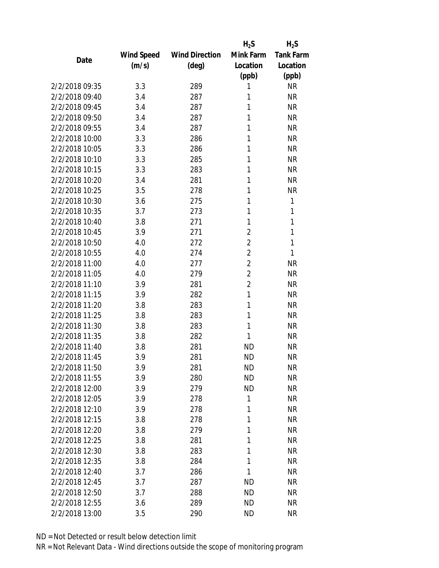|                |            |                       | $H_2S$         | $H_2S$           |
|----------------|------------|-----------------------|----------------|------------------|
|                | Wind Speed | <b>Wind Direction</b> | Mink Farm      | <b>Tank Farm</b> |
| Date           | (m/s)      | $(\text{deg})$        | Location       | Location         |
|                |            |                       | (ppb)          | (ppb)            |
| 2/2/2018 09:35 | 3.3        | 289                   | 1              | <b>NR</b>        |
| 2/2/2018 09:40 | 3.4        | 287                   | 1              | <b>NR</b>        |
| 2/2/2018 09:45 | 3.4        | 287                   | 1              | <b>NR</b>        |
| 2/2/2018 09:50 | 3.4        | 287                   | 1              | <b>NR</b>        |
| 2/2/2018 09:55 | 3.4        | 287                   | 1              | <b>NR</b>        |
| 2/2/2018 10:00 | 3.3        | 286                   | 1              | <b>NR</b>        |
| 2/2/2018 10:05 | 3.3        | 286                   | 1              | <b>NR</b>        |
| 2/2/2018 10:10 | 3.3        | 285                   | 1              | <b>NR</b>        |
| 2/2/2018 10:15 | 3.3        | 283                   | 1              | <b>NR</b>        |
| 2/2/2018 10:20 | 3.4        | 281                   | 1              | <b>NR</b>        |
| 2/2/2018 10:25 | 3.5        | 278                   | 1              | <b>NR</b>        |
| 2/2/2018 10:30 | 3.6        | 275                   | 1              | 1                |
| 2/2/2018 10:35 | 3.7        | 273                   | 1              | 1                |
| 2/2/2018 10:40 | 3.8        | 271                   | 1              | 1                |
| 2/2/2018 10:45 | 3.9        | 271                   | $\overline{2}$ | 1                |
| 2/2/2018 10:50 | 4.0        | 272                   | $\overline{2}$ | 1                |
| 2/2/2018 10:55 | 4.0        | 274                   | $\overline{2}$ | 1                |
| 2/2/2018 11:00 | 4.0        | 277                   | $\overline{2}$ | <b>NR</b>        |
| 2/2/2018 11:05 | 4.0        | 279                   | $\overline{2}$ | <b>NR</b>        |
| 2/2/2018 11:10 | 3.9        | 281                   | $\overline{2}$ | <b>NR</b>        |
| 2/2/2018 11:15 | 3.9        | 282                   | 1              | <b>NR</b>        |
| 2/2/2018 11:20 | 3.8        | 283                   | 1              | <b>NR</b>        |
| 2/2/2018 11:25 | 3.8        | 283                   | 1              | <b>NR</b>        |
| 2/2/2018 11:30 | 3.8        | 283                   | 1              | <b>NR</b>        |
| 2/2/2018 11:35 | 3.8        | 282                   | 1              | <b>NR</b>        |
| 2/2/2018 11:40 | 3.8        | 281                   | <b>ND</b>      | <b>NR</b>        |
| 2/2/2018 11:45 | 3.9        | 281                   | <b>ND</b>      | <b>NR</b>        |
| 2/2/2018 11:50 | 3.9        | 281                   | ND             | <b>NR</b>        |
| 2/2/2018 11:55 | 3.9        | 280                   | <b>ND</b>      | <b>NR</b>        |
| 2/2/2018 12:00 | 3.9        | 279                   | <b>ND</b>      | <b>NR</b>        |
| 2/2/2018 12:05 | 3.9        | 278                   | 1              | <b>NR</b>        |
| 2/2/2018 12:10 | 3.9        | 278                   | 1              | <b>NR</b>        |
| 2/2/2018 12:15 | 3.8        | 278                   | 1              | <b>NR</b>        |
| 2/2/2018 12:20 | 3.8        | 279                   | 1              | <b>NR</b>        |
| 2/2/2018 12:25 | 3.8        | 281                   | 1              | <b>NR</b>        |
| 2/2/2018 12:30 | 3.8        | 283                   | 1              | <b>NR</b>        |
| 2/2/2018 12:35 |            | 284                   | 1              | <b>NR</b>        |
|                | 3.8        |                       |                |                  |
| 2/2/2018 12:40 | 3.7        | 286                   | 1              | <b>NR</b>        |
| 2/2/2018 12:45 | 3.7        | 287                   | <b>ND</b>      | <b>NR</b>        |
| 2/2/2018 12:50 | 3.7        | 288                   | <b>ND</b>      | <b>NR</b>        |
| 2/2/2018 12:55 | 3.6        | 289                   | <b>ND</b>      | <b>NR</b>        |
| 2/2/2018 13:00 | 3.5        | 290                   | <b>ND</b>      | <b>NR</b>        |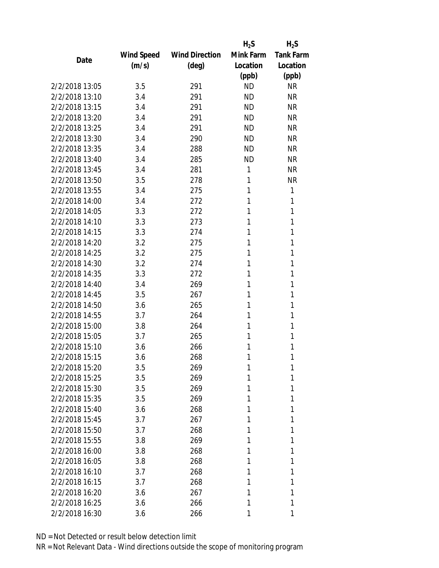|                |                   |                       | $H_2S$    | $H_2S$           |
|----------------|-------------------|-----------------------|-----------|------------------|
|                | <b>Wind Speed</b> | <b>Wind Direction</b> | Mink Farm | <b>Tank Farm</b> |
| Date           | (m/s)             | $(\text{deg})$        | Location  | Location         |
|                |                   |                       | (ppb)     | (ppb)            |
| 2/2/2018 13:05 | 3.5               | 291                   | <b>ND</b> | <b>NR</b>        |
| 2/2/2018 13:10 | 3.4               | 291                   | <b>ND</b> | <b>NR</b>        |
| 2/2/2018 13:15 | 3.4               | 291                   | <b>ND</b> | <b>NR</b>        |
| 2/2/2018 13:20 | 3.4               | 291                   | <b>ND</b> | <b>NR</b>        |
| 2/2/2018 13:25 | 3.4               | 291                   | <b>ND</b> | <b>NR</b>        |
| 2/2/2018 13:30 | 3.4               | 290                   | <b>ND</b> | <b>NR</b>        |
| 2/2/2018 13:35 | 3.4               | 288                   | <b>ND</b> | <b>NR</b>        |
| 2/2/2018 13:40 | 3.4               | 285                   | <b>ND</b> | <b>NR</b>        |
| 2/2/2018 13:45 | 3.4               | 281                   | 1         | <b>NR</b>        |
| 2/2/2018 13:50 | 3.5               | 278                   | 1         | <b>NR</b>        |
| 2/2/2018 13:55 | 3.4               | 275                   | 1         | 1                |
| 2/2/2018 14:00 | 3.4               | 272                   | 1         | 1                |
| 2/2/2018 14:05 | 3.3               | 272                   | 1         | 1                |
| 2/2/2018 14:10 | 3.3               | 273                   | 1         | 1                |
| 2/2/2018 14:15 | 3.3               | 274                   | 1         | 1                |
| 2/2/2018 14:20 | 3.2               | 275                   | 1         | 1                |
| 2/2/2018 14:25 | 3.2               | 275                   | 1         | 1                |
| 2/2/2018 14:30 | 3.2               | 274                   | 1         | 1                |
| 2/2/2018 14:35 | 3.3               | 272                   | 1         | 1                |
| 2/2/2018 14:40 | 3.4               | 269                   | 1         | 1                |
| 2/2/2018 14:45 | 3.5               | 267                   | 1         | 1                |
| 2/2/2018 14:50 | 3.6               | 265                   | 1         | 1                |
| 2/2/2018 14:55 | 3.7               | 264                   | 1         | 1                |
| 2/2/2018 15:00 | 3.8               | 264                   | 1         | 1                |
| 2/2/2018 15:05 | 3.7               | 265                   | 1         | 1                |
| 2/2/2018 15:10 | 3.6               | 266                   | 1         | 1                |
| 2/2/2018 15:15 | 3.6               | 268                   | 1         | 1                |
| 2/2/2018 15:20 | 3.5               | 269                   | 1         | 1                |
| 2/2/2018 15:25 | 3.5               | 269                   | 1         | 1                |
| 2/2/2018 15:30 | 3.5               | 269                   | 1         | 1                |
| 2/2/2018 15:35 | 3.5               | 269                   | 1         | 1                |
| 2/2/2018 15:40 | 3.6               | 268                   | 1         | 1                |
| 2/2/2018 15:45 | 3.7               | 267                   | 1         | 1                |
| 2/2/2018 15:50 | 3.7               | 268                   | 1         | 1                |
| 2/2/2018 15:55 | 3.8               | 269                   | 1         | 1                |
| 2/2/2018 16:00 | 3.8               | 268                   | 1         | 1                |
| 2/2/2018 16:05 | 3.8               | 268                   | 1         | 1                |
| 2/2/2018 16:10 | 3.7               | 268                   | 1         | 1                |
| 2/2/2018 16:15 | 3.7               | 268                   | 1         | 1                |
| 2/2/2018 16:20 | 3.6               | 267                   | 1         | 1                |
| 2/2/2018 16:25 | 3.6               | 266                   | 1         | 1                |
| 2/2/2018 16:30 | 3.6               | 266                   |           | 1                |
|                |                   |                       |           |                  |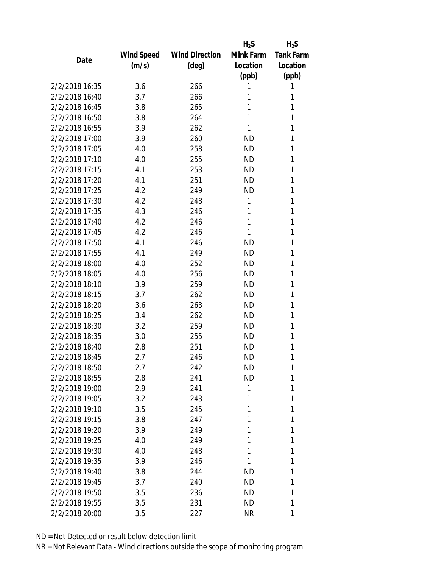|                |            |                       | $H_2S$    | $H_2S$           |
|----------------|------------|-----------------------|-----------|------------------|
|                | Wind Speed | <b>Wind Direction</b> | Mink Farm | <b>Tank Farm</b> |
| Date           | (m/s)      | $(\text{deg})$        | Location  | Location         |
|                |            |                       | (ppb)     | (ppb)            |
| 2/2/2018 16:35 | 3.6        | 266                   | 1         | 1                |
| 2/2/2018 16:40 | 3.7        | 266                   | 1         | 1                |
| 2/2/2018 16:45 | 3.8        | 265                   | 1         | 1                |
| 2/2/2018 16:50 | 3.8        | 264                   | 1         | 1                |
| 2/2/2018 16:55 | 3.9        | 262                   | 1         | 1                |
| 2/2/2018 17:00 | 3.9        | 260                   | ND        | 1                |
| 2/2/2018 17:05 | 4.0        | 258                   | <b>ND</b> | 1                |
| 2/2/2018 17:10 | 4.0        | 255                   | <b>ND</b> | 1                |
| 2/2/2018 17:15 | 4.1        | 253                   | <b>ND</b> | 1                |
| 2/2/2018 17:20 | 4.1        | 251                   | <b>ND</b> | 1                |
| 2/2/2018 17:25 | 4.2        | 249                   | ND        | 1                |
| 2/2/2018 17:30 | 4.2        | 248                   | 1         | 1                |
| 2/2/2018 17:35 | 4.3        | 246                   | 1         | 1                |
| 2/2/2018 17:40 | 4.2        | 246                   | 1         | 1                |
| 2/2/2018 17:45 | 4.2        | 246                   | 1         | 1                |
| 2/2/2018 17:50 | 4.1        | 246                   | ND        | 1                |
| 2/2/2018 17:55 | 4.1        | 249                   | <b>ND</b> | 1                |
| 2/2/2018 18:00 | 4.0        | 252                   | ND        | 1                |
| 2/2/2018 18:05 | 4.0        | 256                   | <b>ND</b> | 1                |
| 2/2/2018 18:10 | 3.9        | 259                   | <b>ND</b> | 1                |
| 2/2/2018 18:15 | 3.7        | 262                   | <b>ND</b> | 1                |
| 2/2/2018 18:20 | 3.6        | 263                   | <b>ND</b> | 1                |
| 2/2/2018 18:25 | 3.4        | 262                   | ND        | 1                |
| 2/2/2018 18:30 | 3.2        | 259                   | <b>ND</b> | 1                |
| 2/2/2018 18:35 | 3.0        | 255                   | ND        | 1                |
| 2/2/2018 18:40 | 2.8        | 251                   | <b>ND</b> | 1                |
| 2/2/2018 18:45 | 2.7        | 246                   | <b>ND</b> | 1                |
| 2/2/2018 18:50 | 2.7        | 242                   | ND        | 1                |
| 2/2/2018 18:55 | 2.8        | 241                   | <b>ND</b> | 1                |
| 2/2/2018 19:00 | 2.9        | 241                   | 1         | 1                |
| 2/2/2018 19:05 | 3.2        | 243                   | 1         | 1                |
| 2/2/2018 19:10 | 3.5        | 245                   | 1         | 1                |
| 2/2/2018 19:15 | 3.8        | 247                   | 1         | 1                |
| 2/2/2018 19:20 | 3.9        | 249                   | 1         | 1                |
| 2/2/2018 19:25 | 4.0        | 249                   | 1         | 1                |
| 2/2/2018 19:30 | 4.0        | 248                   | 1         | 1                |
| 2/2/2018 19:35 |            |                       | 1         | 1                |
|                | 3.9        | 246                   |           |                  |
| 2/2/2018 19:40 | 3.8        | 244                   | <b>ND</b> | 1                |
| 2/2/2018 19:45 | 3.7        | 240                   | <b>ND</b> | 1                |
| 2/2/2018 19:50 | 3.5        | 236                   | ND        | 1                |
| 2/2/2018 19:55 | 3.5        | 231                   | <b>ND</b> | 1                |
| 2/2/2018 20:00 | 3.5        | 227                   | <b>NR</b> | 1                |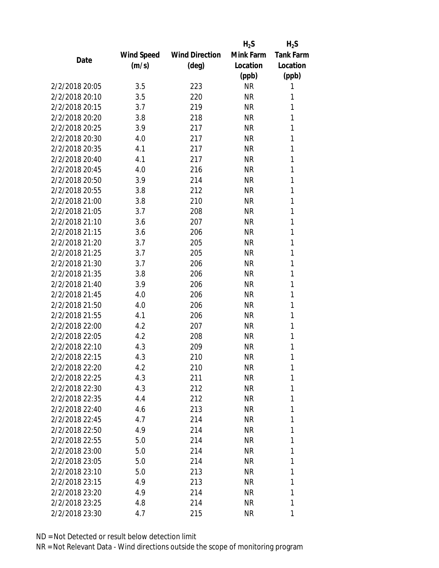|                |            |                       | $H_2S$    | $H_2S$           |
|----------------|------------|-----------------------|-----------|------------------|
|                | Wind Speed | <b>Wind Direction</b> | Mink Farm | <b>Tank Farm</b> |
| Date           | (m/s)      | $(\text{deg})$        | Location  | Location         |
|                |            |                       | (ppb)     | (ppb)            |
| 2/2/2018 20:05 | 3.5        | 223                   | <b>NR</b> | 1                |
| 2/2/2018 20:10 | 3.5        | 220                   | <b>NR</b> | 1                |
| 2/2/2018 20:15 | 3.7        | 219                   | <b>NR</b> | 1                |
| 2/2/2018 20:20 | 3.8        | 218                   | <b>NR</b> | 1                |
| 2/2/2018 20:25 | 3.9        | 217                   | <b>NR</b> | 1                |
| 2/2/2018 20:30 | 4.0        | 217                   | <b>NR</b> | 1                |
| 2/2/2018 20:35 | 4.1        | 217                   | <b>NR</b> | 1                |
| 2/2/2018 20:40 | 4.1        | 217                   | <b>NR</b> | 1                |
| 2/2/2018 20:45 | 4.0        | 216                   | <b>NR</b> | 1                |
| 2/2/2018 20:50 | 3.9        | 214                   | <b>NR</b> | 1                |
| 2/2/2018 20:55 | 3.8        | 212                   | <b>NR</b> | 1                |
| 2/2/2018 21:00 | 3.8        | 210                   | <b>NR</b> | 1                |
| 2/2/2018 21:05 | 3.7        | 208                   | <b>NR</b> | 1                |
| 2/2/2018 21:10 | 3.6        | 207                   | <b>NR</b> | 1                |
| 2/2/2018 21:15 | 3.6        | 206                   | <b>NR</b> | 1                |
| 2/2/2018 21:20 | 3.7        | 205                   | <b>NR</b> | 1                |
| 2/2/2018 21:25 | 3.7        | 205                   | <b>NR</b> | 1                |
| 2/2/2018 21:30 | 3.7        | 206                   | <b>NR</b> | 1                |
| 2/2/2018 21:35 | 3.8        | 206                   | <b>NR</b> | 1                |
| 2/2/2018 21:40 | 3.9        | 206                   | <b>NR</b> | 1                |
| 2/2/2018 21:45 | 4.0        | 206                   | <b>NR</b> | 1                |
| 2/2/2018 21:50 | 4.0        | 206                   | <b>NR</b> | 1                |
| 2/2/2018 21:55 | 4.1        | 206                   | <b>NR</b> | 1                |
| 2/2/2018 22:00 | 4.2        | 207                   | <b>NR</b> | 1                |
| 2/2/2018 22:05 | 4.2        | 208                   | <b>NR</b> | 1                |
| 2/2/2018 22:10 | 4.3        | 209                   | <b>NR</b> | 1                |
| 2/2/2018 22:15 | 4.3        | 210                   | <b>NR</b> | 1                |
| 2/2/2018 22:20 | 4.2        | 210                   | NR        | 1                |
| 2/2/2018 22:25 | 4.3        | 211                   | <b>NR</b> | 1                |
| 2/2/2018 22:30 | 4.3        | 212                   | <b>NR</b> | 1                |
| 2/2/2018 22:35 | 4.4        | 212                   | <b>NR</b> | 1                |
| 2/2/2018 22:40 | 4.6        | 213                   | <b>NR</b> | 1                |
| 2/2/2018 22:45 | 4.7        | 214                   | <b>NR</b> | 1                |
| 2/2/2018 22:50 | 4.9        | 214                   | <b>NR</b> | 1                |
| 2/2/2018 22:55 | 5.0        | 214                   | <b>NR</b> | 1                |
| 2/2/2018 23:00 | 5.0        | 214                   | <b>NR</b> | 1                |
| 2/2/2018 23:05 | 5.0        | 214                   | <b>NR</b> | 1                |
| 2/2/2018 23:10 | 5.0        | 213                   | <b>NR</b> | 1                |
| 2/2/2018 23:15 | 4.9        | 213                   | <b>NR</b> | 1                |
| 2/2/2018 23:20 | 4.9        | 214                   | <b>NR</b> | 1                |
| 2/2/2018 23:25 | 4.8        | 214                   | <b>NR</b> | 1                |
| 2/2/2018 23:30 | 4.7        | 215                   | <b>NR</b> | 1                |
|                |            |                       |           |                  |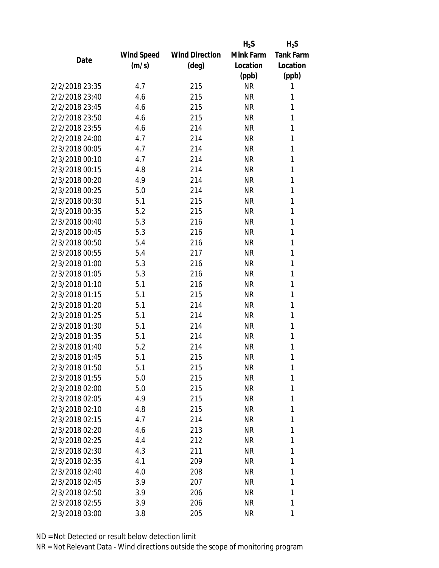|                |            |                       | $H_2S$    | $H_2S$           |
|----------------|------------|-----------------------|-----------|------------------|
|                | Wind Speed | <b>Wind Direction</b> | Mink Farm | <b>Tank Farm</b> |
| Date           | (m/s)      | $(\text{deg})$        | Location  | Location         |
|                |            |                       | (ppb)     | (ppb)            |
| 2/2/2018 23:35 | 4.7        | 215                   | <b>NR</b> | 1                |
| 2/2/2018 23:40 | 4.6        | 215                   | <b>NR</b> | 1                |
| 2/2/2018 23:45 | 4.6        | 215                   | <b>NR</b> | 1                |
| 2/2/2018 23:50 | 4.6        | 215                   | <b>NR</b> | 1                |
| 2/2/2018 23:55 | 4.6        | 214                   | <b>NR</b> | 1                |
| 2/2/2018 24:00 | 4.7        | 214                   | <b>NR</b> | 1                |
| 2/3/2018 00:05 | 4.7        | 214                   | <b>NR</b> | 1                |
| 2/3/2018 00:10 | 4.7        | 214                   | <b>NR</b> | 1                |
| 2/3/2018 00:15 | 4.8        | 214                   | <b>NR</b> | 1                |
| 2/3/2018 00:20 | 4.9        | 214                   | <b>NR</b> | 1                |
| 2/3/2018 00:25 | 5.0        | 214                   | <b>NR</b> | 1                |
| 2/3/2018 00:30 | 5.1        | 215                   | <b>NR</b> | 1                |
| 2/3/2018 00:35 | 5.2        | 215                   | <b>NR</b> | 1                |
| 2/3/2018 00:40 | 5.3        | 216                   | <b>NR</b> | 1                |
| 2/3/2018 00:45 | 5.3        | 216                   | <b>NR</b> | 1                |
| 2/3/2018 00:50 | 5.4        | 216                   | <b>NR</b> | 1                |
| 2/3/2018 00:55 | 5.4        | 217                   | <b>NR</b> | 1                |
| 2/3/2018 01:00 | 5.3        | 216                   | <b>NR</b> | 1                |
| 2/3/2018 01:05 | 5.3        | 216                   | <b>NR</b> | 1                |
| 2/3/2018 01:10 | 5.1        | 216                   | <b>NR</b> | 1                |
| 2/3/2018 01:15 | 5.1        | 215                   | <b>NR</b> | 1                |
| 2/3/2018 01:20 | 5.1        | 214                   | <b>NR</b> | 1                |
| 2/3/2018 01:25 | 5.1        | 214                   | <b>NR</b> | 1                |
| 2/3/2018 01:30 | 5.1        | 214                   | <b>NR</b> | 1                |
| 2/3/2018 01:35 | 5.1        | 214                   | <b>NR</b> | 1                |
| 2/3/2018 01:40 | 5.2        | 214                   | <b>NR</b> | 1                |
| 2/3/2018 01:45 | 5.1        | 215                   | <b>NR</b> | 1                |
| 2/3/2018 01:50 | 5.1        | 215                   | ΝR        | 1                |
| 2/3/2018 01:55 | 5.0        | 215                   | <b>NR</b> | 1                |
| 2/3/2018 02:00 | 5.0        | 215                   | <b>NR</b> | 1                |
| 2/3/2018 02:05 | 4.9        | 215                   | <b>NR</b> | 1                |
| 2/3/2018 02:10 | 4.8        | 215                   | <b>NR</b> | 1                |
| 2/3/2018 02:15 | 4.7        | 214                   | <b>NR</b> | 1                |
| 2/3/2018 02:20 | 4.6        | 213                   | <b>NR</b> | 1                |
| 2/3/2018 02:25 | 4.4        | 212                   | <b>NR</b> | 1                |
| 2/3/2018 02:30 | 4.3        | 211                   | <b>NR</b> | 1                |
| 2/3/2018 02:35 | 4.1        | 209                   | <b>NR</b> | 1                |
| 2/3/2018 02:40 | 4.0        | 208                   | <b>NR</b> | 1                |
| 2/3/2018 02:45 | 3.9        | 207                   | <b>NR</b> | 1                |
| 2/3/2018 02:50 | 3.9        | 206                   | <b>NR</b> | 1                |
| 2/3/2018 02:55 | 3.9        | 206                   | <b>NR</b> | 1                |
| 2/3/2018 03:00 | 3.8        | 205                   | <b>NR</b> | 1                |
|                |            |                       |           |                  |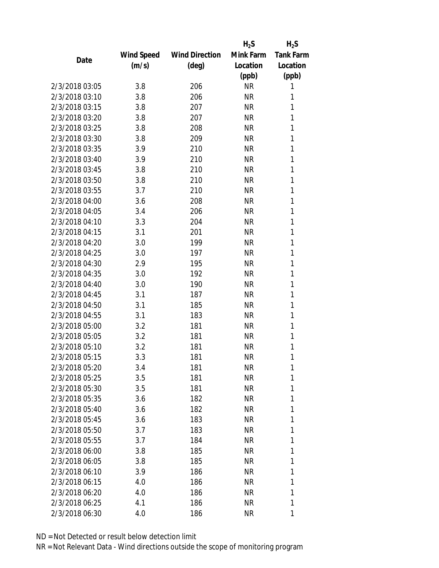|                |            |                       | $H_2S$    | $H_2S$           |
|----------------|------------|-----------------------|-----------|------------------|
|                | Wind Speed | <b>Wind Direction</b> | Mink Farm | <b>Tank Farm</b> |
| Date           | (m/s)      | $(\text{deg})$        | Location  | Location         |
|                |            |                       | (ppb)     | (ppb)            |
| 2/3/2018 03:05 | 3.8        | 206                   | <b>NR</b> | 1                |
| 2/3/2018 03:10 | 3.8        | 206                   | <b>NR</b> | 1                |
| 2/3/2018 03:15 | 3.8        | 207                   | <b>NR</b> | 1                |
| 2/3/2018 03:20 | 3.8        | 207                   | <b>NR</b> | 1                |
| 2/3/2018 03:25 | 3.8        | 208                   | <b>NR</b> | 1                |
| 2/3/2018 03:30 | 3.8        | 209                   | <b>NR</b> | 1                |
| 2/3/2018 03:35 | 3.9        | 210                   | <b>NR</b> | 1                |
| 2/3/2018 03:40 | 3.9        | 210                   | <b>NR</b> | 1                |
| 2/3/2018 03:45 | 3.8        | 210                   | <b>NR</b> | 1                |
| 2/3/2018 03:50 | 3.8        | 210                   | <b>NR</b> | 1                |
| 2/3/2018 03:55 | 3.7        | 210                   | <b>NR</b> | 1                |
| 2/3/2018 04:00 | 3.6        | 208                   | <b>NR</b> | 1                |
| 2/3/2018 04:05 | 3.4        | 206                   | <b>NR</b> | 1                |
| 2/3/2018 04:10 | 3.3        | 204                   | <b>NR</b> | 1                |
| 2/3/2018 04:15 | 3.1        | 201                   | <b>NR</b> | 1                |
| 2/3/2018 04:20 | 3.0        | 199                   | <b>NR</b> | 1                |
| 2/3/2018 04:25 | 3.0        | 197                   | <b>NR</b> | 1                |
| 2/3/2018 04:30 | 2.9        | 195                   | <b>NR</b> | 1                |
| 2/3/2018 04:35 | 3.0        | 192                   | <b>NR</b> | 1                |
| 2/3/2018 04:40 | 3.0        | 190                   | <b>NR</b> | 1                |
| 2/3/2018 04:45 | 3.1        | 187                   | <b>NR</b> | 1                |
| 2/3/2018 04:50 | 3.1        | 185                   | <b>NR</b> | 1                |
| 2/3/2018 04:55 | 3.1        | 183                   | <b>NR</b> | 1                |
| 2/3/2018 05:00 | 3.2        | 181                   | <b>NR</b> | 1                |
| 2/3/2018 05:05 | 3.2        | 181                   | <b>NR</b> | 1                |
| 2/3/2018 05:10 | 3.2        | 181                   | <b>NR</b> | 1                |
| 2/3/2018 05:15 | 3.3        | 181                   | <b>NR</b> | 1                |
| 2/3/2018 05:20 | 3.4        | 181                   | <b>NR</b> | 1                |
| 2/3/2018 05:25 | 3.5        | 181                   | <b>NR</b> | 1                |
| 2/3/2018 05:30 | 3.5        | 181                   | <b>NR</b> | 1                |
| 2/3/2018 05:35 | 3.6        | 182                   | <b>NR</b> | 1                |
| 2/3/2018 05:40 | 3.6        | 182                   | <b>NR</b> | 1                |
| 2/3/2018 05:45 | 3.6        | 183                   | <b>NR</b> | 1                |
| 2/3/2018 05:50 | 3.7        | 183                   | <b>NR</b> | 1                |
| 2/3/2018 05:55 | 3.7        | 184                   | <b>NR</b> | 1                |
| 2/3/2018 06:00 | 3.8        | 185                   | <b>NR</b> | 1                |
| 2/3/2018 06:05 | 3.8        | 185                   | <b>NR</b> | 1                |
| 2/3/2018 06:10 | 3.9        | 186                   | <b>NR</b> | 1                |
| 2/3/2018 06:15 | 4.0        | 186                   | <b>NR</b> | 1                |
| 2/3/2018 06:20 | 4.0        | 186                   | <b>NR</b> | 1                |
| 2/3/2018 06:25 | 4.1        | 186                   | <b>NR</b> | 1                |
| 2/3/2018 06:30 | 4.0        | 186                   | <b>NR</b> | 1                |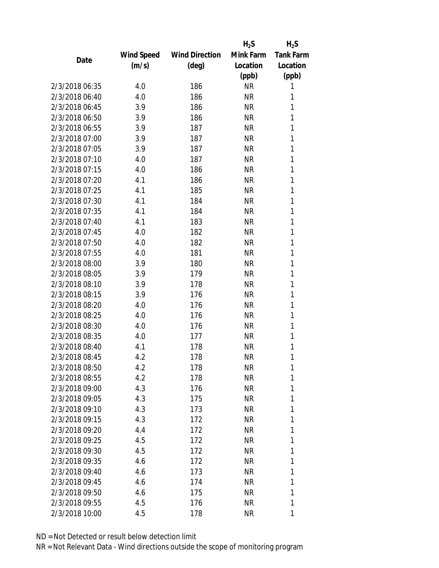|                |            |                       | $H_2S$    | $H_2S$           |
|----------------|------------|-----------------------|-----------|------------------|
|                | Wind Speed | <b>Wind Direction</b> | Mink Farm | <b>Tank Farm</b> |
| Date           | (m/s)      | $(\text{deg})$        | Location  | Location         |
|                |            |                       | (ppb)     | (ppb)            |
| 2/3/2018 06:35 | 4.0        | 186                   | <b>NR</b> | 1                |
| 2/3/2018 06:40 | 4.0        | 186                   | <b>NR</b> | 1                |
| 2/3/2018 06:45 | 3.9        | 186                   | <b>NR</b> | 1                |
| 2/3/2018 06:50 | 3.9        | 186                   | <b>NR</b> | 1                |
| 2/3/2018 06:55 | 3.9        | 187                   | <b>NR</b> | 1                |
| 2/3/2018 07:00 | 3.9        | 187                   | <b>NR</b> | 1                |
| 2/3/2018 07:05 | 3.9        | 187                   | <b>NR</b> | 1                |
| 2/3/2018 07:10 | 4.0        | 187                   | <b>NR</b> | 1                |
| 2/3/2018 07:15 | 4.0        | 186                   | <b>NR</b> | 1                |
| 2/3/2018 07:20 | 4.1        | 186                   | <b>NR</b> | 1                |
| 2/3/2018 07:25 | 4.1        | 185                   | <b>NR</b> | 1                |
| 2/3/2018 07:30 | 4.1        | 184                   | <b>NR</b> | 1                |
| 2/3/2018 07:35 | 4.1        | 184                   | <b>NR</b> | 1                |
| 2/3/2018 07:40 | 4.1        | 183                   | <b>NR</b> | 1                |
| 2/3/2018 07:45 | 4.0        | 182                   | <b>NR</b> | 1                |
| 2/3/2018 07:50 | 4.0        | 182                   | <b>NR</b> | 1                |
| 2/3/2018 07:55 | 4.0        | 181                   | <b>NR</b> | 1                |
| 2/3/2018 08:00 | 3.9        | 180                   | <b>NR</b> | 1                |
| 2/3/2018 08:05 | 3.9        | 179                   | <b>NR</b> | 1                |
| 2/3/2018 08:10 | 3.9        | 178                   | <b>NR</b> | 1                |
| 2/3/2018 08:15 | 3.9        | 176                   | <b>NR</b> | 1                |
| 2/3/2018 08:20 | 4.0        | 176                   | <b>NR</b> | 1                |
| 2/3/2018 08:25 | 4.0        | 176                   | <b>NR</b> | 1                |
| 2/3/2018 08:30 | 4.0        | 176                   | <b>NR</b> | 1                |
| 2/3/2018 08:35 | 4.0        | 177                   | <b>NR</b> | 1                |
| 2/3/2018 08:40 | 4.1        | 178                   | <b>NR</b> | 1                |
| 2/3/2018 08:45 | 4.2        | 178                   | <b>NR</b> | 1                |
| 2/3/2018 08:50 | 4.2        | 178                   | <b>NR</b> | 1                |
| 2/3/2018 08:55 | 4.2        | 178                   | <b>NR</b> | 1                |
| 2/3/2018 09:00 | 4.3        | 176                   | <b>NR</b> | 1                |
| 2/3/2018 09:05 | 4.3        | 175                   | <b>NR</b> | 1                |
| 2/3/2018 09:10 | 4.3        | 173                   | <b>NR</b> | 1                |
| 2/3/2018 09:15 | 4.3        | 172                   | <b>NR</b> | 1                |
| 2/3/2018 09:20 | 4.4        | 172                   | <b>NR</b> | 1                |
| 2/3/2018 09:25 | 4.5        | 172                   | <b>NR</b> | 1                |
| 2/3/2018 09:30 | 4.5        | 172                   | <b>NR</b> | 1                |
| 2/3/2018 09:35 | 4.6        | 172                   | <b>NR</b> | 1                |
| 2/3/2018 09:40 | 4.6        | 173                   | <b>NR</b> | 1                |
| 2/3/2018 09:45 | 4.6        | 174                   | <b>NR</b> | 1                |
| 2/3/2018 09:50 | 4.6        | 175                   | <b>NR</b> | 1                |
| 2/3/2018 09:55 | 4.5        | 176                   | <b>NR</b> | 1                |
| 2/3/2018 10:00 | 4.5        | 178                   | <b>NR</b> | 1                |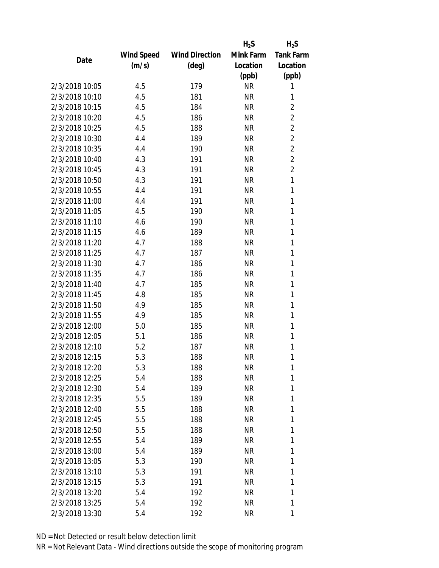|                |            |                       | $H_2S$    | $H_2S$           |
|----------------|------------|-----------------------|-----------|------------------|
|                | Wind Speed | <b>Wind Direction</b> | Mink Farm | <b>Tank Farm</b> |
| Date           | (m/s)      | $(\text{deg})$        | Location  | Location         |
|                |            |                       | (ppb)     | (ppb)            |
| 2/3/2018 10:05 | 4.5        | 179                   | <b>NR</b> | 1                |
| 2/3/2018 10:10 | 4.5        | 181                   | <b>NR</b> | 1                |
| 2/3/2018 10:15 | 4.5        | 184                   | <b>NR</b> | $\overline{2}$   |
| 2/3/2018 10:20 | 4.5        | 186                   | <b>NR</b> | $\overline{c}$   |
| 2/3/2018 10:25 | 4.5        | 188                   | <b>NR</b> | $\overline{2}$   |
| 2/3/2018 10:30 | 4.4        | 189                   | <b>NR</b> | $\overline{2}$   |
| 2/3/2018 10:35 | 4.4        | 190                   | <b>NR</b> | $\overline{2}$   |
| 2/3/2018 10:40 | 4.3        | 191                   | <b>NR</b> | $\overline{2}$   |
| 2/3/2018 10:45 | 4.3        | 191                   | <b>NR</b> | $\overline{2}$   |
| 2/3/2018 10:50 | 4.3        | 191                   | <b>NR</b> | $\mathbf{1}$     |
| 2/3/2018 10:55 | 4.4        | 191                   | <b>NR</b> | 1                |
| 2/3/2018 11:00 | 4.4        | 191                   | <b>NR</b> | 1                |
| 2/3/2018 11:05 | 4.5        | 190                   | <b>NR</b> | 1                |
| 2/3/2018 11:10 | 4.6        | 190                   | <b>NR</b> | 1                |
| 2/3/2018 11:15 | 4.6        | 189                   | <b>NR</b> | 1                |
| 2/3/2018 11:20 | 4.7        | 188                   | <b>NR</b> | 1                |
| 2/3/2018 11:25 | 4.7        | 187                   | <b>NR</b> | 1                |
| 2/3/2018 11:30 | 4.7        | 186                   | <b>NR</b> | 1                |
| 2/3/2018 11:35 | 4.7        | 186                   | <b>NR</b> | 1                |
| 2/3/2018 11:40 | 4.7        | 185                   | <b>NR</b> | 1                |
| 2/3/2018 11:45 | 4.8        | 185                   | <b>NR</b> | 1                |
| 2/3/2018 11:50 | 4.9        | 185                   | <b>NR</b> | 1                |
| 2/3/2018 11:55 | 4.9        | 185                   | <b>NR</b> | 1                |
| 2/3/2018 12:00 | 5.0        | 185                   | <b>NR</b> | 1                |
| 2/3/2018 12:05 | 5.1        | 186                   | <b>NR</b> | 1                |
| 2/3/2018 12:10 | 5.2        | 187                   | <b>NR</b> | 1                |
| 2/3/2018 12:15 | 5.3        | 188                   | <b>NR</b> | 1                |
| 2/3/2018 12:20 | 5.3        | 188                   | ΝR        | 1                |
| 2/3/2018 12:25 | 5.4        | 188                   | <b>NR</b> | 1                |
| 2/3/2018 12:30 | 5.4        | 189                   | <b>NR</b> | 1                |
| 2/3/2018 12:35 | 5.5        | 189                   | <b>NR</b> | 1                |
| 2/3/2018 12:40 | 5.5        | 188                   | <b>NR</b> | 1                |
| 2/3/2018 12:45 | 5.5        | 188                   | <b>NR</b> | 1                |
| 2/3/2018 12:50 | 5.5        | 188                   | <b>NR</b> | 1                |
| 2/3/2018 12:55 | 5.4        | 189                   | <b>NR</b> | 1                |
| 2/3/2018 13:00 | 5.4        | 189                   | <b>NR</b> | 1                |
| 2/3/2018 13:05 | 5.3        | 190                   | <b>NR</b> | 1                |
| 2/3/2018 13:10 | 5.3        | 191                   | <b>NR</b> | 1                |
| 2/3/2018 13:15 | 5.3        | 191                   | <b>NR</b> | 1                |
| 2/3/2018 13:20 | 5.4        | 192                   | <b>NR</b> | 1                |
| 2/3/2018 13:25 | 5.4        | 192                   | <b>NR</b> | 1                |
| 2/3/2018 13:30 | 5.4        | 192                   | <b>NR</b> | 1                |
|                |            |                       |           |                  |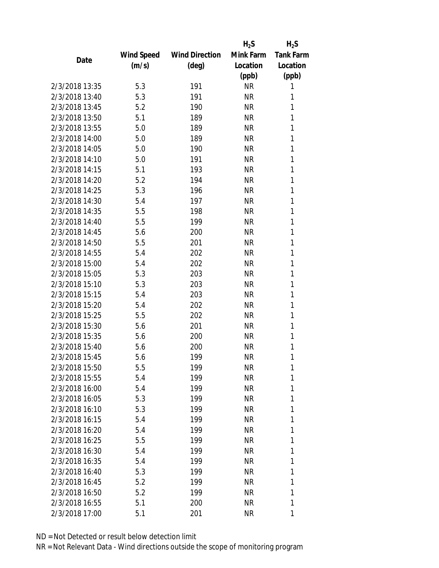|                |            |                       | $H_2S$    | $H_2S$           |
|----------------|------------|-----------------------|-----------|------------------|
|                | Wind Speed | <b>Wind Direction</b> | Mink Farm | <b>Tank Farm</b> |
| Date           | (m/s)      | $(\text{deg})$        | Location  | Location         |
|                |            |                       | (ppb)     | (ppb)            |
| 2/3/2018 13:35 | 5.3        | 191                   | <b>NR</b> | 1                |
| 2/3/2018 13:40 | 5.3        | 191                   | <b>NR</b> | 1                |
| 2/3/2018 13:45 | 5.2        | 190                   | <b>NR</b> | 1                |
| 2/3/2018 13:50 | 5.1        | 189                   | <b>NR</b> | 1                |
| 2/3/2018 13:55 | 5.0        | 189                   | <b>NR</b> | 1                |
| 2/3/2018 14:00 | 5.0        | 189                   | <b>NR</b> | 1                |
| 2/3/2018 14:05 | 5.0        | 190                   | <b>NR</b> | 1                |
| 2/3/2018 14:10 | 5.0        | 191                   | <b>NR</b> | 1                |
| 2/3/2018 14:15 | 5.1        | 193                   | <b>NR</b> | 1                |
| 2/3/2018 14:20 | 5.2        | 194                   | <b>NR</b> | 1                |
| 2/3/2018 14:25 | 5.3        | 196                   | <b>NR</b> | 1                |
| 2/3/2018 14:30 | 5.4        | 197                   | <b>NR</b> | 1                |
| 2/3/2018 14:35 | 5.5        | 198                   | <b>NR</b> | 1                |
| 2/3/2018 14:40 | 5.5        | 199                   | <b>NR</b> | 1                |
| 2/3/2018 14:45 | 5.6        | 200                   | <b>NR</b> | 1                |
| 2/3/2018 14:50 | 5.5        | 201                   | <b>NR</b> | 1                |
| 2/3/2018 14:55 | 5.4        | 202                   | <b>NR</b> | 1                |
| 2/3/2018 15:00 | 5.4        | 202                   | <b>NR</b> | 1                |
| 2/3/2018 15:05 | 5.3        | 203                   | <b>NR</b> | 1                |
| 2/3/2018 15:10 | 5.3        | 203                   | <b>NR</b> | 1                |
| 2/3/2018 15:15 | 5.4        | 203                   | <b>NR</b> | 1                |
| 2/3/2018 15:20 | 5.4        | 202                   | <b>NR</b> | 1                |
| 2/3/2018 15:25 | 5.5        | 202                   | <b>NR</b> | 1                |
| 2/3/2018 15:30 | 5.6        | 201                   | <b>NR</b> | 1                |
| 2/3/2018 15:35 | 5.6        | 200                   | <b>NR</b> | 1                |
| 2/3/2018 15:40 | 5.6        | 200                   | <b>NR</b> | 1                |
| 2/3/2018 15:45 | 5.6        | 199                   | <b>NR</b> | 1                |
| 2/3/2018 15:50 | 5.5        | 199                   | ΝR        | 1                |
| 2/3/2018 15:55 | 5.4        | 199                   | <b>NR</b> | 1                |
| 2/3/2018 16:00 | 5.4        | 199                   | <b>NR</b> | 1                |
| 2/3/2018 16:05 | 5.3        | 199                   | <b>NR</b> | 1                |
| 2/3/2018 16:10 | 5.3        | 199                   | <b>NR</b> | 1                |
| 2/3/2018 16:15 | 5.4        | 199                   | <b>NR</b> | 1                |
| 2/3/2018 16:20 | 5.4        | 199                   | <b>NR</b> | 1                |
| 2/3/2018 16:25 | 5.5        | 199                   | <b>NR</b> | 1                |
| 2/3/2018 16:30 | 5.4        | 199                   | <b>NR</b> | 1                |
| 2/3/2018 16:35 | 5.4        | 199                   | <b>NR</b> | 1                |
| 2/3/2018 16:40 | 5.3        | 199                   | <b>NR</b> | 1                |
| 2/3/2018 16:45 | 5.2        | 199                   | <b>NR</b> | 1                |
| 2/3/2018 16:50 | 5.2        | 199                   | <b>NR</b> | 1                |
| 2/3/2018 16:55 | 5.1        | 200                   | <b>NR</b> | 1                |
| 2/3/2018 17:00 | 5.1        | 201                   | <b>NR</b> | 1                |
|                |            |                       |           |                  |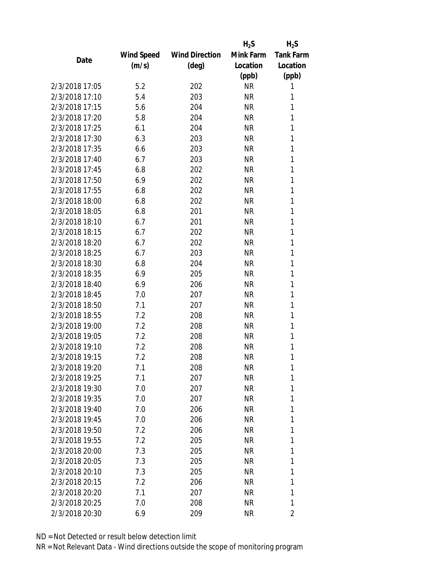|                |            |                       | $H_2S$    | $H_2S$           |
|----------------|------------|-----------------------|-----------|------------------|
|                | Wind Speed | <b>Wind Direction</b> | Mink Farm | <b>Tank Farm</b> |
| Date           | (m/s)      | $(\text{deg})$        | Location  | Location         |
|                |            |                       | (ppb)     | (ppb)            |
| 2/3/2018 17:05 | 5.2        | 202                   | <b>NR</b> | 1                |
| 2/3/2018 17:10 | 5.4        | 203                   | <b>NR</b> | 1                |
| 2/3/2018 17:15 | 5.6        | 204                   | <b>NR</b> | 1                |
| 2/3/2018 17:20 | 5.8        | 204                   | <b>NR</b> | 1                |
| 2/3/2018 17:25 | 6.1        | 204                   | <b>NR</b> | 1                |
| 2/3/2018 17:30 | 6.3        | 203                   | <b>NR</b> | 1                |
| 2/3/2018 17:35 | 6.6        | 203                   | <b>NR</b> | 1                |
| 2/3/2018 17:40 | 6.7        | 203                   | <b>NR</b> | 1                |
| 2/3/2018 17:45 | 6.8        | 202                   | <b>NR</b> | 1                |
| 2/3/2018 17:50 | 6.9        | 202                   | <b>NR</b> | 1                |
| 2/3/2018 17:55 | 6.8        | 202                   | <b>NR</b> | 1                |
| 2/3/2018 18:00 | 6.8        | 202                   | <b>NR</b> | 1                |
| 2/3/2018 18:05 | 6.8        | 201                   | <b>NR</b> | 1                |
| 2/3/2018 18:10 | 6.7        | 201                   | <b>NR</b> | 1                |
| 2/3/2018 18:15 | 6.7        | 202                   | <b>NR</b> | 1                |
| 2/3/2018 18:20 | 6.7        | 202                   | <b>NR</b> | 1                |
| 2/3/2018 18:25 | 6.7        | 203                   | <b>NR</b> | 1                |
| 2/3/2018 18:30 | 6.8        | 204                   | <b>NR</b> | 1                |
| 2/3/2018 18:35 | 6.9        | 205                   | <b>NR</b> | 1                |
| 2/3/2018 18:40 | 6.9        | 206                   | <b>NR</b> | 1                |
| 2/3/2018 18:45 | 7.0        | 207                   | <b>NR</b> | 1                |
| 2/3/2018 18:50 | 7.1        | 207                   | <b>NR</b> | 1                |
| 2/3/2018 18:55 | 7.2        | 208                   | <b>NR</b> | 1                |
| 2/3/2018 19:00 | 7.2        | 208                   | <b>NR</b> | 1                |
| 2/3/2018 19:05 | 7.2        | 208                   | <b>NR</b> | 1                |
| 2/3/2018 19:10 | 7.2        | 208                   | <b>NR</b> | 1                |
| 2/3/2018 19:15 | 7.2        | 208                   | <b>NR</b> | 1                |
| 2/3/2018 19:20 | 7.1        | 208                   | <b>NR</b> | 1                |
| 2/3/2018 19:25 | 7.1        | 207                   | <b>NR</b> | 1                |
| 2/3/2018 19:30 | 7.0        | 207                   | NR        | 1                |
| 2/3/2018 19:35 | 7.0        | 207                   | <b>NR</b> | 1                |
| 2/3/2018 19:40 | 7.0        | 206                   | <b>NR</b> | 1                |
| 2/3/2018 19:45 | 7.0        | 206                   | <b>NR</b> | 1                |
| 2/3/2018 19:50 | 7.2        | 206                   | <b>NR</b> | 1                |
| 2/3/2018 19:55 | 7.2        | 205                   | <b>NR</b> | 1                |
| 2/3/2018 20:00 | 7.3        | 205                   | <b>NR</b> | 1                |
| 2/3/2018 20:05 | 7.3        | 205                   | <b>NR</b> | 1                |
| 2/3/2018 20:10 | 7.3        | 205                   | <b>NR</b> | 1                |
| 2/3/2018 20:15 | 7.2        | 206                   | <b>NR</b> | 1                |
| 2/3/2018 20:20 | 7.1        | 207                   | <b>NR</b> | 1                |
| 2/3/2018 20:25 | 7.0        | 208                   | <b>NR</b> | 1                |
| 2/3/2018 20:30 | 6.9        | 209                   | <b>NR</b> | 2                |
|                |            |                       |           |                  |